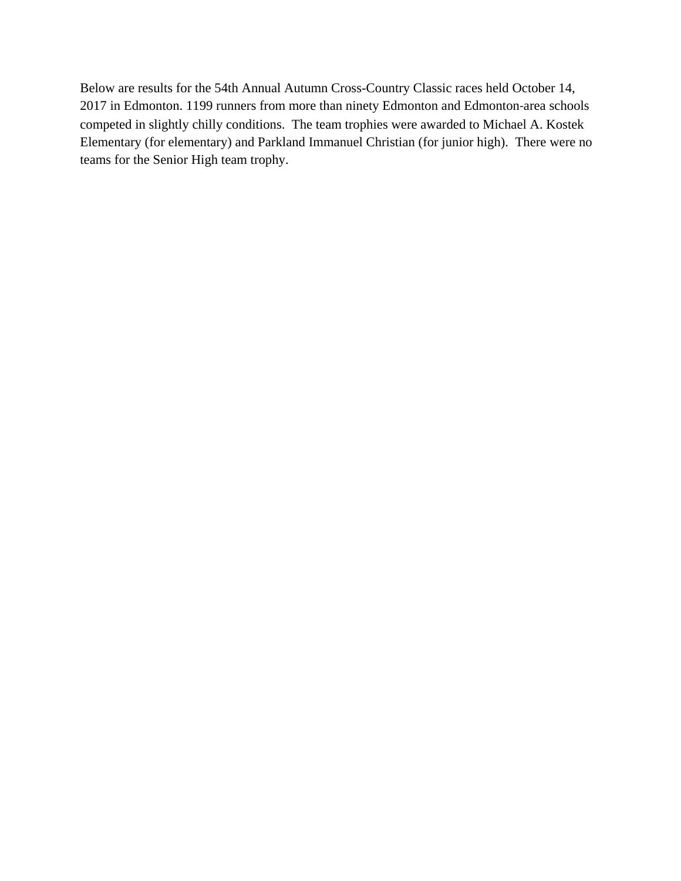Below are results for the 54th Annual Autumn Cross-Country Classic races held October 14, 2017 in Edmonton. 1199 runners from more than ninety Edmonton and Edmonton‐area schools competed in slightly chilly conditions. The team trophies were awarded to Michael A. Kostek Elementary (for elementary) and Parkland Immanuel Christian (for junior high). There were no teams for the Senior High team trophy.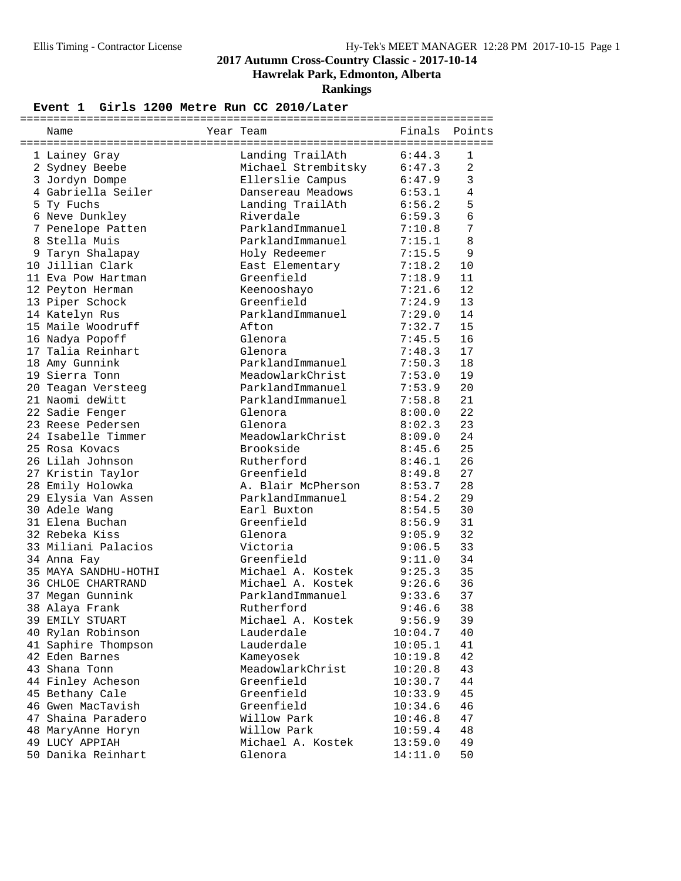**Hawrelak Park, Edmonton, Alberta**

### **Rankings**

#### Event 1 Girls 1200 Metre Run CC 2010/Later

| Name                      | Year Team           | Finals  | Points         |
|---------------------------|---------------------|---------|----------------|
| 1 Lainey Gray             | Landing TrailAth    | 6:44.3  | $\mathbf{1}$   |
| 2 Sydney Beebe            | Michael Strembitsky | 6:47.3  | $\overline{a}$ |
| 3 Jordyn Dompe            | Ellerslie Campus    | 6:47.9  | 3              |
| 4 Gabriella Seiler        | Dansereau Meadows   | 6:53.1  | 4              |
| 5 Ty Fuchs                | Landing TrailAth    | 6:56.2  | 5              |
| 6 Neve Dunkley            | Riverdale           | 6:59.3  | 6              |
| 7 Penelope Patten         | ParklandImmanuel    | 7:10.8  | 7              |
| 8 Stella Muis             | ParklandImmanuel    | 7:15.1  | 8              |
| 9 Taryn Shalapay          | Holy Redeemer       | 7:15.5  | 9              |
| 10 Jillian Clark          | East Elementary     | 7:18.2  | 10             |
| 11 Eva Pow Hartman        | Greenfield          | 7:18.9  | 11             |
| 12 Peyton Herman          | Keenooshayo         | 7:21.6  | 12             |
| 13 Piper Schock           | Greenfield          | 7:24.9  | 13             |
| 14 Katelyn Rus            | ParklandImmanuel    | 7:29.0  | 14             |
| 15 Maile Woodruff         | Afton               | 7:32.7  | 15             |
| 16 Nadya Popoff           | Glenora             | 7:45.5  | 16             |
| 17 Talia Reinhart         | Glenora             | 7:48.3  | 17             |
| 18 Amy Gunnink            | ParklandImmanuel    | 7:50.3  | 18             |
| 19 Sierra Tonn            | MeadowlarkChrist    | 7:53.0  | 19             |
| 20 Teagan Versteeg        | ParklandImmanuel    | 7:53.9  | 20             |
| 21 Naomi deWitt           | ParklandImmanuel    | 7:58.8  | 21             |
| 22 Sadie Fenger           | Glenora             | 8:00.0  | 22             |
| 23 Reese Pedersen         | Glenora             | 8:02.3  | 23             |
| 24 Isabelle Timmer        | MeadowlarkChrist    | 8:09.0  | 24             |
| 25 Rosa Kovacs            | Brookside           | 8:45.6  | 25             |
| 26 Lilah Johnson          | Rutherford          | 8:46.1  | 26             |
| 27 Kristin Taylor         | Greenfield          | 8:49.8  | 27             |
| 28 Emily Holowka          | A. Blair McPherson  | 8:53.7  | 28             |
| 29 Elysia Van Assen       | ParklandImmanuel    | 8:54.2  | 29             |
| 30 Adele Wang             | Earl Buxton         | 8:54.5  | 30             |
| 31 Elena Buchan           | Greenfield          | 8:56.9  | 31             |
| 32 Rebeka Kiss            | Glenora             | 9:05.9  | 32             |
| 33 Miliani Palacios       | Victoria            | 9:06.5  | 33             |
| 34 Anna Fay               | Greenfield          | 9:11.0  | 34             |
| 35 MAYA SANDHU-HOTHI      | Michael A. Kostek   | 9:25.3  | 35             |
| <b>36 CHLOE CHARTRAND</b> | Michael A. Kostek   | 9:26.6  | 36             |
| 37 Megan Gunnink          | ParklandImmanuel    | 9:33.6  | 37             |
| 38 Alaya Frank            | Rutherford          | 9:46.6  | 38             |
| 39 EMILY STUART           | Michael A. Kostek   | 9:56.9  | 39             |
| 40 Rylan Robinson         | Lauderdale          | 10:04.7 | 40             |
| 41 Saphire Thompson       | Lauderdale          | 10:05.1 | 41             |
| 42 Eden Barnes            | Kameyosek           | 10:19.8 | 42             |
| 43 Shana Tonn             | MeadowlarkChrist    | 10:20.8 | 43             |
| 44 Finley Acheson         | Greenfield          | 10:30.7 | 44             |
| 45 Bethany Cale           | Greenfield          | 10:33.9 | 45             |
| 46 Gwen MacTavish         | Greenfield          | 10:34.6 | 46             |
| 47 Shaina Paradero        | Willow Park         | 10:46.8 | 47             |
| 48 MaryAnne Horyn         | Willow Park         | 10:59.4 | 48             |
| 49 LUCY APPIAH            | Michael A. Kostek   | 13:59.0 | 49             |
| 50 Danika Reinhart        | Glenora             | 14:11.0 | 50             |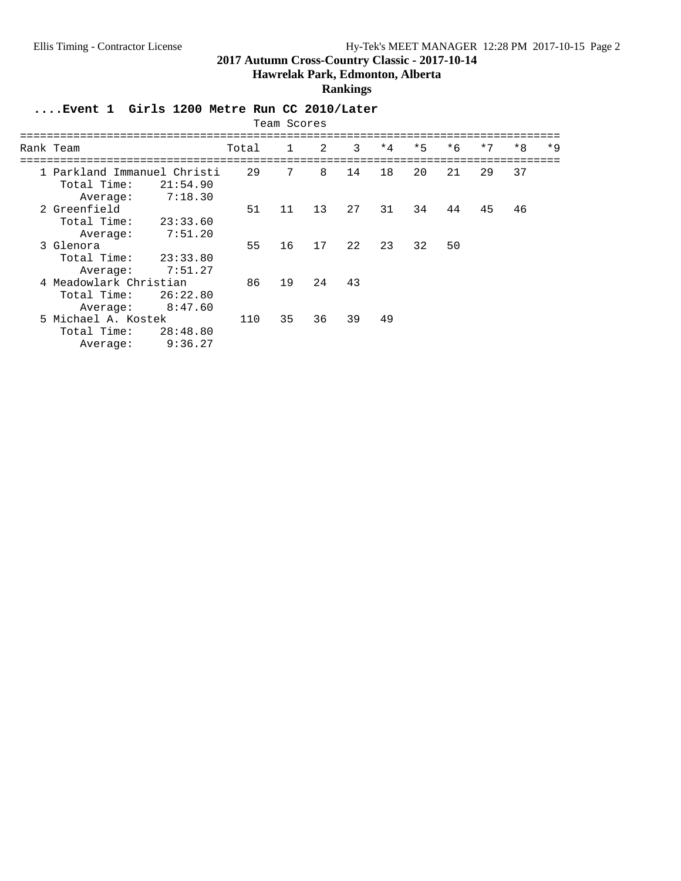**Hawrelak Park, Edmonton, Alberta**

### **Rankings**

# **....Event 1 Girls 1200 Metre Run CC 2010/Later**

| Team Scores                                            |                     |       |              |               |    |      |      |      |      |      |      |
|--------------------------------------------------------|---------------------|-------|--------------|---------------|----|------|------|------|------|------|------|
| Rank Team                                              |                     | Total | $\mathbf{1}$ | $\mathcal{L}$ | 3  | $*4$ | $*5$ | $*6$ | $*7$ | $*8$ | $*9$ |
| 1 Parkland Immanuel Christi<br>Total Time:<br>Average: | 21:54.90<br>7:18.30 | 29    | 7            | 8             | 14 | 18   | 20   | 21   | 29   | 37   |      |
| 2 Greenfield<br>Total Time:<br>Average:                | 23:33.60<br>7:51.20 | 51    | 11           | 13            | 27 | 31   | 34   | 44   | 45   | 46   |      |
| 3 Glenora<br>Total Time:<br>Average:                   | 23:33.80<br>7:51.27 | 55    | 16           | 17            | 22 | 23   | 32   | 50   |      |      |      |
| 4 Meadowlark Christian<br>Total Time:<br>Average:      | 26:22.80<br>8:47.60 | 86    | 19           | 24            | 43 |      |      |      |      |      |      |
| 5 Michael A. Kostek<br>Total Time:<br>Average:         | 28:48.80<br>9:36.27 | 110   | 35           | 36            | 39 | 49   |      |      |      |      |      |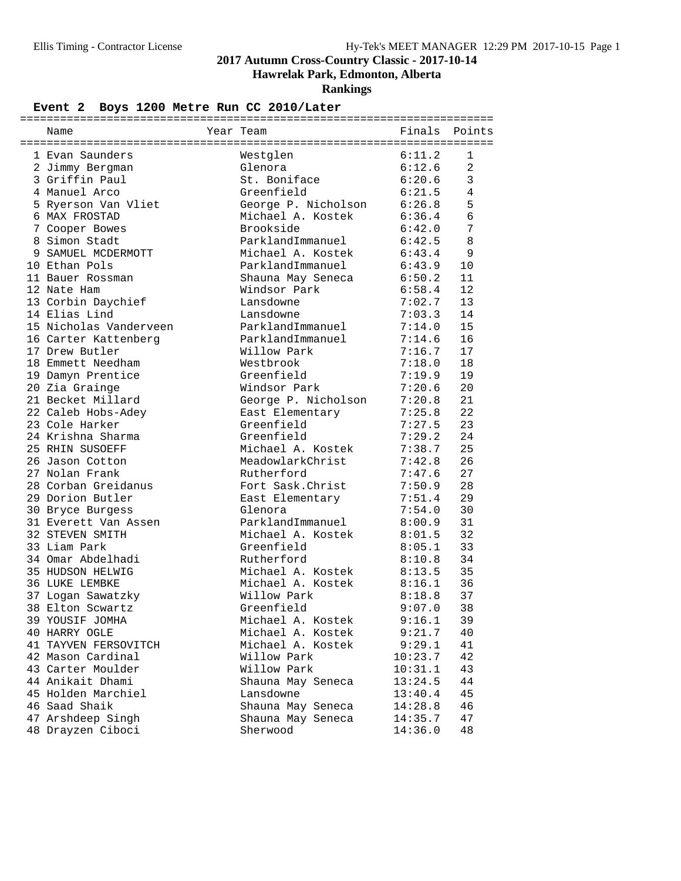## **Hawrelak Park, Edmonton, Alberta**

**Rankings**

### Event 2 Boys 1200 Metre Run CC 2010/Later

| Name                   | Year Team           | Finals Points |         |
|------------------------|---------------------|---------------|---------|
|                        |                     |               |         |
| 1 Evan Saunders        | Westglen            | 6:11.2        | 1       |
| 2 Jimmy Bergman        | Glenora             | 6:12.6        | 2       |
| 3 Griffin Paul         | St. Boniface        | 6:20.6        | 3       |
| 4 Manuel Arco          | Greenfield          | 6:21.5        | 4       |
| 5 Ryerson Van Vliet    | George P. Nicholson | 6:26.8        | 5       |
| 6 MAX FROSTAD          | Michael A. Kostek   | 6:36.4        | 6       |
| 7 Cooper Bowes         | Brookside           | 6:42.0        | 7       |
| 8 Simon Stadt          | ParklandImmanuel    | 6:42.5        | $\,8\,$ |
| 9 SAMUEL MCDERMOTT     | Michael A. Kostek   | 6:43.4        | 9       |
| 10 Ethan Pols          | ParklandImmanuel    | 6:43.9        | 10      |
| 11 Bauer Rossman       | Shauna May Seneca   | 6:50.2        | 11      |
| 12 Nate Ham            | Windsor Park        | 6:58.4        | 12      |
| 13 Corbin Daychief     | Lansdowne           | 7:02.7        | 13      |
| 14 Elias Lind          | Lansdowne           | 7:03.3        | 14      |
| 15 Nicholas Vanderveen | ParklandImmanuel    | 7:14.0        | 15      |
| 16 Carter Kattenberg   | ParklandImmanuel    | 7:14.6        | 16      |
| 17 Drew Butler         | Willow Park         | 7:16.7        | 17      |
| 18 Emmett Needham      | Westbrook           | 7:18.0        | 18      |
| 19 Damyn Prentice      | Greenfield          | 7:19.9        | 19      |
| 20 Zia Grainge         | Windsor Park        | 7:20.6        | 20      |
| 21 Becket Millard      | George P. Nicholson | 7:20.8        | 21      |
| 22 Caleb Hobs-Adey     | East Elementary     | 7:25.8        | 22      |
| 23 Cole Harker         | Greenfield          | 7:27.5        | 23      |
| 24 Krishna Sharma      | Greenfield          | 7:29.2        | 24      |
| 25 RHIN SUSOEFF        | Michael A. Kostek   | 7:38.7        | 25      |
| 26 Jason Cotton        | MeadowlarkChrist    | 7:42.8        | 26      |
| 27 Nolan Frank         | Rutherford          | 7:47.6        | 27      |
| 28 Corban Greidanus    | Fort Sask. Christ   | 7:50.9        | 28      |
| 29 Dorion Butler       | East Elementary     | 7:51.4        | 29      |
| 30 Bryce Burgess       | Glenora             | 7:54.0        | 30      |
| 31 Everett Van Assen   | ParklandImmanuel    | 8:00.9        | 31      |
| 32 STEVEN SMITH        | Michael A. Kostek   | 8:01.5        | 32      |
| 33 Liam Park           | Greenfield          | 8:05.1        | 33      |
| 34 Omar Abdelhadi      | Rutherford          | 8:10.8        | 34      |
| 35 HUDSON HELWIG       | Michael A. Kostek   | 8:13.5        | 35      |
| 36 LUKE LEMBKE         | Michael A. Kostek   | 8:16.1        | 36      |
| 37 Logan Sawatzky      | Willow Park         | 8:18.8        | 37      |
| 38 Elton Scwartz       | Greenfield          | 9:07.0        | 38      |
| 39 YOUSIF JOMHA        | Michael A. Kostek   | 9:16.1        | 39      |
| 40 HARRY OGLE          | Michael A. Kostek   | 9:21.7        | 40      |
| 41 TAYVEN FERSOVITCH   | Michael A. Kostek   | 9:29.1        | 41      |
| 42 Mason Cardinal      | Willow Park         | 10:23.7       | 42      |
| 43 Carter Moulder      | Willow Park         | 10:31.1       | 43      |
| 44 Anikait Dhami       | Shauna May Seneca   | 13:24.5       | 44      |
| 45 Holden Marchiel     | Lansdowne           | 13:40.4       | 45      |
| 46 Saad Shaik          | Shauna May Seneca   | 14:28.8       | 46      |
| 47 Arshdeep Singh      | Shauna May Seneca   | 14:35.7       | 47      |
| 48 Drayzen Ciboci      | Sherwood            | 14:36.0       | 48      |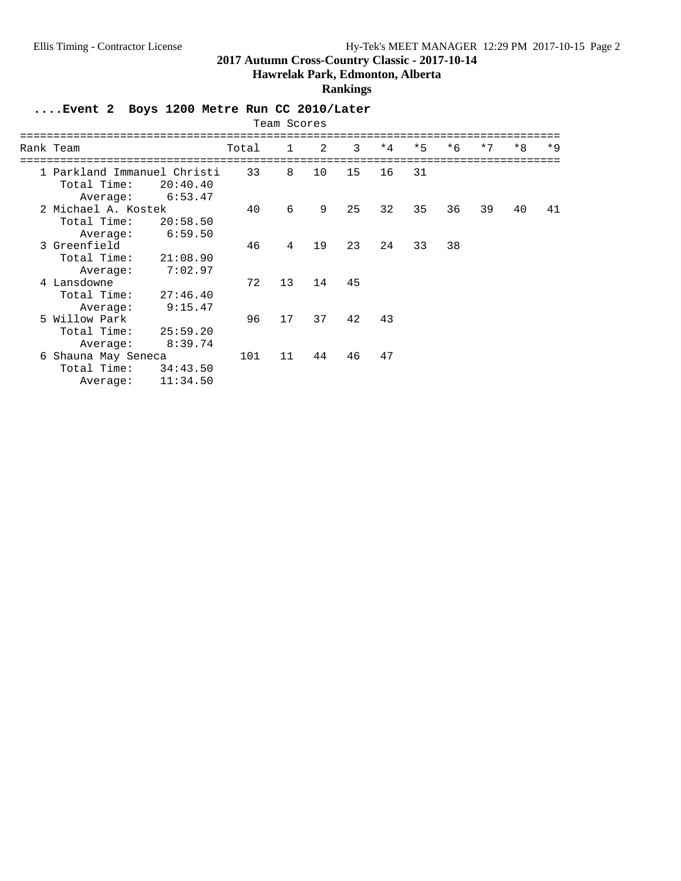## **Hawrelak Park, Edmonton, Alberta**

### **Rankings**

### **....Event 2 Boys 1200 Metre Run CC 2010/Later**

|                              |                                                |                                                    |       | Team Scores  |    |    |      |      |      |      |      |      |
|------------------------------|------------------------------------------------|----------------------------------------------------|-------|--------------|----|----|------|------|------|------|------|------|
| Rank Team                    |                                                |                                                    | Total | $\mathbf{1}$ | 2  | 3  | $*4$ | $*5$ | $*6$ | $*7$ | $*8$ | $*9$ |
| Total Time:                  | Average:                                       | 1 Parkland Immanuel Christi<br>20:40.40<br>6:53.47 | 33    | 8            | 10 | 15 | 16   | 31   |      |      |      |      |
|                              | 2 Michael A. Kostek<br>Total Time:<br>Average: | 20:58.50<br>6:59.50                                | 40    | 6            | 9  | 25 | 32   | 35   | 36   | 39   | 40   | 41   |
| 3 Greenfield                 | Total Time:<br>Average:                        | 21:08.90<br>7:02.97                                | 46    | 4            | 19 | 23 | 24   | 33   | 38   |      |      |      |
| 4 Lansdowne<br>Total Time:   | Average:                                       | 27:46.40<br>9:15.47                                | 72    | 13           | 14 | 45 |      |      |      |      |      |      |
| 5 Willow Park<br>Total Time: | Average:                                       | 25:59.20<br>8:39.74                                | 96    | 17           | 37 | 42 | 43   |      |      |      |      |      |
| Total Time:                  | 6 Shauna May Seneca<br>Average:                | 34:43.50<br>11:34.50                               | 101   | 11           | 44 | 46 | 47   |      |      |      |      |      |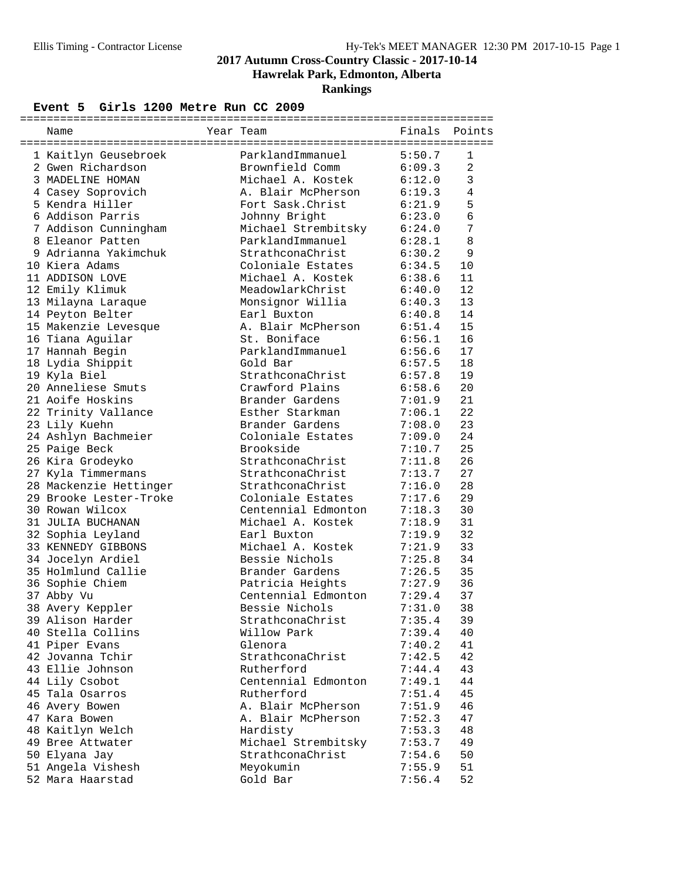**Hawrelak Park, Edmonton, Alberta**

### **Rankings**

#### **Event 5 Girls 1200 Metre Run CC 2009**

| Name                                  | Year Team             | Finals           | Points         |
|---------------------------------------|-----------------------|------------------|----------------|
| 1 Kaitlyn Geusebroek                  | ParklandImmanuel      | 5:50.7           | 1              |
| 2 Gwen Richardson                     | Brownfield Comm       | 6:09.3           | $\overline{a}$ |
| 3 MADELINE HOMAN                      | Michael A. Kostek     | 6:12.0           | 3              |
| 4 Casey Soprovich                     | A. Blair McPherson    | 6:19.3           | 4              |
| 5 Kendra Hiller                       | Fort Sask. Christ     | 6:21.9           | 5              |
| 6 Addison Parris                      | Johnny Bright         | 6:23.0           | 6              |
| 7 Addison Cunningham                  | Michael Strembitsky   | 6:24.0           | 7              |
| 8 Eleanor Patten                      | ParklandImmanuel      | 6:28.1           | 8              |
| 9 Adrianna Yakimchuk                  | StrathconaChrist      | 6:30.2           | 9              |
| 10 Kiera Adams                        | Coloniale Estates     | 6:34.5           | 10             |
| 11 ADDISON LOVE                       | Michael A. Kostek     | 6:38.6           | 11             |
| 12 Emily Klimuk                       | MeadowlarkChrist      | 6:40.0           | 12             |
| 13 Milayna Laraque                    | Monsignor Willia      | 6:40.3           | 13             |
| 14 Peyton Belter                      | Earl Buxton           | 6:40.8           | 14             |
| 15 Makenzie Levesque                  | A. Blair McPherson    | 6:51.4           | 15             |
| 16 Tiana Aguilar                      | St. Boniface          | 6:56.1           | 16             |
| 17 Hannah Begin                       | ParklandImmanuel      | 6:56.6           | 17             |
| 18 Lydia Shippit                      | Gold Bar              | 6:57.5           | 18             |
| 19 Kyla Biel                          | StrathconaChrist      | 6:57.8           | 19             |
| 20 Anneliese Smuts                    | Crawford Plains       | 6:58.6           | 20             |
| 21 Aoife Hoskins                      | Brander Gardens       | 7:01.9           | 21             |
| 22 Trinity Vallance                   | Esther Starkman       | 7:06.1           | 22             |
| 23 Lily Kuehn                         | Brander Gardens       | 7:08.0           | 23             |
| 24 Ashlyn Bachmeier                   | Coloniale Estates     | 7:09.0           | 24             |
| 25 Paige Beck                         | Brookside             | 7:10.7           | 25             |
| 26 Kira Grodeyko                      | StrathconaChrist      | 7:11.8           | 26             |
| 27 Kyla Timmermans                    | StrathconaChrist      | 7:13.7           | 27             |
| 28 Mackenzie Hettinger                | StrathconaChrist      | 7:16.0           | 28             |
| 29 Brooke Lester-Troke                | Coloniale Estates     | 7:17.6           | 29             |
| 30 Rowan Wilcox                       | Centennial Edmonton   | 7:18.3           | 30             |
| 31 JULIA BUCHANAN                     | Michael A. Kostek     | 7:18.9           | 31             |
| 32 Sophia Leyland                     | Earl Buxton           | 7:19.9           | 32             |
| 33 KENNEDY GIBBONS                    | Michael A. Kostek     | 7:21.9           | 33             |
| 34 Jocelyn Ardiel                     | Bessie Nichols        | 7:25.8           | 34             |
| 35 Holmlund Callie                    | Brander Gardens       | 7:26.5           | 35             |
| 36 Sophie Chiem                       | Patricia Heights      | 7:27.9           | 36             |
| 37 Abby Vu                            | Centennial Edmonton   | 7:29.4           | 37             |
| 38 Avery Keppler                      | Bessie Nichols        | 7:31.0           | 38             |
| 39 Alison Harder                      | StrathconaChrist      | 7:35.4           | 39             |
| 40 Stella Collins                     | Willow Park           | 7:39.4           | 40             |
| 41 Piper Evans                        | Glenora               | 7:40.2           | 41             |
| 42 Jovanna Tchir                      | StrathconaChrist      | 7:42.5           | 42             |
| 43 Ellie Johnson                      | Rutherford            | 7:44.4           | 43             |
| 44 Lily Csobot                        | Centennial Edmonton   | 7:49.1           | 44             |
| 45 Tala Osarros                       | Rutherford            | 7:51.4           | 45             |
| 46 Avery Bowen                        | A. Blair McPherson    | 7:51.9           | 46             |
| 47 Kara Bowen                         | A. Blair McPherson    | 7:52.3           | 47             |
| 48 Kaitlyn Welch                      | Hardisty              | 7:53.3           | 48             |
| 49 Bree Attwater                      | Michael Strembitsky   | 7:53.7           | 49             |
| 50 Elyana Jay                         | StrathconaChrist      | 7:54.6<br>7:55.9 | 50             |
| 51 Angela Vishesh<br>52 Mara Haarstad | Meyokumin<br>Gold Bar | 7:56.4           | 51<br>52       |
|                                       |                       |                  |                |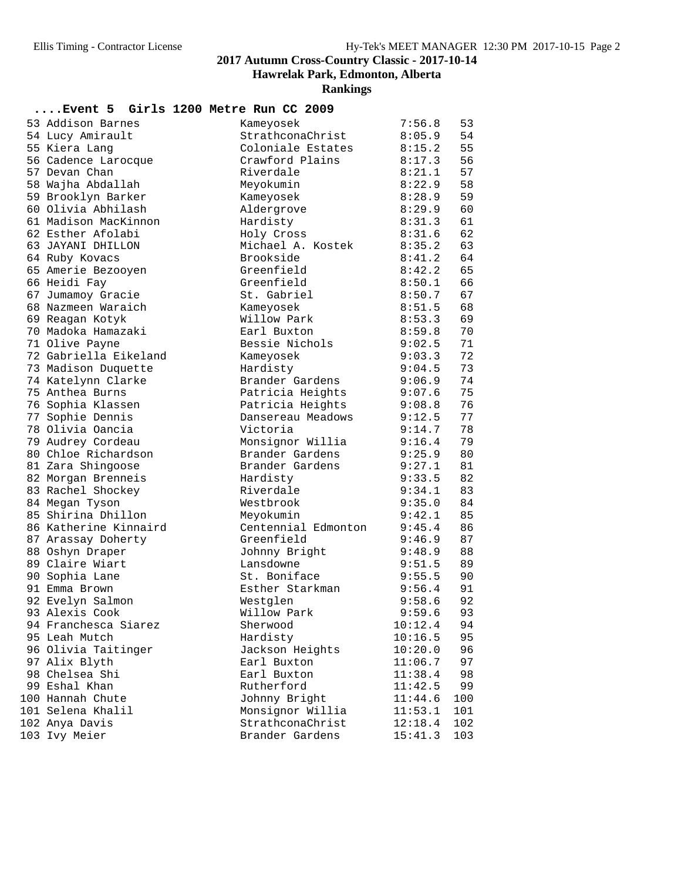**Hawrelak Park, Edmonton, Alberta**

|                       | Event 5 Girls 1200 Metre Run CC 2009 |         |     |
|-----------------------|--------------------------------------|---------|-----|
| 53 Addison Barnes     | Kameyosek                            | 7:56.8  | 53  |
| 54 Lucy Amirault      | StrathconaChrist                     | 8:05.9  | 54  |
| 55 Kiera Lang         | Coloniale Estates                    | 8:15.2  | 55  |
| 56 Cadence Larocque   | Crawford Plains                      | 8:17.3  | 56  |
| 57 Devan Chan         | Riverdale                            | 8:21.1  | 57  |
| 58 Wajha Abdallah     | Meyokumin                            | 8:22.9  | 58  |
| 59 Brooklyn Barker    | Kameyosek                            | 8:28.9  | 59  |
| 60 Olivia Abhilash    | Aldergrove                           | 8:29.9  | 60  |
| 61 Madison MacKinnon  | Hardisty                             | 8:31.3  | 61  |
| 62 Esther Afolabi     | Holy Cross                           | 8:31.6  | 62  |
| 63 JAYANI DHILLON     | Michael A. Kostek                    | 8:35.2  | 63  |
| 64 Ruby Kovacs        | Brookside                            | 8:41.2  | 64  |
| 65 Amerie Bezooyen    | Greenfield                           | 8:42.2  | 65  |
| 66 Heidi Fay          | Greenfield                           | 8:50.1  | 66  |
| 67 Jumamoy Gracie     | St. Gabriel                          | 8:50.7  | 67  |
| 68 Nazmeen Waraich    | Kameyosek                            | 8:51.5  | 68  |
| 69 Reagan Kotyk       | Willow Park                          | 8:53.3  | 69  |
| 70 Madoka Hamazaki    | Earl Buxton                          | 8:59.8  | 70  |
| 71 Olive Payne        | Bessie Nichols                       | 9:02.5  | 71  |
| 72 Gabriella Eikeland | Kameyosek                            | 9:03.3  | 72  |
| 73 Madison Duquette   | Hardisty                             | 9:04.5  | 73  |
| 74 Katelynn Clarke    | Brander Gardens                      | 9:06.9  | 74  |
| 75 Anthea Burns       | Patricia Heights                     | 9:07.6  | 75  |
| 76 Sophia Klassen     | Patricia Heights                     | 9:08.8  | 76  |
| 77 Sophie Dennis      | Dansereau Meadows                    | 9:12.5  | 77  |
| 78 Olivia Oancia      | Victoria                             | 9:14.7  | 78  |
| 79 Audrey Cordeau     | Monsignor Willia                     | 9:16.4  | 79  |
| 80 Chloe Richardson   | Brander Gardens                      | 9:25.9  | 80  |
| 81 Zara Shingoose     | Brander Gardens                      | 9:27.1  | 81  |
| 82 Morgan Brenneis    | Hardisty                             | 9:33.5  | 82  |
| 83 Rachel Shockey     | Riverdale                            | 9:34.1  | 83  |
| 84 Megan Tyson        | Westbrook                            | 9:35.0  | 84  |
| 85 Shirina Dhillon    | Meyokumin                            | 9:42.1  | 85  |
| 86 Katherine Kinnaird | Centennial Edmonton                  | 9:45.4  | 86  |
| 87 Arassay Doherty    | Greenfield                           | 9:46.9  | 87  |
| 88 Oshyn Draper       | Johnny Bright                        | 9:48.9  | 88  |
| 89 Claire Wiart       | Lansdowne                            | 9:51.5  | 89  |
| 90 Sophia Lane        | St. Boniface                         | 9:55.5  | 90  |
| 91 Emma Brown         | Esther Starkman                      | 9:56.4  | 91  |
| 92 Evelyn Salmon      | Westglen                             | 9:58.6  | 92  |
| 93 Alexis Cook        | Willow Park                          | 9:59.6  | 93  |
| 94 Franchesca Siarez  | Sherwood                             | 10:12.4 | 94  |
| 95 Leah Mutch         | Hardisty                             | 10:16.5 | 95  |
| 96 Olivia Taitinger   | Jackson Heights                      | 10:20.0 | 96  |
| 97 Alix Blyth         | Earl Buxton                          | 11:06.7 | 97  |
| 98 Chelsea Shi        | Earl Buxton                          | 11:38.4 | 98  |
| 99 Eshal Khan         | Rutherford                           | 11:42.5 | 99  |
| 100 Hannah Chute      | Johnny Bright                        | 11:44.6 | 100 |
| 101 Selena Khalil     | Monsignor Willia                     | 11:53.1 | 101 |
| 102 Anya Davis        | StrathconaChrist                     | 12:18.4 | 102 |
| 103 Ivy Meier         | Brander Gardens                      | 15:41.3 | 103 |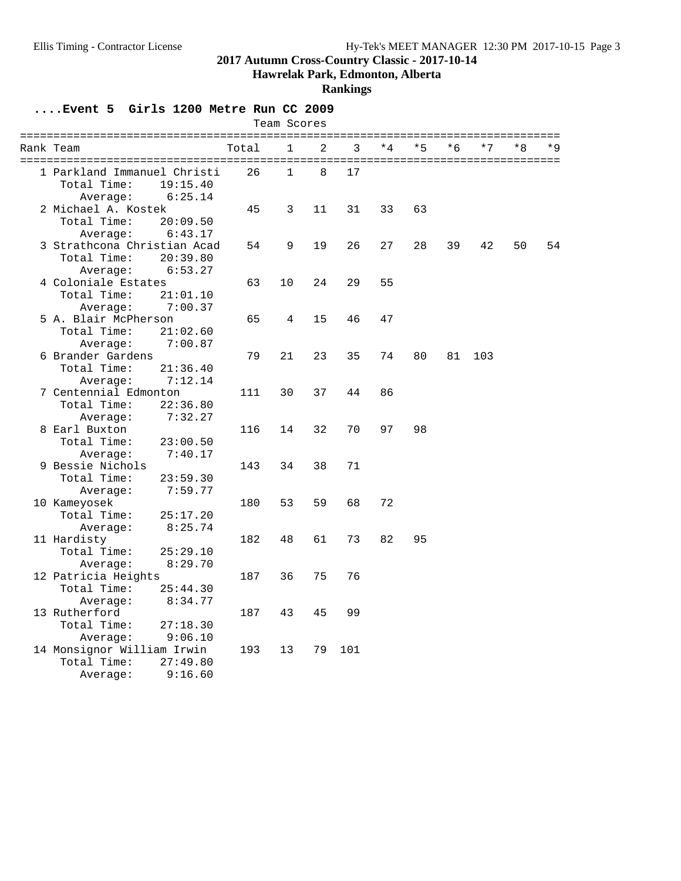**Hawrelak Park, Edmonton, Alberta**

### **Rankings**

**....Event 5 Girls 1200 Metre Run CC 2009**

|                                                                    |                                      | Team Scores  |    |     |      |      |      |      |      |      |
|--------------------------------------------------------------------|--------------------------------------|--------------|----|-----|------|------|------|------|------|------|
| Rank Team                                                          | Total                                | $\mathbf{1}$ | 2  | 3   | $*4$ | $*5$ | $*6$ | $*7$ | $*8$ | $*9$ |
| 1 Parkland Immanuel Christi<br>Total Time:                         | 26<br>19:15.40<br>6:25.14            | $\mathbf{1}$ | 8  | 17  |      |      |      |      |      |      |
| Average:<br>2 Michael A. Kostek<br>Total Time:                     | 45<br>20:09.50                       | 3            | 11 | 31  | 33   | 63   |      |      |      |      |
| Average:<br>3 Strathcona Christian Acad<br>Total Time:<br>Average: | 6:43.17<br>54<br>20:39.80<br>6:53.27 | 9            | 19 | 26  | 27   | 28   | 39   | 42   | 50   | 54   |
| 4 Coloniale Estates<br>Total Time:<br>Average:                     | 63<br>21:01.10<br>7:00.37            | 10           | 24 | 29  | 55   |      |      |      |      |      |
| 5 A. Blair McPherson<br>Total Time:<br>Average:                    | 65<br>21:02.60<br>7:00.87            | 4            | 15 | 46  | 47   |      |      |      |      |      |
| 6 Brander Gardens<br>Total Time:<br>Average:                       | 79<br>21:36.40<br>7:12.14            | 21           | 23 | 35  | 74   | 80   | 81   | 103  |      |      |
| 7 Centennial Edmonton<br>Total Time:<br>Average:                   | 111<br>22:36.80<br>7:32.27           | 30           | 37 | 44  | 86   |      |      |      |      |      |
| 8 Earl Buxton<br>Total Time:<br>Average:                           | 116<br>23:00.50<br>7:40.17           | 14           | 32 | 70  | 97   | 98   |      |      |      |      |
| 9 Bessie Nichols<br>Total Time:<br>Average:                        | 143<br>23:59.30<br>7:59.77           | 34           | 38 | 71  |      |      |      |      |      |      |
| 10 Kameyosek<br>Total Time:<br>Average:                            | 180<br>25:17.20<br>8:25.74           | 53           | 59 | 68  | 72   |      |      |      |      |      |
| 11 Hardisty<br>Total Time:<br>Average:                             | 182<br>25:29.10<br>8:29.70           | 48           | 61 | 73  | 82   | 95   |      |      |      |      |
| 12 Patricia Heights<br>Total Time:<br>Average:                     | 187<br>25:44.30<br>8:34.77           | 36           | 75 | 76  |      |      |      |      |      |      |
| 13 Rutherford<br>Total Time:<br>Average:                           | 187<br>27:18.30<br>9:06.10           | 43           | 45 | 99  |      |      |      |      |      |      |
| 14 Monsignor William Irwin<br>Total Time:<br>Average:              | 193<br>27:49.80<br>9:16.60           | 13           | 79 | 101 |      |      |      |      |      |      |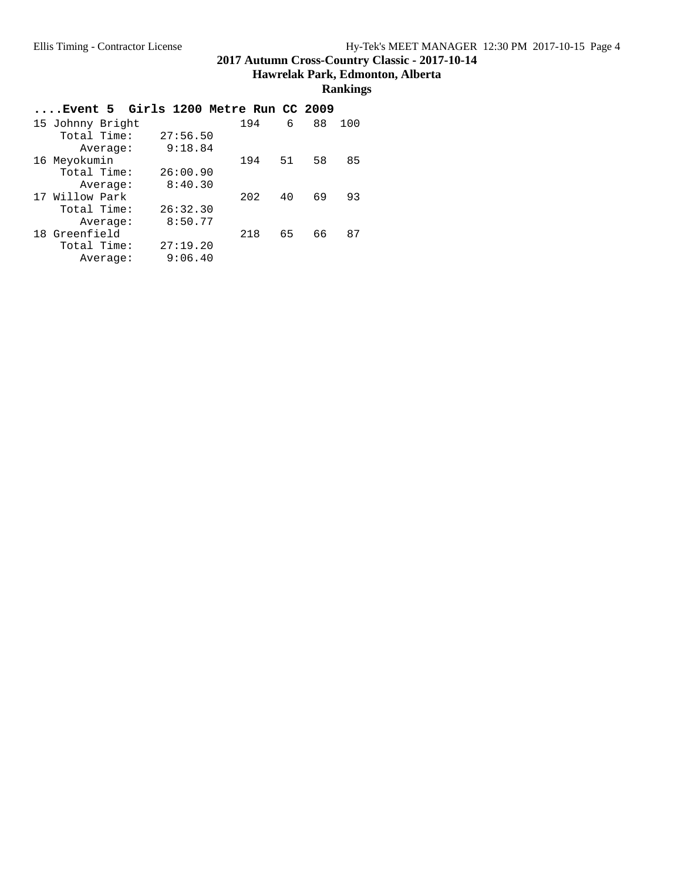#### **Hawrelak Park, Edmonton, Alberta**

|                  | $\ldots$ Event 5 $\,$ Girls 1200 Metre Run CC 2009 |           |           |
|------------------|----------------------------------------------------|-----------|-----------|
| 15 Johnny Bright |                                                    | 194<br>6  | 88<br>100 |
| Total Time:      | 27:56.50                                           |           |           |
| Average:         | 9:18.84                                            |           |           |
| 16 Meyokumin     |                                                    | 194<br>51 | 58<br>85  |
| Total Time:      | 26:00.90                                           |           |           |
| Average:         | 8:40.30                                            |           |           |
| 17 Willow Park   |                                                    | 202<br>40 | 69<br>93  |
| Total Time:      | 26:32.30                                           |           |           |
| Average:         | 8:50.77                                            |           |           |
| 18 Greenfield    |                                                    | 218<br>65 | 66<br>87  |
| Total Time:      | 27:19.20                                           |           |           |
| Average:         | 9:06.40                                            |           |           |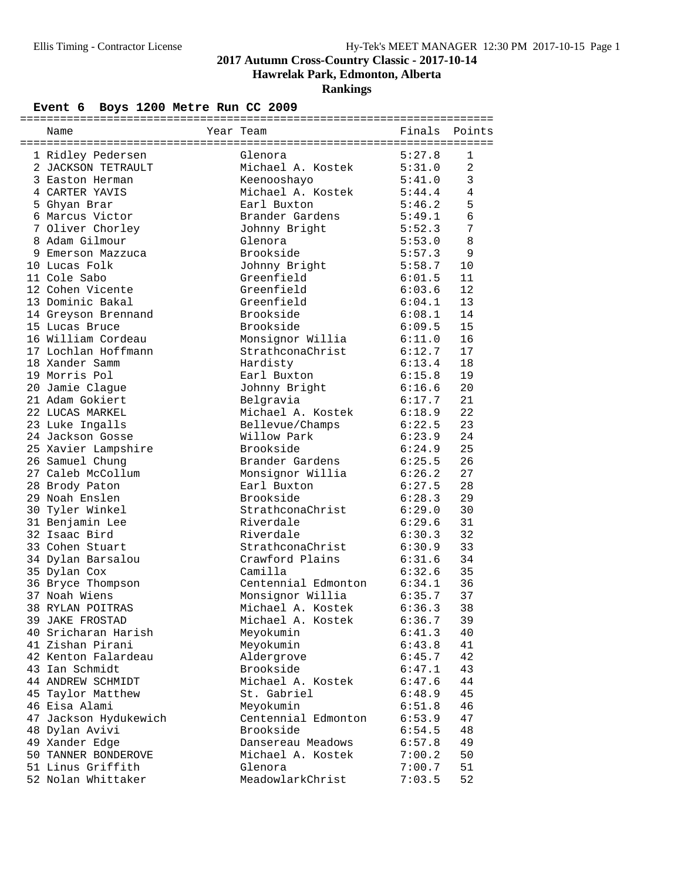**Hawrelak Park, Edmonton, Alberta**

### **Rankings**

### **Event 6 Boys 1200 Metre Run CC 2009**

| Name                                    | Year Team                        | Finals           | Points         |
|-----------------------------------------|----------------------------------|------------------|----------------|
| 1 Ridley Pedersen                       | Glenora                          | 5:27.8           | 1              |
| 2 JACKSON TETRAULT                      | Michael A. Kostek                | 5:31.0           | $\overline{2}$ |
| 3 Easton Herman                         | Keenooshayo                      | 5:41.0           | 3              |
| 4 CARTER YAVIS                          | Michael A. Kostek                | 5:44.4           | 4              |
| 5 Ghyan Brar                            | Earl Buxton                      | 5:46.2           | 5              |
| 6 Marcus Victor                         | Brander Gardens                  | 5:49.1           | 6              |
| 7 Oliver Chorley                        | Johnny Bright                    | 5:52.3           | 7              |
| 8 Adam Gilmour                          | Glenora                          | 5:53.0           | 8              |
| 9 Emerson Mazzuca                       | Brookside                        | 5:57.3           | 9              |
| 10 Lucas Folk                           | Johnny Bright                    | 5:58.7           | 10             |
| 11 Cole Sabo                            | Greenfield                       | 6:01.5           | 11             |
| 12 Cohen Vicente                        | Greenfield                       | 6:03.6           | 12             |
| 13 Dominic Bakal                        | Greenfield                       | 6:04.1           | 13             |
|                                         |                                  | 6:08.1           |                |
| 14 Greyson Brennand                     | Brookside                        |                  | 14             |
| 15 Lucas Bruce<br>16 William Cordeau    | Brookside<br>Monsignor Willia    | 6:09.5           | 15<br>16       |
|                                         |                                  | 6:11.0           | 17             |
| 17 Lochlan Hoffmann                     | StrathconaChrist                 | 6:12.7           |                |
| 18 Xander Samm<br>19 Morris Pol         | Hardisty<br>Earl Buxton          | 6:13.4<br>6:15.8 | 18<br>19       |
|                                         |                                  | 6:16.6           |                |
| 20 Jamie Clague<br>21 Adam Gokiert      | Johnny Bright                    |                  | 20<br>21       |
| 22 LUCAS MARKEL                         | Belgravia                        | 6:17.7           | 22             |
|                                         | Michael A. Kostek                | 6:18.9           |                |
| 23 Luke Ingalls                         | Bellevue/Champs                  | 6:22.5           | 23<br>24       |
| 24 Jackson Gosse                        | Willow Park<br>Brookside         | 6:23.9<br>6:24.9 | 25             |
| 25 Xavier Lampshire                     |                                  | 6:25.5           | 26             |
| 26 Samuel Chung<br>27 Caleb McCollum    | Brander Gardens                  |                  | 27             |
|                                         | Monsignor Willia<br>Earl Buxton  | 6:26.2<br>6:27.5 | 28             |
| 28 Brody Paton                          | Brookside                        |                  |                |
| 29 Noah Enslen                          |                                  | 6:28.3<br>6:29.0 | 29             |
| 30 Tyler Winkel                         | StrathconaChrist<br>Riverdale    | 6:29.6           | 30<br>31       |
| 31 Benjamin Lee<br>32 Isaac Bird        |                                  | 6:30.3           |                |
| 33 Cohen Stuart                         | Riverdale<br>StrathconaChrist    | 6:30.9           | 32<br>33       |
|                                         | Crawford Plains                  | 6:31.6           | 34             |
| 34 Dylan Barsalou                       |                                  |                  |                |
| 35 Dylan Cox                            | Camilla<br>Centennial Edmonton   | 6:32.6<br>6:34.1 | 35<br>36       |
| 36 Bryce Thompson<br>37 Noah Wiens      | Monsignor Willia                 | 6:35.7           | 37             |
| <b>38 RYLAN POITRAS</b>                 | Michael A. Kostek                | 6:36.3           | 38             |
| 39 JAKE FROSTAD                         | Michael A. Kostek                | 6:36.7           | 39             |
| 40 Sricharan Harish                     |                                  | 6:41.3           |                |
| 41 Zishan Pirani                        | Meyokumin<br>Meyokumin           | 6:43.8           | 40<br>41       |
| 42 Kenton Falardeau                     | Aldergrove                       | 6:45.7           | 42             |
| 43 Ian Schmidt                          | Brookside                        | 6:47.1           | 43             |
| 44 ANDREW SCHMIDT                       | Michael A. Kostek                | 6:47.6           |                |
|                                         | St. Gabriel                      |                  | 44             |
| 45 Taylor Matthew<br>46 Eisa Alami      | Meyokumin                        | 6:48.9<br>6:51.8 | 45<br>46       |
|                                         |                                  | 6:53.9           | 47             |
| 47 Jackson Hydukewich<br>48 Dylan Avivi | Centennial Edmonton<br>Brookside | 6:54.5           | 48             |
| 49 Xander Edge                          | Dansereau Meadows                | 6:57.8           | 49             |
| 50 TANNER BONDEROVE                     | Michael A. Kostek                | 7:00.2           | 50             |
| 51 Linus Griffith                       | Glenora                          | 7:00.7           | 51             |
| 52 Nolan Whittaker                      | MeadowlarkChrist                 | 7:03.5           | 52             |
|                                         |                                  |                  |                |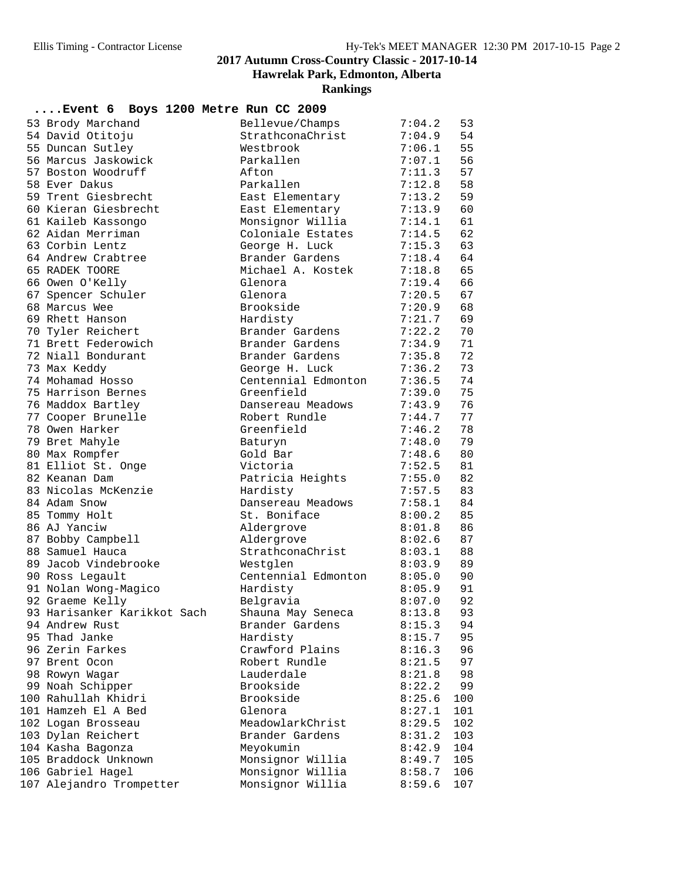**Hawrelak Park, Edmonton, Alberta**

| $\ldots$ . Event 6                 | Boys 1200 Metre Run CC 2009      |                  |          |
|------------------------------------|----------------------------------|------------------|----------|
| 53 Brody Marchand                  | Bellevue/Champs                  | 7:04.2           | 53       |
| 54 David Otitoju                   | StrathconaChrist                 | 7:04.9           | 54       |
| 55 Duncan Sutley                   | Westbrook                        | 7:06.1           | 55       |
| 56 Marcus Jaskowick                | Parkallen                        | 7:07.1           | 56       |
| 57 Boston Woodruff                 | Afton                            | 7:11.3           | 57       |
| 58 Ever Dakus                      | Parkallen                        | 7:12.8           | 58       |
| 59 Trent Giesbrecht                | East Elementary                  | 7:13.2           | 59       |
| 60 Kieran Giesbrecht               | East Elementary                  | 7:13.9           | 60       |
| 61 Kaileb Kassongo                 | Monsignor Willia                 | 7:14.1           | 61       |
| 62 Aidan Merriman                  | Coloniale Estates                | 7:14.5           | 62       |
| 63 Corbin Lentz                    | George H. Luck                   | 7:15.3           | 63       |
| 64 Andrew Crabtree                 | Brander Gardens                  | 7:18.4           | 64       |
| 65 RADEK TOORE                     | Michael A. Kostek                | 7:18.8           | 65       |
| 66 Owen O'Kelly                    | Glenora                          | 7:19.4           | 66       |
| 67 Spencer Schuler                 | Glenora                          | 7:20.5           | 67       |
| 68 Marcus Wee                      | Brookside                        | 7:20.9           | 68       |
| 69 Rhett Hanson                    | Hardisty                         | 7:21.7           | 69       |
| 70 Tyler Reichert                  | Brander Gardens                  | 7:22.2           | 70       |
| 71 Brett Federowich                | Brander Gardens                  | 7:34.9           | 71       |
| 72 Niall Bondurant                 | Brander Gardens                  | 7:35.8           | 72       |
| 73 Max Keddy                       | George H. Luck                   | 7:36.2           | 73       |
| 74 Mohamad Hosso                   | Centennial Edmonton              | 7:36.5           | 74       |
| 75 Harrison Bernes                 | Greenfield                       | 7:39.0           | 75       |
| 76 Maddox Bartley                  | Dansereau Meadows                | 7:43.9           | 76       |
| 77 Cooper Brunelle                 | Robert Rundle                    | 7:44.7           | 77       |
| 78 Owen Harker                     | Greenfield                       | 7:46.2           | 78       |
| 79 Bret Mahyle                     | Baturyn                          | 7:48.0           | 79       |
| 80 Max Rompfer                     | Gold Bar                         | 7:48.6           | 80       |
| 81 Elliot St. Onge                 | Victoria                         | 7:52.5           | 81       |
| 82 Keanan Dam                      | Patricia Heights                 | 7:55.0           | 82       |
| 83 Nicolas McKenzie                | Hardisty                         | 7:57.5           | 83       |
| 84 Adam Snow                       | Dansereau Meadows                | 7:58.1           | 84       |
| 85 Tommy Holt                      | St. Boniface                     | 8:00.2           | 85       |
| 86 AJ Yanciw                       | Aldergrove                       | 8:01.8           | 86       |
| 87 Bobby Campbell                  | Aldergrove                       | 8:02.6           | 87       |
| 88 Samuel Hauca                    | StrathconaChrist                 | 8:03.1           | 88       |
| 89 Jacob Vindebrooke               | Westglen                         | 8:03.9           | 89       |
| 90 Ross Legault                    | Centennial Edmonton              | 8:05.0           | 90       |
| 91 Nolan Wong-Magico               | Hardisty                         | 8:05.9           | 91       |
| 92 Graeme Kelly                    | Belgravia                        | 8:07.0           | 92       |
| 93 Harisanker Karikkot Sach        | Shauna May Seneca                | 8:13.8           | 93       |
| 94 Andrew Rust                     | Brander Gardens                  | 8:15.3           | 94       |
| 95 Thad Janke                      | Hardisty                         | 8:15.7           | 95       |
| 96 Zerin Farkes<br>97 Brent Ocon   | Crawford Plains<br>Robert Rundle | 8:16.3<br>8:21.5 | 96<br>97 |
|                                    | Lauderdale                       |                  |          |
| 98 Rowyn Wagar<br>99 Noah Schipper | Brookside                        | 8:21.8<br>8:22.2 | 98<br>99 |
| 100 Rahullah Khidri                | Brookside                        | 8:25.6           | 100      |
| 101 Hamzeh El A Bed                | Glenora                          | 8:27.1           | 101      |
| 102 Logan Brosseau                 | MeadowlarkChrist                 | 8:29.5           | 102      |
| 103 Dylan Reichert                 | Brander Gardens                  | 8:31.2           | 103      |
| 104 Kasha Bagonza                  | Meyokumin                        | 8:42.9           | 104      |
| 105 Braddock Unknown               | Monsignor Willia                 | 8:49.7           | 105      |
| 106 Gabriel Hagel                  | Monsignor Willia                 | 8:58.7           | 106      |
| 107 Alejandro Trompetter           | Monsignor Willia                 | 8:59.6           | 107      |
|                                    |                                  |                  |          |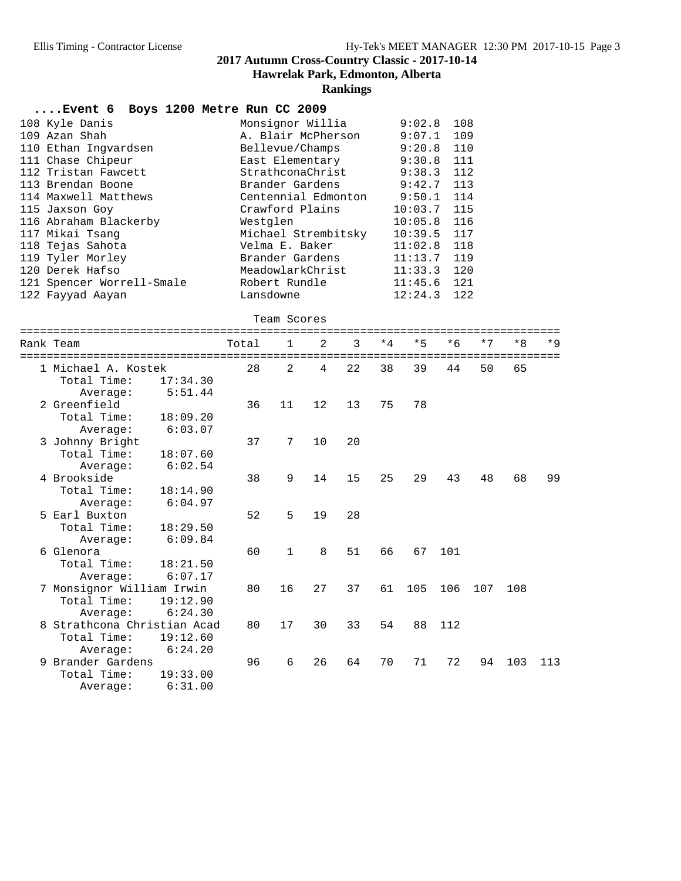**Hawrelak Park, Edmonton, Alberta**

| Event 6 Boys 1200 Metre Run CC 2009 |                     |               |     |
|-------------------------------------|---------------------|---------------|-----|
|                                     |                     |               |     |
| 108 Kyle Danis                      | Monsignor Willia    | 9:02.8        | 108 |
| 109 Azan Shah                       | A. Blair McPherson  | 9:07.1        | 109 |
| 110 Ethan Ingvardsen                | Bellevue/Champs     | 9:20.8        | 110 |
| 111 Chase Chipeur                   | East Elementary     | 9:30.8        | 111 |
| 112 Tristan Fawcett                 | StrathconaChrist    | 9:38.3        | 112 |
| 113 Brendan Boone                   | Brander Gardens     | $9:42.7$ 113  |     |
| 114 Maxwell Matthews                | Centennial Edmonton | 9:50.1        | 114 |
| 115 Jaxson Goy                      | Crawford Plains     | $10:03.7$ 115 |     |
| 116 Abraham Blackerby               | Westglen            | $10:05.8$ 116 |     |
| 117 Mikai Tsang                     | Michael Strembitsky | $10:39.5$ 117 |     |
| 118 Tejas Sahota                    | Velma E. Baker      | 11:02.8       | 118 |
| 119 Tyler Morley                    | Brander Gardens     | $11:13.7$ 119 |     |
| 120 Derek Hafso                     | MeadowlarkChrist    | $11:33.3$ 120 |     |
| 121 Spencer Worrell-Smale           | Robert Rundle       | $11:45.6$ 121 |     |
| 122 Fayyad Aayan                    | Lansdowne           | 12:24.3       | 122 |

|  | Team Scores |
|--|-------------|
|  |             |

|   | Rank Team                                    | Total |              | 2  | 3  | $*4$ | $*5$ | $*6$ | $*7$ | $*8$ | $*9$ |
|---|----------------------------------------------|-------|--------------|----|----|------|------|------|------|------|------|
|   | =====================<br>1 Michael A. Kostek | 28    | 2            | 4  | 22 | 38   | 39   | 44   | 50   | 65   |      |
|   | Total Time:<br>17:34.30                      |       |              |    |    |      |      |      |      |      |      |
|   | 5:51.44<br>Average:                          |       |              |    |    |      |      |      |      |      |      |
|   | 2 Greenfield                                 | 36    | 11           | 12 | 13 | 75   | 78   |      |      |      |      |
|   | Total Time:<br>18:09.20                      |       |              |    |    |      |      |      |      |      |      |
|   | 6:03.07<br>Average:                          |       |              |    |    |      |      |      |      |      |      |
|   | 3 Johnny Bright                              | 37    | 7            | 10 | 20 |      |      |      |      |      |      |
|   | Total Time:<br>18:07.60                      |       |              |    |    |      |      |      |      |      |      |
|   | 6:02.54<br>Average:                          |       |              |    |    |      |      |      |      |      |      |
|   | 4 Brookside                                  | 38    | 9            | 14 | 15 | 25   | 29   | 43   | 48   | 68   | 99   |
|   | Total Time:<br>18:14.90                      |       |              |    |    |      |      |      |      |      |      |
|   | 6:04.97<br>Average:                          |       |              |    |    |      |      |      |      |      |      |
|   | 5 Earl Buxton                                | 52    | 5            | 19 | 28 |      |      |      |      |      |      |
|   | Total Time:<br>18:29.50                      |       |              |    |    |      |      |      |      |      |      |
|   | 6:09.84<br>Average:                          |       |              |    |    |      |      |      |      |      |      |
|   | 6 Glenora                                    | 60    | $\mathbf{1}$ | 8  | 51 | 66   | 67   | 101  |      |      |      |
|   | Total Time:<br>18:21.50                      |       |              |    |    |      |      |      |      |      |      |
|   | 6:07.17<br>Average:                          |       |              |    |    |      |      |      |      |      |      |
|   | 7 Monsignor William Irwin                    | 80    | 16           | 27 | 37 | 61   | 105  | 106  | 107  | 108  |      |
|   | Total Time:<br>19:12.90                      |       |              |    |    |      |      |      |      |      |      |
|   | 6:24.30<br>Average:                          |       |              |    |    |      |      |      |      |      |      |
| 8 | Strathcona Christian Acad                    | 80    | 17           | 30 | 33 | 54   | 88   | 112  |      |      |      |
|   | Total Time:<br>19:12.60                      |       |              |    |    |      |      |      |      |      |      |
|   | 6:24.20<br>Average:                          |       |              |    |    |      |      |      |      |      |      |
|   | 9 Brander Gardens                            | 96    | 6            | 26 | 64 | 70   | 71   | 72   | 94   | 103  | 113  |
|   | Total Time:<br>19:33.00                      |       |              |    |    |      |      |      |      |      |      |
|   | 6:31.00<br>Average:                          |       |              |    |    |      |      |      |      |      |      |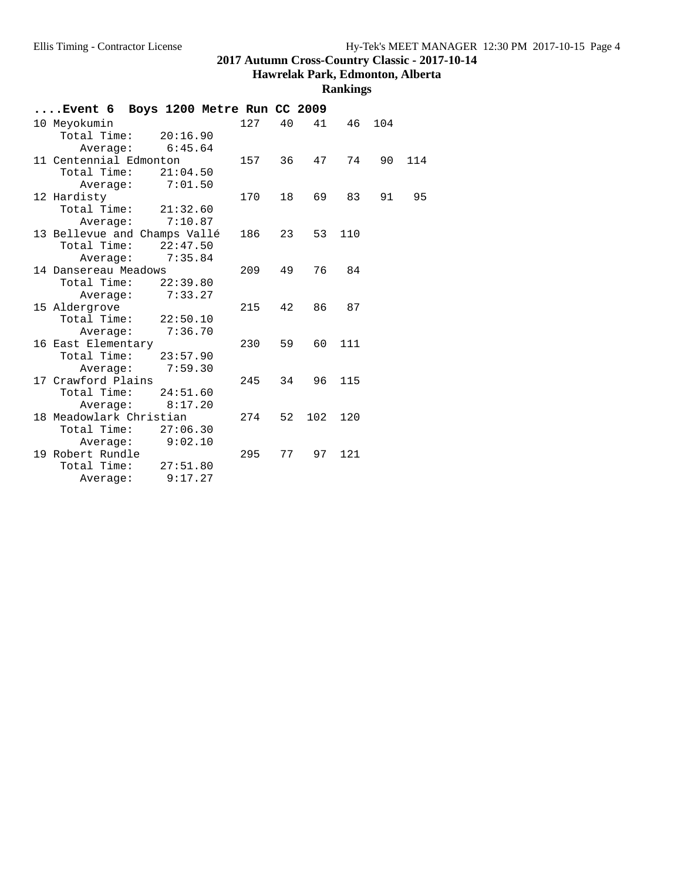#### **Hawrelak Park, Edmonton, Alberta**

| Event 6 Boys 1200 Metre Run CC 2009 |          |     |           |          |     |     |     |
|-------------------------------------|----------|-----|-----------|----------|-----|-----|-----|
| 10 Meyokumin                        |          |     | 127<br>40 | 41       | 46  | 104 |     |
| Total Time: 20:16.90                |          |     |           |          |     |     |     |
| Average: 6:45.64                    |          |     |           |          |     |     |     |
| 11 Centennial Edmonton              |          |     | 157       | 36<br>47 | 74  | 90  | 114 |
| Total Time:                         | 21:04.50 |     |           |          |     |     |     |
| Average:                            | 7:01.50  |     |           |          |     |     |     |
| 12 Hardisty                         |          |     | 170<br>18 | 69       | 83  | 91  | 95  |
| Total Time: 21:32.60                |          |     |           |          |     |     |     |
| Average: 7:10.87                    |          |     |           |          |     |     |     |
| 13 Bellevue and Champs Vallé        |          |     | 186       | 23<br>53 | 110 |     |     |
| Total Time: 22:47.50                |          |     |           |          |     |     |     |
| Average: 7:35.84                    |          |     |           |          |     |     |     |
| 14 Dansereau Meadows                |          | 209 | 49        | 76       | 84  |     |     |
| Total Time:                         | 22:39.80 |     |           |          |     |     |     |
| Average:                            | 7:33.27  |     |           |          |     |     |     |
| 15 Aldergrove                       |          |     | 215<br>42 | 86       | 87  |     |     |
| Total Time:                         | 22:50.10 |     |           |          |     |     |     |
| Average:                            | 7:36.70  |     |           |          |     |     |     |
| 16 East Elementary                  |          | 230 | 59        | 60       | 111 |     |     |
| Total Time: 23:57.90                |          |     |           |          |     |     |     |
| Average:                            | 7:59.30  |     |           |          |     |     |     |
| 17 Crawford Plains                  |          |     | 245       | 96<br>34 | 115 |     |     |
| Total Time: 24:51.60                |          |     |           |          |     |     |     |
| Average:                            | 8:17.20  |     |           |          |     |     |     |
| 18 Meadowlark Christian             |          |     | 52<br>274 | 102      | 120 |     |     |
| Total Time:                         | 27:06.30 |     |           |          |     |     |     |
| Average:                            | 9:02.10  |     |           |          |     |     |     |
| 19 Robert Rundle                    |          |     | 295       | 77<br>97 | 121 |     |     |
| Total Time:                         | 27:51.80 |     |           |          |     |     |     |
| Average:                            | 9:17.27  |     |           |          |     |     |     |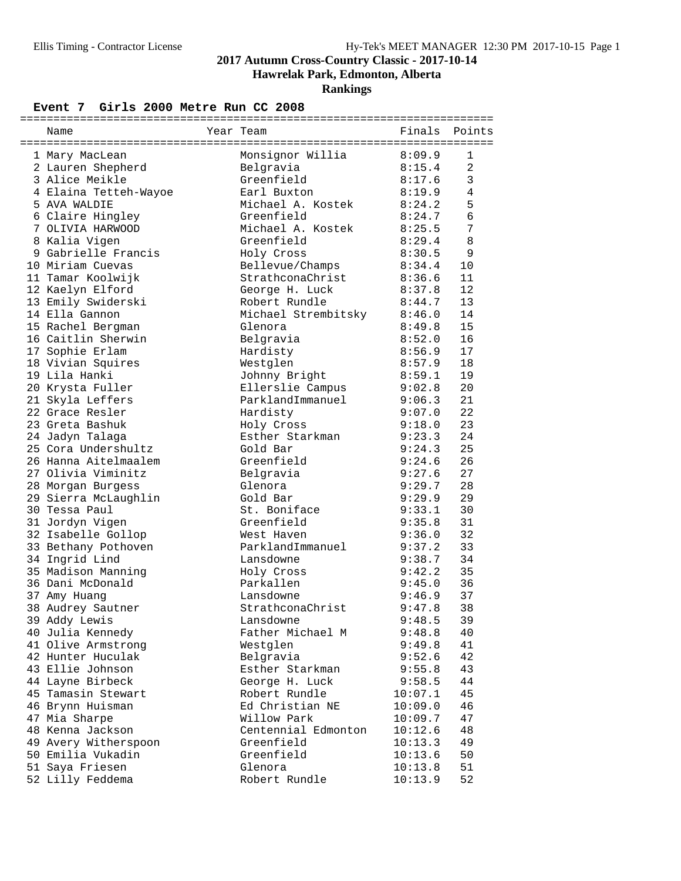**Hawrelak Park, Edmonton, Alberta**

### **Rankings**

#### **Event 7 Girls 2000 Metre Run CC 2008**

| Name                  | Year Team           | Finals  | Points         |
|-----------------------|---------------------|---------|----------------|
|                       |                     |         |                |
| 1 Mary MacLean        | Monsignor Willia    | 8:09.9  | 1              |
| 2 Lauren Shepherd     | Belgravia           | 8:15.4  | $\overline{a}$ |
| 3 Alice Meikle        | Greenfield          | 8:17.6  | 3              |
| 4 Elaina Tetteh-Wayoe | Earl Buxton         | 8:19.9  | 4              |
| 5 AVA WALDIE          | Michael A. Kostek   | 8:24.2  | 5              |
| 6 Claire Hingley      | Greenfield          | 8:24.7  | 6              |
| 7 OLIVIA HARWOOD      | Michael A. Kostek   | 8:25.5  | 7              |
| 8 Kalia Vigen         | Greenfield          | 8:29.4  | $\,8\,$        |
| 9 Gabrielle Francis   | Holy Cross          | 8:30.5  | 9              |
| 10 Miriam Cuevas      | Bellevue/Champs     | 8:34.4  | 10             |
| 11 Tamar Koolwijk     | StrathconaChrist    | 8:36.6  | 11             |
| 12 Kaelyn Elford      | George H. Luck      | 8:37.8  | 12             |
| 13 Emily Swiderski    | Robert Rundle       | 8:44.7  | 13             |
| 14 Ella Gannon        | Michael Strembitsky | 8:46.0  | 14             |
| 15 Rachel Bergman     | Glenora             | 8:49.8  | 15             |
| 16 Caitlin Sherwin    | Belgravia           | 8:52.0  | 16             |
| 17 Sophie Erlam       | Hardisty            | 8:56.9  | 17             |
| 18 Vivian Squires     | Westglen            | 8:57.9  | 18             |
| 19 Lila Hanki         | Johnny Bright       | 8:59.1  | 19             |
| 20 Krysta Fuller      | Ellerslie Campus    | 9:02.8  | 20             |
| 21 Skyla Leffers      | ParklandImmanuel    | 9:06.3  | 21             |
| 22 Grace Resler       | Hardisty            | 9:07.0  | 22             |
| 23 Greta Bashuk       | Holy Cross          | 9:18.0  | 23             |
| 24 Jadyn Talaga       | Esther Starkman     | 9:23.3  | 24             |
| 25 Cora Undershultz   | Gold Bar            | 9:24.3  | 25             |
| 26 Hanna Aitelmaalem  | Greenfield          | 9:24.6  | 26             |
| 27 Olivia Viminitz    | Belgravia           | 9:27.6  | 27             |
| 28 Morgan Burgess     | Glenora             | 9:29.7  | 28             |
| 29 Sierra McLaughlin  | Gold Bar            | 9:29.9  | 29             |
| 30 Tessa Paul         | St. Boniface        | 9:33.1  | 30             |
| 31 Jordyn Vigen       | Greenfield          | 9:35.8  | 31             |
| 32 Isabelle Gollop    | West Haven          | 9:36.0  | 32             |
| 33 Bethany Pothoven   | ParklandImmanuel    | 9:37.2  | 33             |
| 34 Ingrid Lind        | Lansdowne           | 9:38.7  | 34             |
| 35 Madison Manning    | Holy Cross          | 9:42.2  | 35             |
| 36 Dani McDonald      | Parkallen           | 9:45.0  | 36             |
| 37 Amy Huang          | Lansdowne           | 9:46.9  | 37             |
| 38 Audrey Sautner     | StrathconaChrist    | 9:47.8  | 38             |
| 39 Addy Lewis         | Lansdowne           | 9:48.5  | 39             |
| 40 Julia Kennedy      | Father Michael M    | 9:48.8  | 40             |
| 41 Olive Armstrong    | Westglen            | 9:49.8  | 41             |
| 42 Hunter Huculak     | Belgravia           | 9:52.6  | 42             |
| 43 Ellie Johnson      | Esther Starkman     | 9:55.8  | 43             |
| 44 Layne Birbeck      | George H. Luck      | 9:58.5  | 44             |
| 45 Tamasin Stewart    | Robert Rundle       | 10:07.1 | 45             |
| 46 Brynn Huisman      | Ed Christian NE     | 10:09.0 | 46             |
| 47 Mia Sharpe         | Willow Park         | 10:09.7 | 47             |
| 48 Kenna Jackson      | Centennial Edmonton | 10:12.6 | 48             |
| 49 Avery Witherspoon  | Greenfield          | 10:13.3 | 49             |
| 50 Emilia Vukadin     | Greenfield          | 10:13.6 | 50             |
| 51 Saya Friesen       | Glenora             | 10:13.8 | 51             |
| 52 Lilly Feddema      | Robert Rundle       | 10:13.9 | 52             |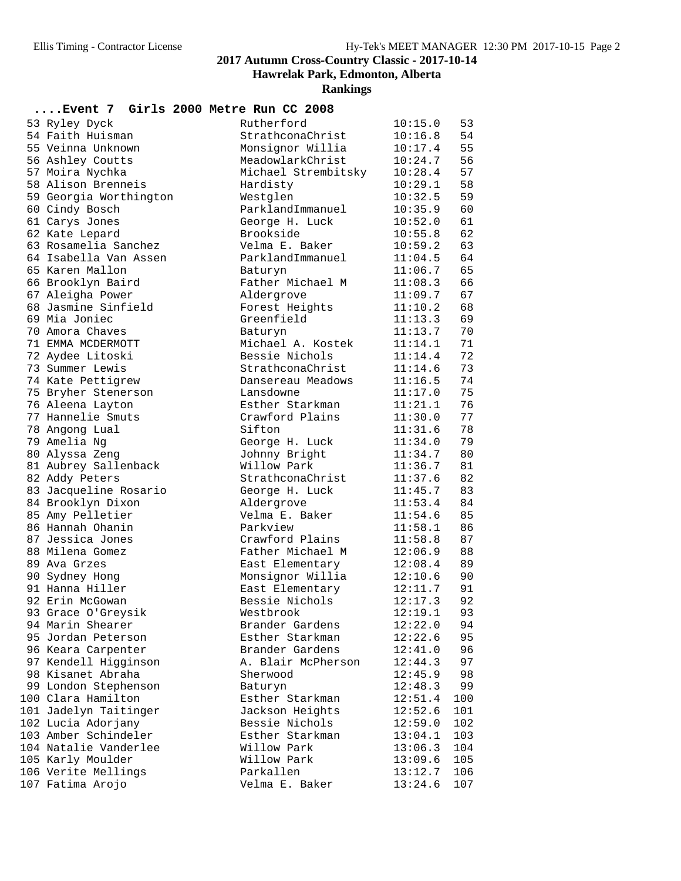**Hawrelak Park, Edmonton, Alberta**

| Event 7 Girls 2000 Metre Run CC 2008       |                                    |                    |          |
|--------------------------------------------|------------------------------------|--------------------|----------|
| 53 Ryley Dyck                              | Rutherford                         | 10:15.0            | 53       |
| 54 Faith Huisman                           | StrathconaChrist                   | 10:16.8            | 54       |
| 55 Veinna Unknown                          | Monsignor Willia                   | 10:17.4            | 55       |
| 56 Ashley Coutts                           | MeadowlarkChrist                   | 10:24.7            | 56       |
| 57 Moira Nychka                            | Michael Strembitsky                | 10:28.4            | 57       |
| 58 Alison Brenneis                         | Hardisty                           | 10:29.1            | 58       |
| 59 Georgia Worthington                     | Westglen                           | 10:32.5            | 59       |
| 60 Cindy Bosch                             | ParklandImmanuel                   | 10:35.9            | 60       |
| 61 Carys Jones                             | George H. Luck                     | 10:52.0            | 61       |
| 62 Kate Lepard                             | Brookside                          | 10:55.8            | 62       |
| 63 Rosamelia Sanchez                       | Velma E. Baker                     | 10:59.2            | 63       |
| 64 Isabella Van Assen                      | ParklandImmanuel                   | 11:04.5            | 64       |
| 65 Karen Mallon                            | Baturyn                            | 11:06.7            | 65       |
| 66 Brooklyn Baird                          | Father Michael M                   | 11:08.3            | 66       |
| 67 Aleigha Power                           | Aldergrove                         | 11:09.7            | 67       |
| 68 Jasmine Sinfield                        | Forest Heights                     | 11:10.2            | 68       |
| 69 Mia Joniec                              | Greenfield                         | 11:13.3            | 69       |
| 70 Amora Chaves                            | Baturyn                            | 11:13.7            | 70       |
| 71 EMMA MCDERMOTT                          | Michael A. Kostek                  | 11:14.1            | 71       |
| 72 Aydee Litoski                           | Bessie Nichols                     | 11:14.4            | 72       |
| 73 Summer Lewis                            | StrathconaChrist                   | 11:14.6            | 73<br>74 |
| 74 Kate Pettigrew<br>75 Bryher Stenerson   | Dansereau Meadows<br>Lansdowne     | 11:16.5<br>11:17.0 | 75       |
| 76 Aleena Layton                           | Esther Starkman                    | 11:21.1            | 76       |
| 77 Hannelie Smuts                          | Crawford Plains                    | 11:30.0            | 77       |
| 78 Angong Lual                             | Sifton                             | 11:31.6            | 78       |
| 79 Amelia Ng                               | George H. Luck                     | 11:34.0            | 79       |
| 80 Alyssa Zeng                             | Johnny Bright                      | 11:34.7            | 80       |
| 81 Aubrey Sallenback                       | Willow Park                        | 11:36.7            | 81       |
| 82 Addy Peters                             | StrathconaChrist                   | 11:37.6            | 82       |
| 83 Jacqueline Rosario                      | George H. Luck                     | 11:45.7            | 83       |
| 84 Brooklyn Dixon                          | Aldergrove                         | 11:53.4            | 84       |
| 85 Amy Pelletier                           | Velma E. Baker                     | 11:54.6            | 85       |
| 86 Hannah Ohanin                           | Parkview                           | 11:58.1            | 86       |
| 87 Jessica Jones                           | Crawford Plains                    | 11:58.8            | 87       |
| 88 Milena Gomez                            | Father Michael M                   | 12:06.9            | 88       |
| 89 Ava Grzes                               | East Elementary                    | 12:08.4            | 89       |
| 90 Sydney Hong                             | Monsignor Willia                   | 12:10.6            | 90       |
| 91 Hanna Hiller                            | East Elementary                    | 12:11.7            | 91       |
| 92 Erin McGowan                            | Bessie Nichols                     | 12:17.3            | 92       |
| 93 Grace O'Greysik                         | Westbrook                          | 12:19.1            | 93       |
| 94 Marin Shearer                           | Brander Gardens                    | 12:22.0            | 94       |
| 95 Jordan Peterson                         | Esther Starkman<br>Brander Gardens | 12:22.6            | 95       |
| 96 Keara Carpenter<br>97 Kendell Higginson | A. Blair McPherson                 | 12:41.0<br>12:44.3 | 96<br>97 |
| 98 Kisanet Abraha                          | Sherwood                           | 12:45.9            | 98       |
| 99 London Stephenson                       | Baturyn                            | 12:48.3            | 99       |
| 100 Clara Hamilton                         | Esther Starkman                    | 12:51.4            | 100      |
| 101 Jadelyn Taitinger                      | Jackson Heights                    | 12:52.6            | 101      |
| 102 Lucia Adorjany                         | Bessie Nichols                     | 12:59.0            | 102      |
| 103 Amber Schindeler                       | Esther Starkman                    | 13:04.1            | 103      |
| 104 Natalie Vanderlee                      | Willow Park                        | 13:06.3            | 104      |
| 105 Karly Moulder                          | Willow Park                        | 13:09.6            | 105      |
| 106 Verite Mellings                        | Parkallen                          | 13:12.7            | 106      |
| 107 Fatima Arojo                           | Velma E. Baker                     | 13:24.6            | 107      |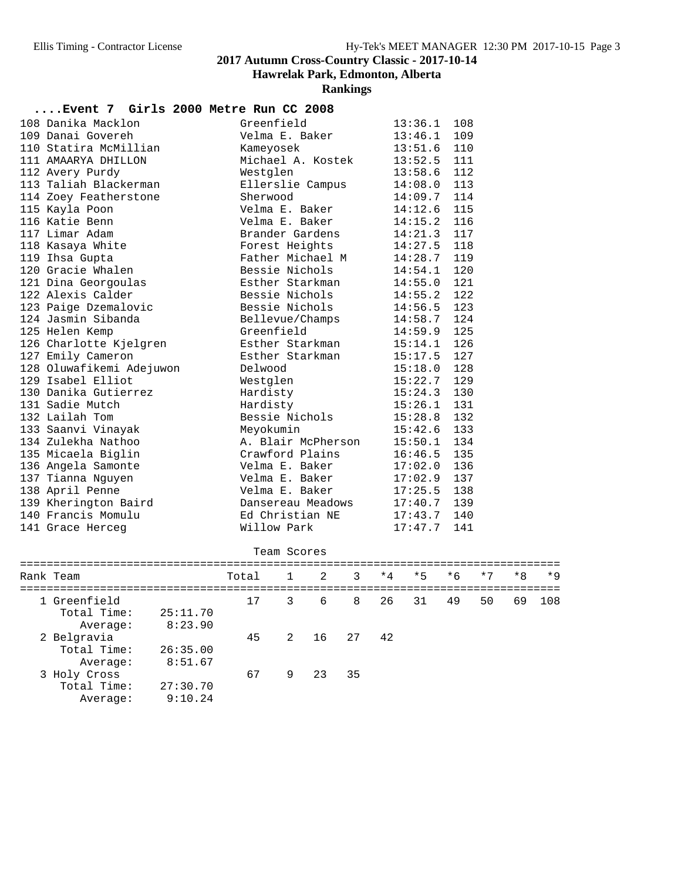### **2017 Autumn Cross-Country Classic - 2017-10-14 Hawrelak Park, Edmonton, Alberta**

### **Rankings**

### **....Event 7 Girls 2000 Metre Run CC 2008**

| 108 Danika Macklon       | Greenfield         | 13:36.1       | 108 |
|--------------------------|--------------------|---------------|-----|
| 109 Danai Govereh        | Velma E. Baker     | $13:46.1$ 109 |     |
| 110 Statira McMillian    | Kameyosek          | $13:51.6$ 110 |     |
| 111 AMAARYA DHILLON      | Michael A. Kostek  | $13:52.5$ 111 |     |
| 112 Avery Purdy          | Westglen           | $13:58.6$ 112 |     |
| 113 Taliah Blackerman    | Ellerslie Campus   | 14:08.0       | 113 |
| 114 Zoey Featherstone    | Sherwood           | $14:09.7$ 114 |     |
| 115 Kayla Poon           | Velma E. Baker     | 14:12.6       | 115 |
| 116 Katie Benn           | Velma E. Baker     | $14:15.2$ 116 |     |
| 117 Limar Adam           | Brander Gardens    | $14:21.3$ 117 |     |
| 118 Kasaya White         | Forest Heights     | 14:27.5       | 118 |
| 119 Ihsa Gupta           | Father Michael M   | 14:28.7 119   |     |
| 120 Gracie Whalen        | Bessie Nichols     | $14:54.1$ 120 |     |
| 121 Dina Georgoulas      | Esther Starkman    | $14:55.0$ 121 |     |
| 122 Alexis Calder        | Bessie Nichols     | $14:55.2$ 122 |     |
| 123 Paige Dzemalovic     | Bessie Nichols     | 14:56.5       | 123 |
| 124 Jasmin Sibanda       | Bellevue/Champs    | $14:58.7$ 124 |     |
| 125 Helen Kemp           | Greenfield         | 14:59.9       | 125 |
| 126 Charlotte Kjelgren   | Esther Starkman    | $15:14.1$ 126 |     |
| 127 Emily Cameron        | Esther Starkman    | 15:17.5 127   |     |
| 128 Oluwafikemi Adejuwon | Delwood            | 15:18.0       | 128 |
| 129 Isabel Elliot        | Westglen           | $15:22.7$ 129 |     |
| 130 Danika Gutierrez     | Hardisty           | $15:24.3$ 130 |     |
| 131 Sadie Mutch          | Hardisty           | $15:26.1$ 131 |     |
| 132 Lailah Tom           | Bessie Nichols     | $15:28.8$ 132 |     |
| 133 Saanvi Vinayak       | Meyokumin          | 15:42.6       | 133 |
| 134 Zulekha Nathoo       | A. Blair McPherson | 15:50.1       | 134 |
| 135 Micaela Biglin       | Crawford Plains    | 16:46.5       | 135 |
| 136 Angela Samonte       | Velma E. Baker     | 17:02.0       | 136 |
| 137 Tianna Nguyen        | Velma E. Baker     | 17:02.9       | 137 |
| 138 April Penne          | Velma E. Baker     | 17:25.5       | 138 |
| 139 Kherington Baird     | Dansereau Meadows  | $17:40.7$ 139 |     |
| 140 Francis Momulu       | Ed Christian NE    | $17:43.7$ 140 |     |
| 141 Grace Herceg         | Willow Park        | 17:47.7       | 141 |

#### Team Scores

| Rank Team                               |                     | Total | $\mathbf{1}$ | 2  | 3  | $*4$ | $*5$ | $*6$ | $*7$ | $*8$ | $*9$ |
|-----------------------------------------|---------------------|-------|--------------|----|----|------|------|------|------|------|------|
| 1 Greenfield<br>Total Time:<br>Average: | 25:11.70<br>8:23.90 | 17    | 3            | 6  | 8  | 26   | 31   | 49   | 50   | 69   | 108  |
| 2 Belgravia<br>Total Time:<br>Average:  | 26:35.00<br>8:51.67 | 45    | 2            | 16 | 27 | 42   |      |      |      |      |      |
| 3 Holy Cross<br>Total Time:<br>Average: | 27:30.70<br>9:10.24 | 67    | 9            | 23 | 35 |      |      |      |      |      |      |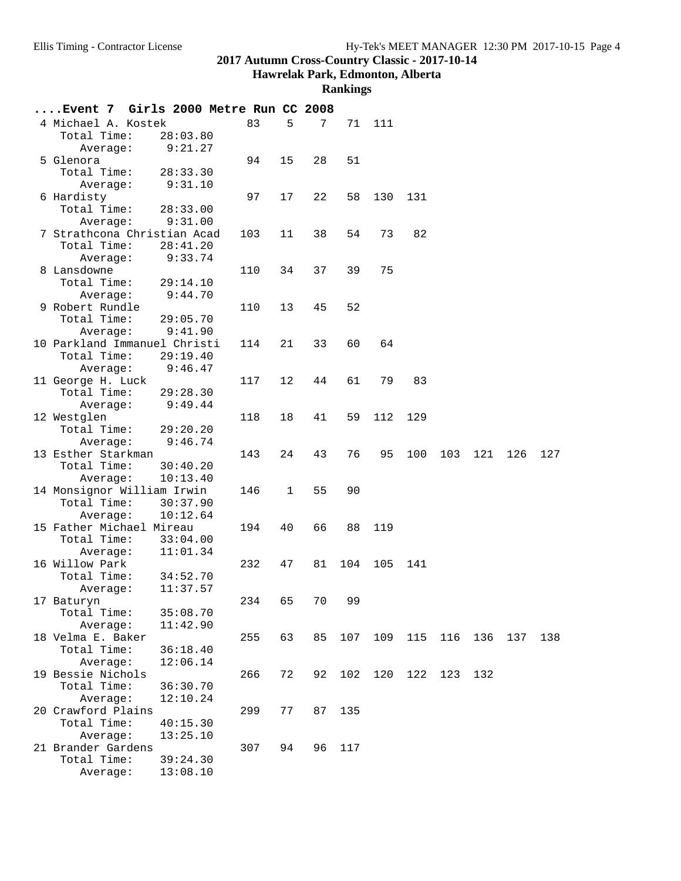#### **Hawrelak Park, Edmonton, Alberta**

| Event 7 Girls 2000 Metre Run CC          |                      |     |    | 2008 |     |     |     |     |     |     |     |
|------------------------------------------|----------------------|-----|----|------|-----|-----|-----|-----|-----|-----|-----|
| 4 Michael A. Kostek                      |                      | 83  | 5  | 7    | 71  | 111 |     |     |     |     |     |
| Total Time:                              | 28:03.80             |     |    |      |     |     |     |     |     |     |     |
| Average:                                 | 9:21.27              |     |    |      |     |     |     |     |     |     |     |
| 5 Glenora                                |                      | 94  | 15 | 28   | 51  |     |     |     |     |     |     |
| Total Time:                              | 28:33.30             |     |    |      |     |     |     |     |     |     |     |
| Average:                                 | 9:31.10              |     |    |      |     |     |     |     |     |     |     |
| 6 Hardisty                               |                      | 97  | 17 | 22   | 58  | 130 | 131 |     |     |     |     |
| Total Time:                              | 28:33.00             |     |    |      |     |     |     |     |     |     |     |
| Average:                                 | 9:31.00              |     |    |      |     |     |     |     |     |     |     |
| 7 Strathcona Christian Acad              |                      | 103 | 11 | 38   | 54  | 73  | 82  |     |     |     |     |
| Total Time:                              | 28:41.20             |     |    |      |     |     |     |     |     |     |     |
| Average:                                 | 9:33.74              |     |    |      |     |     |     |     |     |     |     |
| 8 Lansdowne                              |                      | 110 | 34 | 37   | 39  | 75  |     |     |     |     |     |
| Total Time:                              | 29:14.10             |     |    |      |     |     |     |     |     |     |     |
| Average:                                 | 9:44.70              |     |    |      |     |     |     |     |     |     |     |
| 9 Robert Rundle<br>Total Time:           |                      | 110 | 13 | 45   | 52  |     |     |     |     |     |     |
|                                          | 29:05.70<br>9:41.90  |     |    |      |     |     |     |     |     |     |     |
| Average:<br>10 Parkland Immanuel Christi |                      | 114 | 21 | 33   | 60  | 64  |     |     |     |     |     |
| Total Time:                              | 29:19.40             |     |    |      |     |     |     |     |     |     |     |
| Average:                                 | 9:46.47              |     |    |      |     |     |     |     |     |     |     |
| 11 George H. Luck                        |                      | 117 | 12 | 44   | 61  | 79  | 83  |     |     |     |     |
| Total Time:                              | 29:28.30             |     |    |      |     |     |     |     |     |     |     |
| Average:                                 | 9:49.44              |     |    |      |     |     |     |     |     |     |     |
| 12 Westglen                              |                      | 118 | 18 | 41   | 59  | 112 | 129 |     |     |     |     |
| Total Time:                              | 29:20.20             |     |    |      |     |     |     |     |     |     |     |
| Average:                                 | 9:46.74              |     |    |      |     |     |     |     |     |     |     |
| 13 Esther Starkman                       |                      | 143 | 24 | 43   | 76  | 95  | 100 | 103 | 121 | 126 | 127 |
| Total Time:                              | 30:40.20             |     |    |      |     |     |     |     |     |     |     |
| Average:                                 | 10:13.40             |     |    |      |     |     |     |     |     |     |     |
| 14 Monsignor William Irwin               |                      | 146 | 1  | 55   | 90  |     |     |     |     |     |     |
| Total Time:                              | 30:37.90             |     |    |      |     |     |     |     |     |     |     |
| Average:                                 | 10:12.64             |     |    |      |     |     |     |     |     |     |     |
| 15 Father Michael Mireau                 |                      | 194 | 40 | 66   | 88  | 119 |     |     |     |     |     |
| Total Time:                              | 33:04.00             |     |    |      |     |     |     |     |     |     |     |
| Average:                                 | 11:01.34             |     |    |      |     |     |     |     |     |     |     |
| 16 Willow Park                           |                      | 232 | 47 | 81   | 104 | 105 | 141 |     |     |     |     |
| Total Time:                              | 34:52.70             |     |    |      |     |     |     |     |     |     |     |
| Average:                                 | 11:37.57             |     |    |      |     |     |     |     |     |     |     |
| 17 Baturyn                               |                      | 234 | 65 | 70   | 99  |     |     |     |     |     |     |
| Total Time:                              | 35:08.70             |     |    |      |     |     |     |     |     |     |     |
| Average:                                 | 11:42.90             |     |    |      |     |     |     |     |     |     |     |
| 18 Velma E. Baker                        |                      | 255 | 63 | 85   | 107 | 109 | 115 | 116 | 136 | 137 | 138 |
| Total Time:                              | 36:18.40             |     |    |      |     |     |     |     |     |     |     |
| Average:                                 | 12:06.14             |     |    |      |     |     |     |     |     |     |     |
| 19 Bessie Nichols                        |                      | 266 | 72 | 92   | 102 | 120 | 122 | 123 | 132 |     |     |
| Total Time:                              | 36:30.70<br>12:10.24 |     |    |      |     |     |     |     |     |     |     |
| Average:                                 |                      |     |    |      |     |     |     |     |     |     |     |
| 20 Crawford Plains<br>Total Time:        | 40:15.30             | 299 | 77 | 87   | 135 |     |     |     |     |     |     |
| Average:                                 | 13:25.10             |     |    |      |     |     |     |     |     |     |     |
| 21 Brander Gardens                       |                      | 307 | 94 | 96   | 117 |     |     |     |     |     |     |
| Total Time:                              | 39:24.30             |     |    |      |     |     |     |     |     |     |     |
| Average:                                 | 13:08.10             |     |    |      |     |     |     |     |     |     |     |
|                                          |                      |     |    |      |     |     |     |     |     |     |     |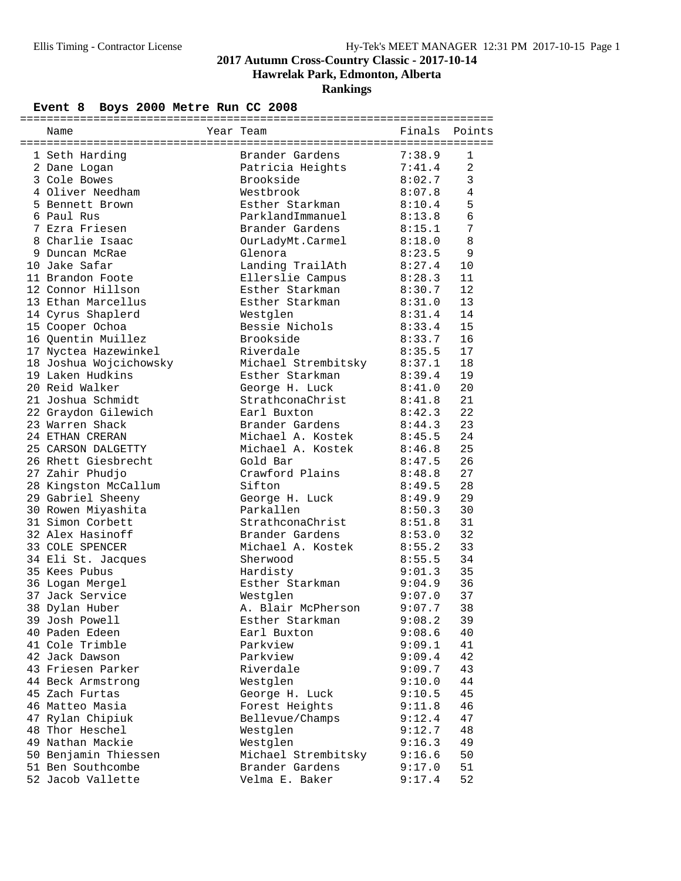**Hawrelak Park, Edmonton, Alberta**

### **Rankings**

### **Event 8 Boys 2000 Metre Run CC 2008**

| Name                             | Year Team                      | Finals           | Points         |
|----------------------------------|--------------------------------|------------------|----------------|
| 1 Seth Harding                   | Brander Gardens                | 7:38.9           | $\mathbf{1}$   |
| 2 Dane Logan                     | Patricia Heights               | 7:41.4           | $\overline{a}$ |
| 3 Cole Bowes                     | Brookside                      | 8:02.7           | 3              |
| 4 Oliver Needham                 | Westbrook                      | 8:07.8           | 4              |
| 5 Bennett Brown                  | Esther Starkman                | 8:10.4           | 5              |
| 6 Paul Rus                       | ParklandImmanuel               | 8:13.8           | 6              |
| 7 Ezra Friesen                   | Brander Gardens                | 8:15.1           | 7              |
| 8 Charlie Isaac                  | OurLadyMt.Carmel               | 8:18.0           | 8              |
| 9 Duncan McRae                   | Glenora                        | 8:23.5           | 9              |
| 10 Jake Safar                    | Landing TrailAth               | 8:27.4           | 10             |
| 11 Brandon Foote                 | Ellerslie Campus               | 8:28.3           | 11             |
| 12 Connor Hillson                | Esther Starkman                | 8:30.7           | 12             |
| 13 Ethan Marcellus               | Esther Starkman                | 8:31.0           | 13             |
| 14 Cyrus Shaplerd                | Westglen                       | 8:31.4           | 14             |
| 15 Cooper Ochoa                  | Bessie Nichols                 | 8:33.4           | 15             |
| 16 Quentin Muillez               | Brookside                      | 8:33.7           | 16             |
| 17 Nyctea Hazewinkel             | Riverdale                      | 8:35.5           | 17             |
| 18 Joshua Wojcichowsky           | Michael Strembitsky            | 8:37.1           | 18             |
| 19 Laken Hudkins                 | Esther Starkman                | 8:39.4           | 19             |
| 20 Reid Walker                   | George H. Luck                 | 8:41.0           | 20             |
| 21 Joshua Schmidt                | StrathconaChrist               | 8:41.8           | 21             |
| 22 Graydon Gilewich              | Earl Buxton                    | 8:42.3           | 22             |
| 23 Warren Shack                  | Brander Gardens                | 8:44.3           | 23             |
| 24 ETHAN CRERAN                  | Michael A. Kostek              | 8:45.5           | 24             |
| 25 CARSON DALGETTY               | Michael A. Kostek              | 8:46.8           | 25             |
| 26 Rhett Giesbrecht              | Gold Bar                       | 8:47.5           | 26             |
| 27 Zahir Phudjo                  | Crawford Plains                | 8:48.8           | 27             |
| 28 Kingston McCallum             | Sifton                         | 8:49.5           | 28             |
| 29 Gabriel Sheeny                | George H. Luck                 | 8:49.9           | 29             |
| 30 Rowen Miyashita               | Parkallen                      | 8:50.3           | 30             |
| 31 Simon Corbett                 | StrathconaChrist               | 8:51.8           | 31             |
| 32 Alex Hasinoff                 | Brander Gardens                | 8:53.0           | 32             |
| 33 COLE SPENCER                  | Michael A. Kostek              | 8:55.2           | 33             |
| 34 Eli St. Jacques               | Sherwood                       | 8:55.5           | 34             |
| 35 Kees Pubus                    | Hardisty                       | 9:01.3           | 35             |
| 36 Logan Mergel                  | Esther Starkman                | 9:04.9           | 36             |
| 37 Jack Service                  | Westglen                       | 9:07.0           | 37             |
| 38 Dylan Huber                   | A. Blair McPherson             | 9:07.7<br>9:08.2 | 38             |
| 39 Josh Powell<br>40 Paden Edeen | Esther Starkman<br>Earl Buxton |                  | 39             |
| 41 Cole Trimble                  | Parkview                       | 9:08.6<br>9:09.1 | 40<br>41       |
| 42 Jack Dawson                   | Parkview                       | 9:09.4           | 42             |
| 43 Friesen Parker                | Riverdale                      | 9:09.7           | 43             |
| 44 Beck Armstrong                | Westglen                       | 9:10.0           | 44             |
| 45 Zach Furtas                   | George H. Luck                 | 9:10.5           | 45             |
| 46 Matteo Masia                  | Forest Heights                 | 9:11.8           | 46             |
| 47 Rylan Chipiuk                 | Bellevue/Champs                | 9:12.4           | 47             |
| 48 Thor Heschel                  | Westglen                       | 9:12.7           | 48             |
| 49 Nathan Mackie                 | Westglen                       | 9:16.3           | 49             |
| 50 Benjamin Thiessen             | Michael Strembitsky            | 9:16.6           | 50             |
| 51 Ben Southcombe                | Brander Gardens                | 9:17.0           | 51             |
| 52 Jacob Vallette                | Velma E. Baker                 | 9:17.4           | 52             |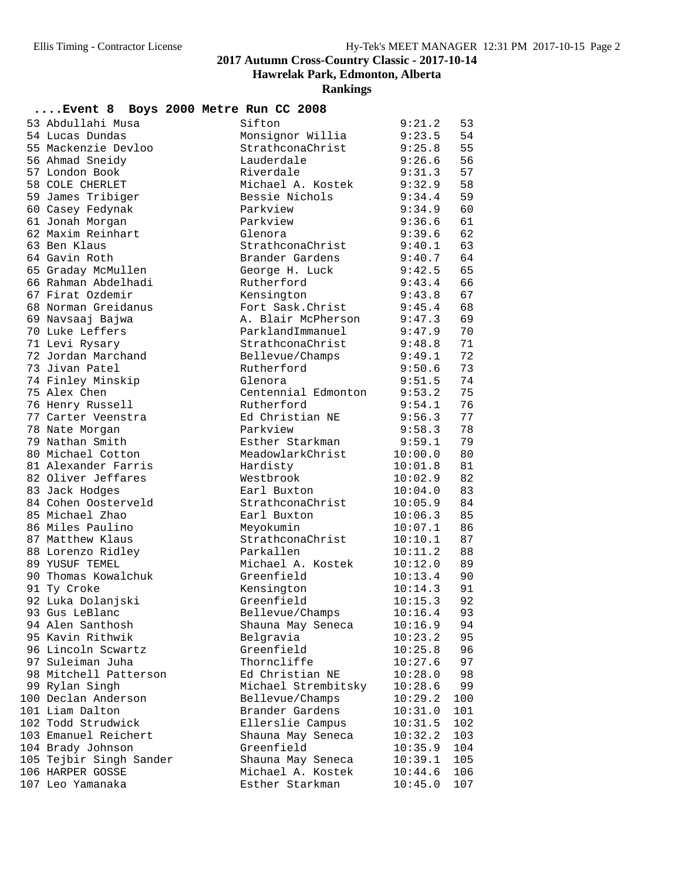**Hawrelak Park, Edmonton, Alberta**

### **Rankings**

### **....Event 8 Boys 2000 Metre Run CC 2008**

| 53 Abdullahi Musa                          | Sifton                          | 9:21.2                      | 53       |
|--------------------------------------------|---------------------------------|-----------------------------|----------|
| 54 Lucas Dundas                            | Monsignor Willia                | 9:23.5                      | 54       |
| 55 Mackenzie Devloo                        | StrathconaChrist                | 9:25.8                      | 55       |
| 56 Ahmad Sneidy                            | Lauderdale                      | 9:26.6                      | 56       |
| 57 London Book                             | Riverdale                       | 9:31.3                      | 57       |
| 58 COLE CHERLET                            | Michael A. Kostek               | 9:32.9                      | 58       |
| 59 James Tribiger                          | Bessie Nichols                  |                             | 59       |
| 60 Casey Fedynak                           | Parkview                        | $9:34.4$<br>$9:34.9$        | 60       |
| 61 Jonah Morgan                            | Parkview                        | 9:36.6                      | 61       |
| 62 Maxim Reinhart                          | Glenora                         | 9:39.6                      | 62       |
| 63 Ben Klaus                               | StrathconaChrist                | 9:40.1                      | 63       |
| 64 Gavin Roth                              | Brander Gardens                 | 9:40.7                      | 64       |
| 65 Graday McMullen                         | George H. Luck                  |                             | 65       |
| 66 Rahman Abdelhadi                        | Rutherford                      | $9:42.5$<br>$9:43.4$        | 66       |
| 67 Firat Ozdemir                           | Kensington                      | 9:43.8                      | 67       |
| 68 Norman Greidanus                        | Fort Sask. Christ               | 9:45.4                      | 68       |
| 69 Navsaaj Bajwa                           | A. Blair McPherson              | 9:47.3                      | 69       |
| 70 Luke Leffers                            | ParklandImmanuel                | 9:47.9                      | 70       |
| 71 Levi Rysary                             | StrathconaChrist                |                             | 71       |
| 72 Jordan Marchand                         | Bellevue/Champs                 | 9:48.8<br>9:49.1            | 72       |
| 73 Jivan Patel                             | Rutherford                      | 9:50.6                      | 73       |
| 74 Finley Minskip                          | Glenora                         | 9:51.5                      | 74       |
| 75 Alex Chen                               | Centennial Edmonton             | 9:53.2                      | 75       |
| 76 Henry Russell                           | Rutherford                      | 9:54.1                      | 76       |
| 77 Carter Veenstra                         | Ed Christian NE                 |                             | 77       |
| 78 Nate Morgan                             | Parkview                        | 9:56.3<br>9:58.3            | 78       |
| 79 Nathan Smith                            | Esther Starkman                 | 9:59.1                      | 79       |
| 80 Michael Cotton                          | MeadowlarkChrist                |                             | 80       |
| 81 Alexander Farris                        |                                 | 10:00.0<br>10:01.8          | 81       |
| 82 Oliver Jeffares                         | Hardisty<br>Westbrook           | 10:02.9                     | 82       |
|                                            | Earl Buxton                     |                             | 83       |
| 83 Jack Hodges<br>84 Cohen Oosterveld      | StrathconaChrist                | $0.4.0$<br>10:05.9<br>10:05 | 84       |
|                                            |                                 |                             |          |
| 85 Michael Zhao                            | Earl Buxton                     | 10:06.3                     | 85       |
| 86 Miles Paulino<br>87 Matthew Klaus       | Meyokumin                       | 10:07.1                     | 86<br>87 |
|                                            | StrathconaChrist<br>Parkallen   | 10:10.1                     |          |
| 88 Lorenzo Ridley                          |                                 | 10:11.2                     | 88       |
| 89 YUSUF TEMEL                             | Michael A. Kostek               |                             | 89       |
| 90 Thomas Kowalchuk                        | Greenfield                      | $10:12.0$<br>10:13.4        | 90       |
| 91 Ty Croke<br>92 Luka Dolanjski           | Kensington<br>Greenfield        | 10:14.3<br>10:15.3          | 91<br>92 |
|                                            |                                 |                             | 93       |
| 93 Gus LeBlanc                             | Bellevue/Champs                 | 10:16.4                     |          |
| 94 Alen Santhosh                           | Shauna May Seneca               | 10:16.9                     | 94       |
| 95 Kavin Rithwik                           | Belgravia                       | 10:23.2                     | 95       |
| 96 Lincoln Scwartz                         | Greenfield                      | 10:25.8                     | 96       |
| 97 Suleiman Juha                           | Thorncliffe                     | 10:27.6                     | 97       |
| 98 Mitchell Patterson                      | Ed Christian NE                 | 10:28.0                     | 98       |
| 99 Rylan Singh                             | Michael Strembitsky             | 10:28.6                     | 99       |
| 100 Declan Anderson                        | Bellevue/Champs                 | 10:29.2                     | 100      |
| 101 Liam Dalton                            | Brander Gardens                 | 10:31.0                     | 101      |
| 102 Todd Strudwick<br>103 Emanuel Reichert | Ellerslie Campus                | 10:31.5                     | 102      |
|                                            | Shauna May Seneca<br>Greenfield | 10:32.2                     | 103      |
| 104 Brady Johnson                          |                                 | 10:35.9                     | 104      |
| 105 Tejbir Singh Sander                    | Shauna May Seneca               | 10:39.1                     | 105      |
| 106 HARPER GOSSE                           | Michael A. Kostek               | 10:44.6                     | 106      |
| 107 Leo Yamanaka                           | Esther Starkman                 | 10:45.0                     | 107      |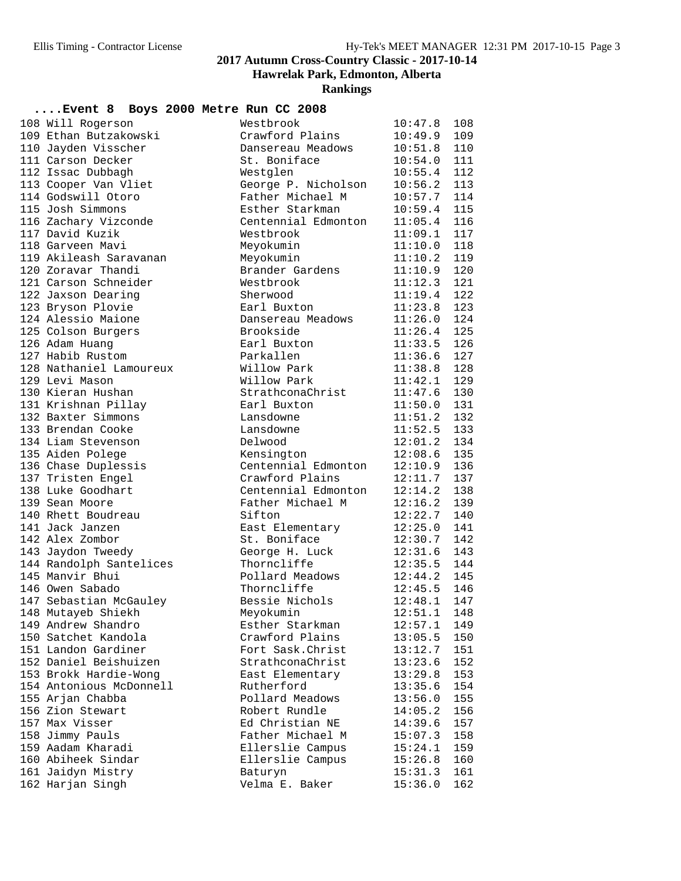**Hawrelak Park, Edmonton, Alberta**

|                         | Event 8 Boys 2000 Metre Run CC 2008                                 |               |     |
|-------------------------|---------------------------------------------------------------------|---------------|-----|
| 108 Will Rogerson       | Westbrook                                                           | 10:47.8       | 108 |
| 109 Ethan Butzakowski   | Crawford Plains                                                     | $10:49.9$ 109 |     |
| 110 Jayden Visscher     | Dansereau Meadows 10:51.8 110                                       |               |     |
| 111 Carson Decker       | St. Boniface                                                        | $10:54.0$ 111 |     |
| 112 Issac Dubbagh       | Westglen                                                            | $10:55.4$ 112 |     |
| 113 Cooper Van Vliet    | George P. Nicholson 10:56.2 113                                     |               |     |
| 114 Godswill Otoro      | Father Michael M                                                    | $10:57.7$ 114 |     |
| 115 Josh Simmons        | Esther Starkman                                                     | $10:59.4$ 115 |     |
| 116 Zachary Vizconde    | Centennial Edmonton 11:05.4 116                                     |               |     |
| 117 David Kuzik         | Westbrook                                                           | $11:09.1$ 117 |     |
| 118 Garveen Mavi        | Meyokumin                                                           | $11:10.0$ 118 |     |
| 119 Akileash Saravanan  | Meyokumin                                                           | $11:10.2$ 119 |     |
| 120 Zoravar Thandi      | Brander Gardens                                                     | $11:10.9$ 120 |     |
| 121 Carson Schneider    | Westbrook                                                           | $11:12.3$ 121 |     |
| 122 Jaxson Dearing      | Sherwood                                                            | $11:19.4$ 122 |     |
| 123 Bryson Plovie       | Earl Buxton                                                         | $11:23.8$ 123 |     |
| 124 Alessio Maione      | Dansereau Meadows                                                   | $11:26.0$ 124 |     |
| 125 Colson Burgers      | Brookside                                                           | $11:26.4$ 125 |     |
| 126 Adam Huang          | Earl Buxton                                                         | $11:33.5$ 126 |     |
| 127 Habib Rustom        | Parkallen                                                           | $11:36.6$ 127 |     |
| 128 Nathaniel Lamoureux | Willow Park                                                         | $11:38.8$ 128 |     |
| 129 Levi Mason          | Willow Park                                                         | 11:42.1 129   |     |
| 130 Kieran Hushan       | StrathconaChrist 11:47.6 130                                        |               |     |
| 131 Krishnan Pillay     | Earl Buxton                                                         | $11:50.0$ 131 |     |
| 132 Baxter Simmons      | Lansdowne                                                           | $11:51.2$ 132 |     |
| 133 Brendan Cooke       | Lansdowne                                                           | $11:52.5$ 133 |     |
| 134 Liam Stevenson      | Delwood                                                             | $12:01.2$ 134 |     |
| 135 Aiden Polege        | Kensington 12:08.6 135                                              |               |     |
| 136 Chase Duplessis     | Centennial Edmonton 12:10.9 136                                     |               |     |
| 137 Tristen Engel       | Crawford Plains                                                     | $12:11.7$ 137 |     |
| 138 Luke Goodhart       |                                                                     |               |     |
| 139 Sean Moore          | Centennial Edmonton $12:14.2$ 138<br>Father Michael M $12:16.2$ 139 |               |     |
| 140 Rhett Boudreau      | Sifton                                                              | $12:22.7$ 140 |     |
| 141 Jack Janzen         | East Elementary                                                     | $12:25.0$ 141 |     |
| 142 Alex Zombor         | St. Boniface                                                        | $12:30.7$ 142 |     |
| 143 Jaydon Tweedy       | George H. Luck                                                      | $12:31.6$ 143 |     |
| 144 Randolph Santelices | Thorncliffe                                                         | $12:35.5$ 144 |     |
| 145 Manvir Bhui         | Pollard Meadows                                                     | $12:44.2$ 145 |     |
| 146 Owen Sabado         | Thorncliffe                                                         | 12:45.5       | 146 |
| 147 Sebastian McGauley  | Bessie Nichols                                                      | 12:48.1 147   |     |
| 148 Mutayeb Shiekh      | Meyokumin                                                           | 12:51.1       | 148 |
| 149 Andrew Shandro      | Esther Starkman                                                     | 12:57.1       | 149 |
| 150 Satchet Kandola     | Crawford Plains                                                     | 13:05.5       | 150 |
| 151 Landon Gardiner     | Fort Sask. Christ                                                   | 13:12.7       | 151 |
| 152 Daniel Beishuizen   | StrathconaChrist                                                    | 13:23.6       | 152 |
| 153 Brokk Hardie-Wong   | East Elementary                                                     | 13:29.8       | 153 |
| 154 Antonious McDonnell | Rutherford                                                          | 13:35.6       | 154 |
| 155 Arjan Chabba        | Pollard Meadows                                                     | 13:56.0       | 155 |
| 156 Zion Stewart        | Robert Rundle                                                       | 14:05.2       | 156 |
| 157 Max Visser          | Ed Christian NE                                                     | 14:39.6       | 157 |
| 158 Jimmy Pauls         | Father Michael M                                                    | 15:07.3       | 158 |
| 159 Aadam Kharadi       | Ellerslie Campus                                                    | 15:24.1       | 159 |
| 160 Abiheek Sindar      | Ellerslie Campus                                                    | 15:26.8       | 160 |
| 161 Jaidyn Mistry       | Baturyn                                                             | 15:31.3       | 161 |
| 162 Harjan Singh        | Velma E. Baker                                                      | 15:36.0       | 162 |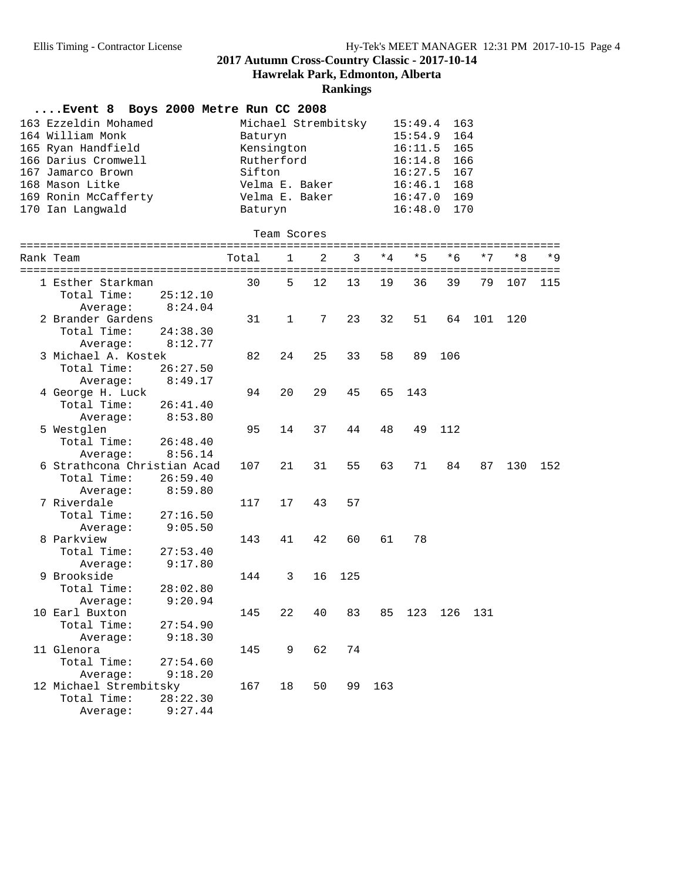**Hawrelak Park, Edmonton, Alberta**

| Event 8 Boys 2000 Metre Run CC 2008 |          |            |    |                     |     |     |         |      |      |      |     |
|-------------------------------------|----------|------------|----|---------------------|-----|-----|---------|------|------|------|-----|
| 163 Ezzeldin Mohamed                |          |            |    | Michael Strembitsky |     |     | 15:49.4 | 163  |      |      |     |
| 164 William Monk                    |          | Baturyn    |    |                     |     |     | 15:54.9 | 164  |      |      |     |
| 165 Ryan Handfield                  |          | Kensington |    |                     |     |     | 16:11.5 | 165  |      |      |     |
| 166 Darius Cromwell                 |          | Rutherford |    |                     |     |     | 16:14.8 | 166  |      |      |     |
| 167 Jamarco Brown                   |          | Sifton     |    |                     |     |     | 16:27.5 | 167  |      |      |     |
| 168 Mason Litke                     |          |            |    | Velma E. Baker      |     |     | 16:46.1 | 168  |      |      |     |
| 169 Ronin McCafferty                |          |            |    | Velma E. Baker      |     |     | 16:47.0 | 169  |      |      |     |
| 170 Ian Langwald                    |          | Baturyn    |    |                     |     |     | 16:48.0 | 170  |      |      |     |
|                                     |          |            |    |                     |     |     |         |      |      |      |     |
|                                     |          |            |    | Team Scores         |     |     |         |      |      |      |     |
|                                     |          |            |    |                     |     |     |         |      |      |      |     |
| Rank Team                           |          | Total      | 1  | 2                   | 3   | *4  | $*5$    | $*6$ | $*7$ | $*8$ | * 9 |
|                                     |          |            |    |                     |     |     |         |      |      |      |     |
| 1 Esther Starkman                   |          | 30         | 5  | 12                  | 13  | 19  | 36      | 39   | 79   | 107  | 115 |
| Total Time:                         | 25:12.10 |            |    |                     |     |     |         |      |      |      |     |
| Average:                            | 8:24.04  |            |    |                     |     |     |         |      |      |      |     |
| 2 Brander Gardens                   |          | 31         | 1  | 7                   | 23  | 32  | 51      | 64   | 101  | 120  |     |
| Total Time:                         | 24:38.30 |            |    |                     |     |     |         |      |      |      |     |
| Average:                            | 8:12.77  |            |    |                     |     |     |         |      |      |      |     |
| 3 Michael A. Kostek                 |          | 82         | 24 | 25                  | 33  | 58  | 89      | 106  |      |      |     |
| Total Time:                         | 26:27.50 |            |    |                     |     |     |         |      |      |      |     |
| Average:                            | 8:49.17  |            |    |                     |     |     |         |      |      |      |     |
| 4 George H. Luck                    |          | 94         | 20 | 29                  | 45  | 65  | 143     |      |      |      |     |
| Total Time:                         | 26:41.40 |            |    |                     |     |     |         |      |      |      |     |
| Average:                            | 8:53.80  |            |    |                     |     |     |         |      |      |      |     |
| 5 Westglen                          |          | 95         | 14 | 37                  | 44  | 48  | 49      | 112  |      |      |     |
| Total Time:                         | 26:48.40 |            |    |                     |     |     |         |      |      |      |     |
| Average:                            | 8:56.14  |            |    |                     |     |     |         |      |      |      |     |
| 6 Strathcona Christian Acad         |          | 107        | 21 | 31                  | 55  | 63  | 71      | 84   | 87   | 130  | 152 |
| Total Time:                         | 26:59.40 |            |    |                     |     |     |         |      |      |      |     |
| Average:                            | 8:59.80  |            |    |                     |     |     |         |      |      |      |     |
| 7 Riverdale                         |          | 117        | 17 | 43                  | 57  |     |         |      |      |      |     |
| Total Time:                         | 27:16.50 |            |    |                     |     |     |         |      |      |      |     |
| Average:                            | 9:05.50  |            |    |                     |     |     |         |      |      |      |     |
| 8 Parkview                          |          | 143        | 41 | 42                  | 60  | 61  | 78      |      |      |      |     |
| Total Time:                         | 27:53.40 |            |    |                     |     |     |         |      |      |      |     |
| Average:                            | 9:17.80  |            |    |                     |     |     |         |      |      |      |     |
| 9 Brookside                         |          | 144        | 3  | 16                  | 125 |     |         |      |      |      |     |
| Total Time:                         | 28:02.80 |            |    |                     |     |     |         |      |      |      |     |
| Average:                            | 9:20.94  |            |    |                     |     |     |         |      |      |      |     |
| 10 Earl Buxton                      |          | 145        | 22 | 40                  | 83  | 85  | 123     | 126  | 131  |      |     |
| Total Time:                         | 27:54.90 |            |    |                     |     |     |         |      |      |      |     |
|                                     | 9:18.30  |            |    |                     |     |     |         |      |      |      |     |
| Average:                            |          |            |    |                     |     |     |         |      |      |      |     |
| 11 Glenora<br>Total Time:           |          | 145        | 9  | 62                  | 74  |     |         |      |      |      |     |
|                                     | 27:54.60 |            |    |                     |     |     |         |      |      |      |     |
| Average:                            | 9:18.20  |            |    |                     |     |     |         |      |      |      |     |
| 12 Michael Strembitsky              |          | 167        | 18 | 50                  | 99  | 163 |         |      |      |      |     |
| Total Time:                         | 28:22.30 |            |    |                     |     |     |         |      |      |      |     |
| Average:                            | 9:27.44  |            |    |                     |     |     |         |      |      |      |     |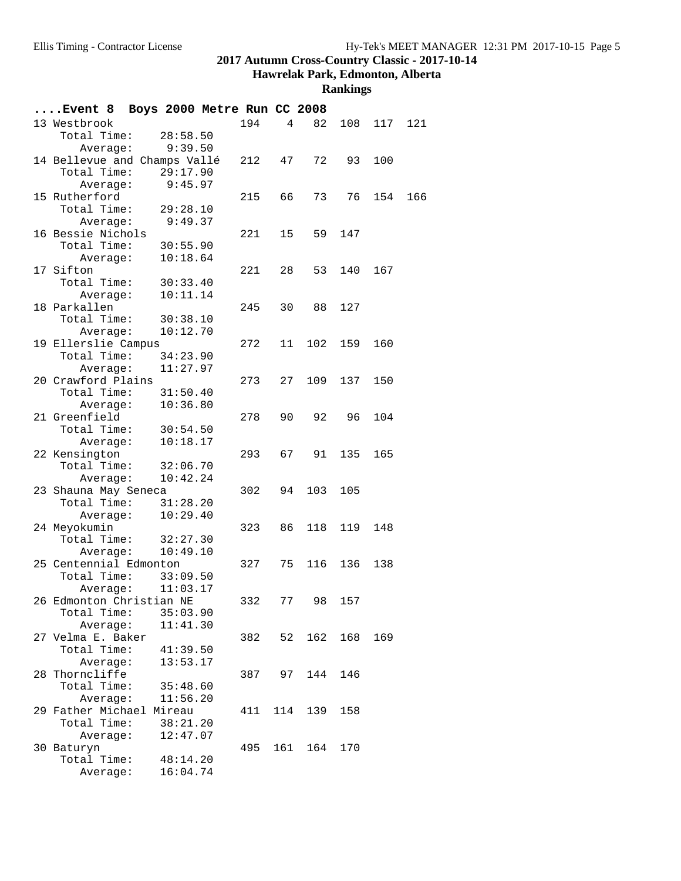#### **Hawrelak Park, Edmonton, Alberta**

| Event 8 Boys 2000 Metre Run CC 2008 |          |     |     |                      |     |     |     |
|-------------------------------------|----------|-----|-----|----------------------|-----|-----|-----|
| 13 Westbrook                        |          | 194 |     | 82<br>$\overline{4}$ | 108 | 117 | 121 |
| Total Time:                         | 28:58.50 |     |     |                      |     |     |     |
| Average:                            | 9:39.50  |     |     |                      |     |     |     |
| 14 Bellevue and Champs Vallé        |          | 212 | 47  | 72                   | 93  | 100 |     |
| Total Time:                         | 29:17.90 |     |     |                      |     |     |     |
| Average:                            | 9:45.97  |     |     |                      |     |     |     |
| 15 Rutherford                       |          | 215 | 66  | 73                   | 76  | 154 | 166 |
| Total Time:                         | 29:28.10 |     |     |                      |     |     |     |
| Average:                            | 9:49.37  |     |     |                      |     |     |     |
| 16 Bessie Nichols                   |          | 221 | 15  | 59                   | 147 |     |     |
| Total Time:                         | 30:55.90 |     |     |                      |     |     |     |
| Average:                            | 10:18.64 |     |     |                      |     |     |     |
| 17 Sifton                           |          | 221 | 28  | 53                   | 140 | 167 |     |
| Total Time:                         | 30:33.40 |     |     |                      |     |     |     |
| Average:                            | 10:11.14 |     |     |                      |     |     |     |
|                                     |          |     | 30  | 88                   | 127 |     |     |
| 18 Parkallen                        |          | 245 |     |                      |     |     |     |
| Total Time:                         | 30:38.10 |     |     |                      |     |     |     |
| Average:                            | 10:12.70 |     |     |                      |     |     |     |
| 19 Ellerslie Campus                 |          | 272 | 11  | 102                  | 159 | 160 |     |
| Total Time:                         | 34:23.90 |     |     |                      |     |     |     |
| Average:                            | 11:27.97 |     |     |                      |     |     |     |
| 20 Crawford Plains                  |          | 273 | 27  | 109                  | 137 | 150 |     |
| Total Time:                         | 31:50.40 |     |     |                      |     |     |     |
| Average:                            | 10:36.80 |     |     |                      |     |     |     |
| 21 Greenfield                       |          | 278 | 90  | 92                   | 96  | 104 |     |
| Total Time:                         | 30:54.50 |     |     |                      |     |     |     |
| Average:                            | 10:18.17 |     |     |                      |     |     |     |
| 22 Kensington                       |          | 293 | 67  | 91                   | 135 | 165 |     |
| Total Time:                         | 32:06.70 |     |     |                      |     |     |     |
| Average:                            | 10:42.24 |     |     |                      |     |     |     |
| 23 Shauna May Seneca                |          | 302 | 94  | 103                  | 105 |     |     |
| Total Time:                         | 31:28.20 |     |     |                      |     |     |     |
| Average:                            | 10:29.40 |     |     |                      |     |     |     |
| 24 Meyokumin                        |          | 323 | 86  | 118                  | 119 | 148 |     |
| Total Time:                         | 32:27.30 |     |     |                      |     |     |     |
| Average:                            | 10:49.10 |     |     |                      |     |     |     |
| 25 Centennial Edmonton              |          | 327 | 75  | 116                  | 136 | 138 |     |
| Total Time:                         | 33:09.50 |     |     |                      |     |     |     |
| Average:                            | 11:03.17 |     |     |                      |     |     |     |
| 26 Edmonton Christian NE            |          | 332 | 77  | 98                   | 157 |     |     |
| Total Time:                         | 35:03.90 |     |     |                      |     |     |     |
| Average:                            | 11:41.30 |     |     |                      |     |     |     |
| 27 Velma E. Baker                   |          | 382 | 52  | 162                  | 168 | 169 |     |
| Total Time:                         | 41:39.50 |     |     |                      |     |     |     |
| Average:                            | 13:53.17 |     |     |                      |     |     |     |
| 28 Thorncliffe                      |          | 387 | 97  | 144                  | 146 |     |     |
| Total Time:                         | 35:48.60 |     |     |                      |     |     |     |
| Average:                            | 11:56.20 |     |     |                      |     |     |     |
|                                     |          |     |     |                      |     |     |     |
| 29 Father Michael Mireau            |          | 411 | 114 | 139                  | 158 |     |     |
| Total Time:                         | 38:21.20 |     |     |                      |     |     |     |
| Average:                            | 12:47.07 |     |     |                      |     |     |     |
| 30 Baturyn                          |          | 495 | 161 | 164                  | 170 |     |     |
| Total Time:                         | 48:14.20 |     |     |                      |     |     |     |
| Average:                            | 16:04.74 |     |     |                      |     |     |     |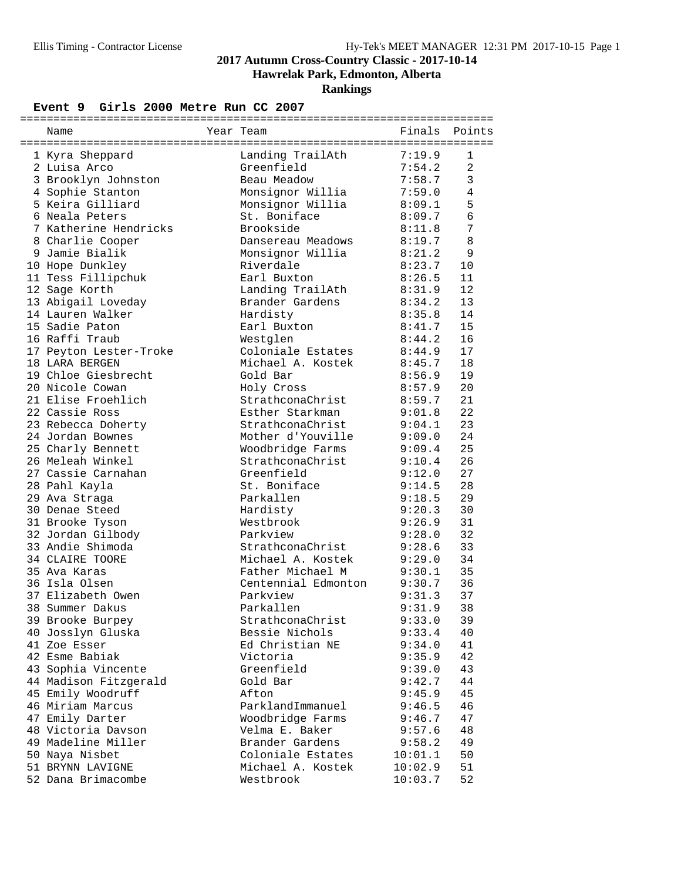**Hawrelak Park, Edmonton, Alberta**

**Rankings**

#### **Event 9 Girls 2000 Metre Run CC 2007**

| Name                   | Year Team           | Finals  | Points         |
|------------------------|---------------------|---------|----------------|
|                        |                     |         |                |
| 1 Kyra Sheppard        | Landing TrailAth    | 7:19.9  | $\mathbf{1}$   |
| 2 Luisa Arco           | Greenfield          | 7:54.2  | $\overline{2}$ |
| 3 Brooklyn Johnston    | Beau Meadow         | 7:58.7  | 3              |
| 4 Sophie Stanton       | Monsignor Willia    | 7:59.0  | 4              |
| 5 Keira Gilliard       | Monsignor Willia    | 8:09.1  | 5              |
| 6 Neala Peters         | St. Boniface        | 8:09.7  | 6              |
| 7 Katherine Hendricks  | Brookside           | 8:11.8  | 7              |
| 8 Charlie Cooper       | Dansereau Meadows   | 8:19.7  | 8              |
| 9 Jamie Bialik         | Monsignor Willia    | 8:21.2  | 9              |
| 10 Hope Dunkley        | Riverdale           | 8:23.7  | 10             |
| 11 Tess Fillipchuk     | Earl Buxton         | 8:26.5  | 11             |
| 12 Sage Korth          | Landing TrailAth    | 8:31.9  | 12             |
| 13 Abigail Loveday     | Brander Gardens     | 8:34.2  | 13             |
| 14 Lauren Walker       | Hardisty            | 8:35.8  | 14             |
| 15 Sadie Paton         | Earl Buxton         | 8:41.7  | 15             |
| 16 Raffi Traub         | Westglen            | 8:44.2  | 16             |
| 17 Peyton Lester-Troke | Coloniale Estates   | 8:44.9  | 17             |
| 18 LARA BERGEN         | Michael A. Kostek   | 8:45.7  | 18             |
| 19 Chloe Giesbrecht    | Gold Bar            | 8:56.9  | 19             |
| 20 Nicole Cowan        | Holy Cross          | 8:57.9  | 20             |
| 21 Elise Froehlich     | StrathconaChrist    | 8:59.7  | 21             |
| 22 Cassie Ross         | Esther Starkman     | 9:01.8  | 22             |
|                        | StrathconaChrist    |         | 23             |
| 23 Rebecca Doherty     |                     | 9:04.1  |                |
| 24 Jordan Bownes       | Mother d'Youville   | 9:09.0  | 24             |
| 25 Charly Bennett      | Woodbridge Farms    | 9:09.4  | 25             |
| 26 Meleah Winkel       | StrathconaChrist    | 9:10.4  | 26             |
| 27 Cassie Carnahan     | Greenfield          | 9:12.0  | 27             |
| 28 Pahl Kayla          | St. Boniface        | 9:14.5  | 28             |
| 29 Ava Straga          | Parkallen           | 9:18.5  | 29             |
| 30 Denae Steed         | Hardisty            | 9:20.3  | 30             |
| 31 Brooke Tyson        | Westbrook           | 9:26.9  | 31             |
| 32 Jordan Gilbody      | Parkview            | 9:28.0  | 32             |
| 33 Andie Shimoda       | StrathconaChrist    | 9:28.6  | 33             |
| 34 CLAIRE TOORE        | Michael A. Kostek   | 9:29.0  | 34             |
| 35 Ava Karas           | Father Michael M    | 9:30.1  | 35             |
| 36 Isla Olsen          | Centennial Edmonton | 9:30.7  | 36             |
| 37 Elizabeth Owen      | Parkview            | 9:31.3  | 37             |
| 38 Summer Dakus        | Parkallen           | 9:31.9  | 38             |
| 39 Brooke Burpey       | StrathconaChrist    | 9:33.0  | 39             |
| 40 Josslyn Gluska      | Bessie Nichols      | 9:33.4  | 40             |
| 41 Zoe Esser           | Ed Christian NE     | 9:34.0  | 41             |
| 42 Esme Babiak         | Victoria            | 9:35.9  | 42             |
| 43 Sophia Vincente     | Greenfield          | 9:39.0  | 43             |
| 44 Madison Fitzgerald  | Gold Bar            | 9:42.7  | 44             |
| 45 Emily Woodruff      | Afton               | 9:45.9  | 45             |
| 46 Miriam Marcus       | ParklandImmanuel    | 9:46.5  | 46             |
| 47 Emily Darter        | Woodbridge Farms    | 9:46.7  | 47             |
| 48 Victoria Davson     | Velma E. Baker      | 9:57.6  | 48             |
| 49 Madeline Miller     | Brander Gardens     | 9:58.2  | 49             |
| 50 Naya Nisbet         | Coloniale Estates   | 10:01.1 | 50             |
| 51 BRYNN LAVIGNE       | Michael A. Kostek   | 10:02.9 | 51             |
| 52 Dana Brimacombe     | Westbrook           | 10:03.7 | 52             |
|                        |                     |         |                |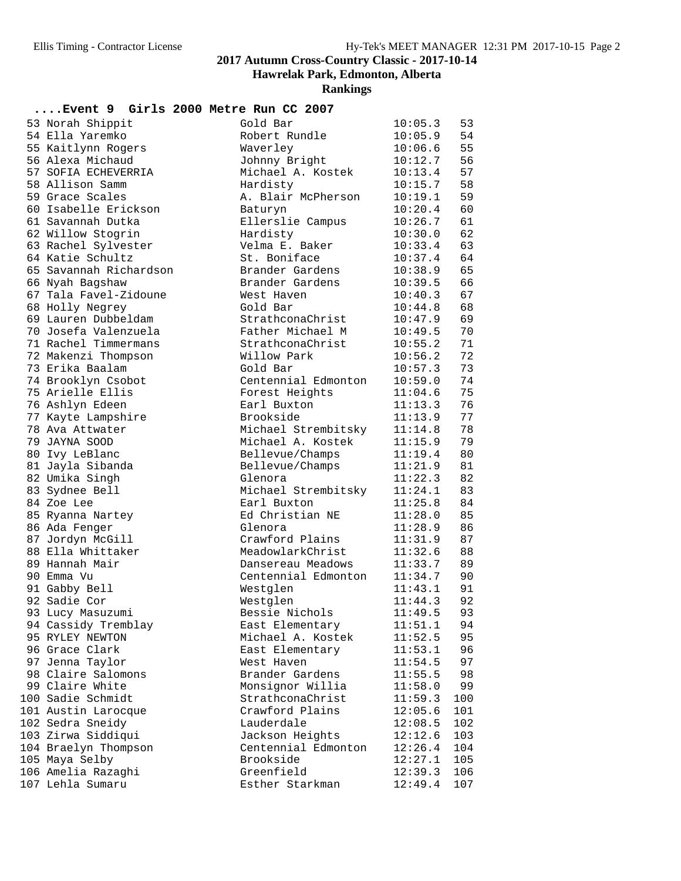#### **2017 Autumn Cross-Country Classic - 2017-10-14 Hawrelak Park, Edmonton, Alberta**

|                        | Event 9 Girls 2000 Metre Run CC 2007   |                    |     |
|------------------------|----------------------------------------|--------------------|-----|
| 53 Norah Shippit       | Gold Bar                               | 10:05.3            | 53  |
| 54 Ella Yaremko        | Robert Rundle                          | 10:05.9            | 54  |
| 55 Kaitlynn Rogers     | Waverley                               | 10:06.6            | 55  |
| 56 Alexa Michaud       | Johnny Bright                          | 10:12.7            | 56  |
| 57 SOFIA ECHEVERRIA    | Michael A. Kostek                      | 10:13.4            | 57  |
| 58 Allison Samm        | Hardisty                               | 10:15.7            | 58  |
| 59 Grace Scales        | A. Blair McPherson                     | 10:19.1            | 59  |
| 60 Isabelle Erickson   | Baturyn                                | 10:20.4            | 60  |
| 61 Savannah Dutka      | Ellerslie Campus                       | 10:26.7            | 61  |
| 62 Willow Stogrin      | Hardisty                               | 10:30.0            | 62  |
| 63 Rachel Sylvester    | Velma E. Baker                         | 10:33.4            | 63  |
| 64 Katie Schultz       | St. Boniface                           | 10:37.4            | 64  |
| 65 Savannah Richardson | Brander Gardens                        | 10:38.9            | 65  |
| 66 Nyah Bagshaw        | Brander Gardens                        | 10:39.5            | 66  |
| 67 Tala Favel-Zidoune  | West Haven                             | 10:40.3            | 67  |
| 68 Holly Negrey        | Gold Bar                               | 10:44.8            | 68  |
| 69 Lauren Dubbeldam    | StrathconaChrist                       | 10:47.9            | 69  |
| 70 Josefa Valenzuela   | Father Michael M                       | 10:49.5            | 70  |
| 71 Rachel Timmermans   | StrathconaChrist                       | 10:55.2            | 71  |
| 72 Makenzi Thompson    | Willow Park                            | 10:56.2            | 72  |
| 73 Erika Baalam        | Gold Bar                               | 10:57.3            | 73  |
| 74 Brooklyn Csobot     | Centennial Edmonton                    | 10:59.0            | 74  |
| 75 Arielle Ellis       | Forest Heights                         | 11:04.6            | 75  |
| 76 Ashlyn Edeen        | Earl Buxton                            | 11:13.3            | 76  |
| 77 Kayte Lampshire     | Brookside                              | 11:13.9            | 77  |
| 78 Ava Attwater        | Michael Strembitsky 11:14.8            |                    | 78  |
| 79 JAYNA SOOD          | Michael A. Kostek                      | 11:15.9            | 79  |
| 80 Ivy LeBlanc         | Bellevue/Champs                        | 11:19.4            | 80  |
| 81 Jayla Sibanda       | Bellevue/Champs                        | 11:21.9            | 81  |
| 82 Umika Singh         | Glenora                                | 11:22.3            | 82  |
| 83 Sydnee Bell         | Michael Strembitsky                    | 11:24.1            | 83  |
| 84 Zoe Lee             | Earl Buxton                            | 11:25.8            | 84  |
| 85 Ryanna Nartey       | Ed Christian NE                        | 11:28.0            | 85  |
| 86 Ada Fenger          | Glenora                                | 11:28.9            | 86  |
| 87 Jordyn McGill       | Crawford Plains                        | 11:31.9            | 87  |
| 88 Ella Whittaker      | MeadowlarkChrist                       | 11:32.6            | 88  |
| 89 Hannah Mair         | Dansereau Meadows                      | 11:33.7            | 89  |
| 90 Emma Vu             | Centennial Edmonton                    | 11:34.7            | 90  |
| 91 Gabby Bell          | Westglen                               | 11:43.1            | 91  |
| 92 Sadie Cor           | Westglen                               | 11:44.3            | 92  |
| 93 Lucy Masuzumi       | Bessie Nichols                         | 11:49.5            | 93  |
| 94 Cassidy Tremblay    | East Elementary                        | 11:51.1            | 94  |
| 95 RYLEY NEWTON        | Michael A. Kostek                      | 11:52.5            | 95  |
| 96 Grace Clark         | East Elementary                        | 11:53.1            | 96  |
| 97 Jenna Taylor        | West Haven                             | 11:54.5            | 97  |
| 98 Claire Salomons     | Brander Gardens                        | 11:55.5            | 98  |
| 99 Claire White        | Monsignor Willia                       | 11:58.0            | 99  |
| 100 Sadie Schmidt      | StrathconaChrist                       | 11:59.3            | 100 |
| 101 Austin Larocque    | Crawford Plains                        | 12:05.6            | 101 |
| 102 Sedra Sneidy       | Lauderdale                             | 12:08.5            | 102 |
| 103 Zirwa Siddiqui     | Jackson Heights<br>Centennial Edmonton | 12:12.6            | 103 |
| 104 Braelyn Thompson   |                                        | 12:26.4            | 104 |
| 105 Maya Selby         | Brookside<br>Greenfield                | 12:27.1<br>12:39.3 | 105 |
| 106 Amelia Razaghi     |                                        |                    | 106 |
| 107 Lehla Sumaru       | Esther Starkman                        | 12:49.4            | 107 |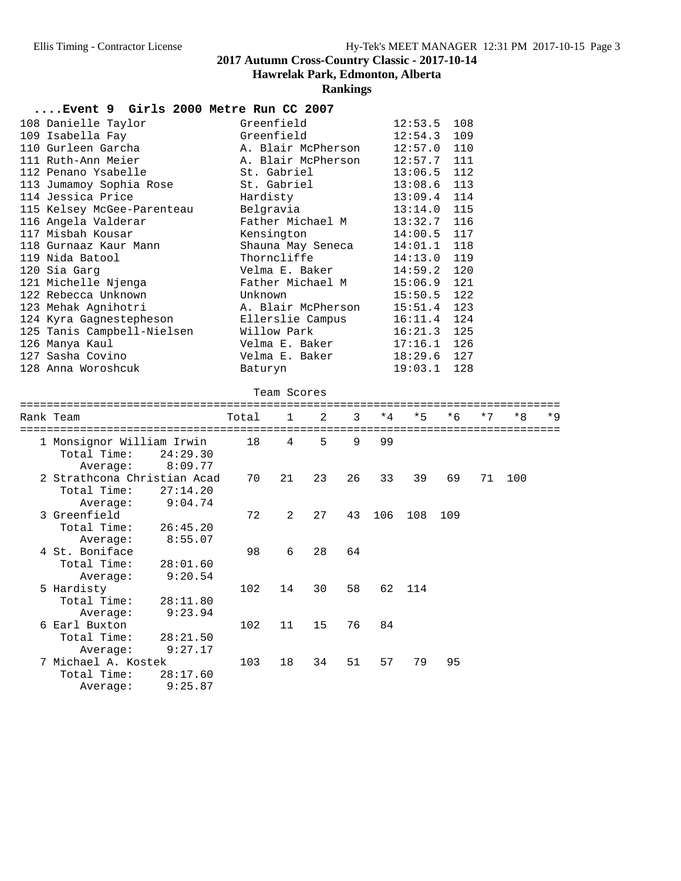### **2017 Autumn Cross-Country Classic - 2017-10-14 Hawrelak Park, Edmonton, Alberta**

### **Rankings**

### **....Event 9 Girls 2000 Metre Run CC 2007**

| 108 Danielle Taylor        | Greenfield         | $12:53.5$ 108 |     |
|----------------------------|--------------------|---------------|-----|
| 109 Isabella Fay           | Greenfield         | 12:54.3       | 109 |
| 110 Gurleen Garcha         | A. Blair McPherson | 12:57.0       | 110 |
| 111 Ruth-Ann Meier         | A. Blair McPherson | 12:57.7       | 111 |
| 112 Penano Ysabelle        | St. Gabriel        | $13:06.5$ 112 |     |
| 113 Jumamoy Sophia Rose    | St. Gabriel        | $13:08.6$ 113 |     |
| 114 Jessica Price          | Hardisty           | $13:09.4$ 114 |     |
| 115 Kelsey McGee-Parenteau | Belgravia          | $13:14.0$ 115 |     |
| 116 Angela Valderar        | Father Michael M   | $13:32.7$ 116 |     |
| 117 Misbah Kousar          | Kensington         | $14:00.5$ 117 |     |
| 118 Gurnaaz Kaur Mann      | Shauna May Seneca  | $14:01.1$ 118 |     |
| 119 Nida Batool            | Thorncliffe        | $14:13.0$ 119 |     |
| 120 Sia Garg               | Velma E. Baker     | $14:59.2$ 120 |     |
| 121 Michelle Njenga        | Father Michael M   | $15:06.9$ 121 |     |
| 122 Rebecca Unknown        | Unknown            | $15:50.5$ 122 |     |
| 123 Mehak Agnihotri        | A. Blair McPherson | 15:51.4       | 123 |
| 124 Kyra Gaqnestepheson    | Ellerslie Campus   | $16:11.4$ 124 |     |
| 125 Tanis Campbell-Nielsen | Willow Park        | 16:21.3       | 125 |
| 126 Manya Kaul             | Velma E. Baker     | $17:16.1$ 126 |     |
| 127 Sasha Covino           | Velma E. Baker     | $18:29.6$ 127 |     |
| 128 Anna Woroshcuk         | Baturyn            | 19:03.1       | 128 |

#### Team Scores

| Rank Team                                              |                     | Total | $\mathbf{1}$   | 2  | 3  | $*4$ | $*5$ | $*6$ | $*7$ | $*8$ | $*9$ |
|--------------------------------------------------------|---------------------|-------|----------------|----|----|------|------|------|------|------|------|
| 1 Monsignor William Irwin<br>Total Time:<br>Average:   | 24:29.30<br>8:09.77 | 18    | 4              | 5  | 9  | 99   |      |      |      |      |      |
| 2 Strathcona Christian Acad<br>Total Time:<br>Average: | 27:14.20<br>9:04.74 | 70    | 21             | 23 | 26 | 33   | 39   | 69   | 71   | 100  |      |
| 3 Greenfield<br>Total Time:<br>Average:                | 26:45.20<br>8:55.07 | 72    | $\mathfrak{D}$ | 27 | 43 | 106  | 108  | 109  |      |      |      |
| 4 St. Boniface<br>Total Time:<br>Average:              | 28:01.60<br>9:20.54 | 98    | 6              | 28 | 64 |      |      |      |      |      |      |
| 5 Hardisty<br>Total Time:<br>Average:                  | 28:11.80<br>9:23.94 | 102   | 14             | 30 | 58 | 62   | 114  |      |      |      |      |
| 6 Earl Buxton<br>Total Time:<br>Average:               | 28:21.50<br>9:27.17 | 102   | 11             | 15 | 76 | 84   |      |      |      |      |      |
| 7 Michael A. Kostek<br>Total Time:<br>Average:         | 28:17.60<br>9:25.87 | 103   | 18             | 34 | 51 | 57   | 79   | 95   |      |      |      |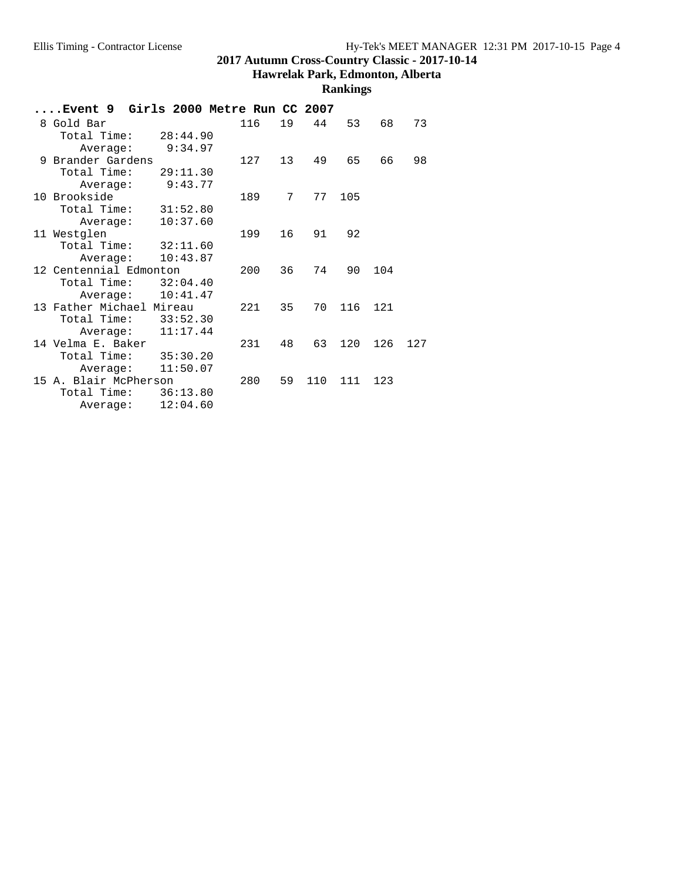#### **Hawrelak Park, Edmonton, Alberta**

| Event 9                  | Girls 2000 Metre Run CC 2007 |     |                 |     |     |     |     |
|--------------------------|------------------------------|-----|-----------------|-----|-----|-----|-----|
| 8 Gold Bar               |                              | 116 | 19              | 44  | 53  | 68  | 73  |
| Total Time:              | 28:44.90                     |     |                 |     |     |     |     |
| Average:                 | 9:34.97                      |     |                 |     |     |     |     |
| 9 Brander Gardens        |                              | 127 | 13 <sup>7</sup> | 49  | 65  | 66  | 98  |
| Total Time:              | 29:11.30                     |     |                 |     |     |     |     |
| Average:                 | 9:43.77                      |     |                 |     |     |     |     |
| 10 Brookside             |                              | 189 | 7               | 77  | 105 |     |     |
| Total Time:              | 31:52.80                     |     |                 |     |     |     |     |
| Average:                 | 10:37.60                     |     |                 |     |     |     |     |
| 11 Westglen              |                              | 199 | 16              | 91  | 92  |     |     |
| Total Time:              | 32:11.60                     |     |                 |     |     |     |     |
| Average:                 | 10:43.87                     |     |                 |     |     |     |     |
| 12 Centennial Edmonton   |                              | 200 | 36              | 74  | 90  | 104 |     |
| Total Time:              | 32:04.40                     |     |                 |     |     |     |     |
| Average:                 | 10:41.47                     |     |                 |     |     |     |     |
| 13 Father Michael Mireau |                              | 221 | 35              | 70  | 116 | 121 |     |
| Total Time:              | 33:52.30                     |     |                 |     |     |     |     |
| Average:                 | 11:17.44                     |     |                 |     |     |     |     |
| 14 Velma E. Baker        |                              | 231 | 48              | 63  | 120 | 126 | 127 |
| Total Time:              | 35:30.20                     |     |                 |     |     |     |     |
| Average:                 | 11:50.07                     |     |                 |     |     |     |     |
| 15 A. Blair McPherson    |                              | 280 | 59              | 110 | 111 | 123 |     |
| Total Time:              | 36:13.80                     |     |                 |     |     |     |     |
| Average:                 | 12:04.60                     |     |                 |     |     |     |     |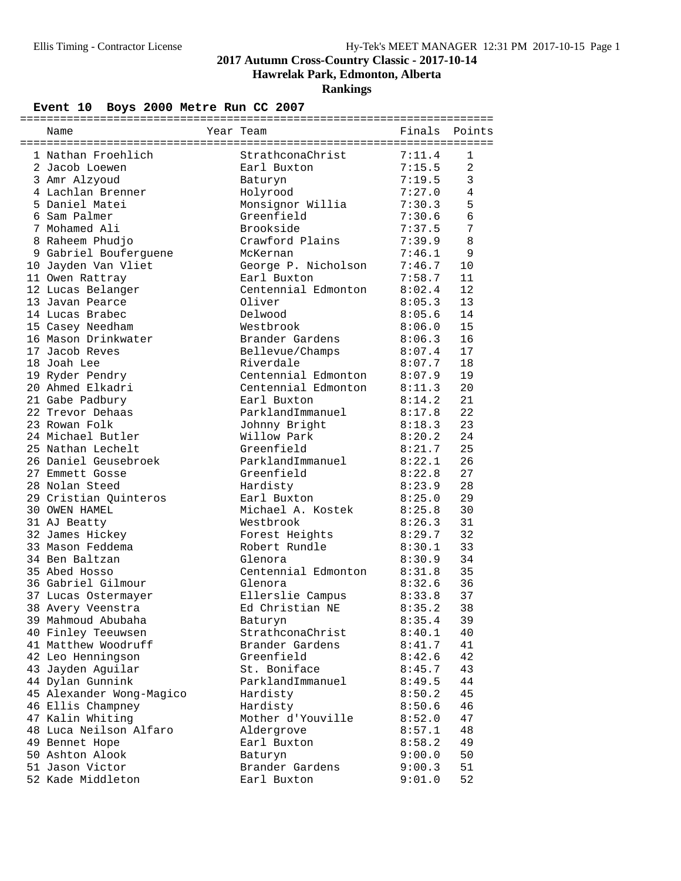**Hawrelak Park, Edmonton, Alberta**

**Rankings**

### **Event 10 Boys 2000 Metre Run CC 2007**

| Name                     | Year Team           | Finals | Points         |
|--------------------------|---------------------|--------|----------------|
| 1 Nathan Froehlich       | StrathconaChrist    | 7:11.4 | $\mathbf{1}$   |
| 2 Jacob Loewen           | Earl Buxton         | 7:15.5 | $\overline{a}$ |
| 3 Amr Alzyoud            | Baturyn             | 7:19.5 | 3              |
| 4 Lachlan Brenner        | Holyrood            | 7:27.0 | 4              |
| 5 Daniel Matei           | Monsignor Willia    | 7:30.3 | 5              |
| 6 Sam Palmer             | Greenfield          | 7:30.6 | $\overline{6}$ |
| 7 Mohamed Ali            | Brookside           | 7:37.5 | 7              |
| 8 Raheem Phudjo          | Crawford Plains     | 7:39.9 | 8              |
| 9 Gabriel Bouferguene    | McKernan            | 7:46.1 | 9              |
| 10 Jayden Van Vliet      | George P. Nicholson | 7:46.7 | 10             |
| 11 Owen Rattray          | Earl Buxton         | 7:58.7 | 11             |
| 12 Lucas Belanger        | Centennial Edmonton | 8:02.4 | 12             |
| 13 Javan Pearce          | Oliver              | 8:05.3 | 13             |
| 14 Lucas Brabec          | Delwood             | 8:05.6 | 14             |
| 15 Casey Needham         | Westbrook           | 8:06.0 | 15             |
| 16 Mason Drinkwater      | Brander Gardens     | 8:06.3 | 16             |
| 17 Jacob Reves           | Bellevue/Champs     | 8:07.4 | 17             |
| 18 Joah Lee              | Riverdale           | 8:07.7 | 18             |
| 19 Ryder Pendry          | Centennial Edmonton | 8:07.9 | 19             |
| 20 Ahmed Elkadri         | Centennial Edmonton | 8:11.3 | 20             |
| 21 Gabe Padbury          | Earl Buxton         | 8:14.2 | 21             |
| 22 Trevor Dehaas         | ParklandImmanuel    | 8:17.8 | 22             |
| 23 Rowan Folk            | Johnny Bright       | 8:18.3 | 23             |
| 24 Michael Butler        | Willow Park         | 8:20.2 | 24             |
| 25 Nathan Lechelt        | Greenfield          | 8:21.7 | 25             |
| 26 Daniel Geusebroek     | ParklandImmanuel    | 8:22.1 | 26             |
| 27 Emmett Gosse          | Greenfield          | 8:22.8 | 27             |
| 28 Nolan Steed           | Hardisty            | 8:23.9 | 28             |
| 29 Cristian Quinteros    | Earl Buxton         | 8:25.0 | 29             |
| 30 OWEN HAMEL            | Michael A. Kostek   | 8:25.8 | 30             |
| 31 AJ Beatty             | Westbrook           | 8:26.3 | 31             |
| 32 James Hickey          | Forest Heights      | 8:29.7 | 32             |
| 33 Mason Feddema         | Robert Rundle       | 8:30.1 | 33             |
| 34 Ben Baltzan           | Glenora             | 8:30.9 | 34             |
| 35 Abed Hosso            | Centennial Edmonton | 8:31.8 | 35             |
| 36 Gabriel Gilmour       | Glenora             | 8:32.6 | 36             |
| 37 Lucas Ostermayer      | Ellerslie Campus    | 8:33.8 | 37             |
| 38 Avery Veenstra        | Ed Christian NE     | 8:35.2 | 38             |
| 39 Mahmoud Abubaha       | Baturyn             | 8:35.4 | 39             |
| 40 Finley Teeuwsen       | StrathconaChrist    | 8:40.1 | 40             |
| 41 Matthew Woodruff      | Brander Gardens     | 8:41.7 | 41             |
| 42 Leo Henningson        | Greenfield          | 8:42.6 | 42             |
| 43 Jayden Aguilar        | St. Boniface        | 8:45.7 | 43             |
| 44 Dylan Gunnink         | ParklandImmanuel    | 8:49.5 | 44             |
| 45 Alexander Wong-Magico | Hardisty            | 8:50.2 | 45             |
| 46 Ellis Champney        | Hardisty            | 8:50.6 | 46             |
| 47 Kalin Whiting         | Mother d'Youville   | 8:52.0 | 47             |
| 48 Luca Neilson Alfaro   | Aldergrove          | 8:57.1 | 48             |
| 49 Bennet Hope           | Earl Buxton         | 8:58.2 | 49             |
| 50 Ashton Alook          | Baturyn             | 9:00.0 | 50             |
| 51 Jason Victor          | Brander Gardens     | 9:00.3 | 51             |
| 52 Kade Middleton        | Earl Buxton         | 9:01.0 | 52             |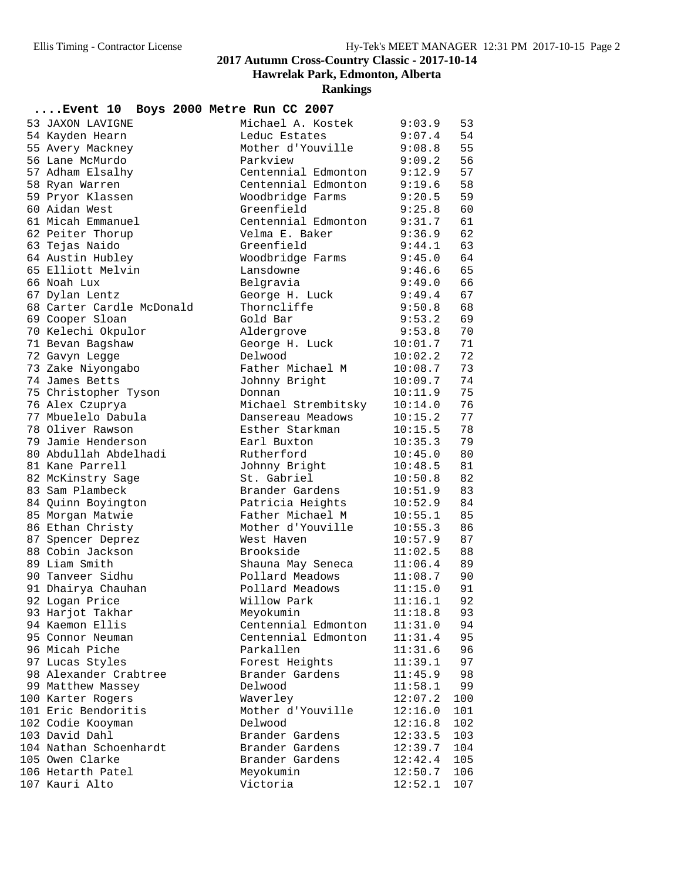#### **2017 Autumn Cross-Country Classic - 2017-10-14 Hawrelak Park, Edmonton, Alberta**

**Rankings**

### **....Event 10 Boys 2000 Metre Run CC 2007**

| 53 JAXON LAVIGNE                      | Michael A. Kostek                    | 9:03.9             | 53  |
|---------------------------------------|--------------------------------------|--------------------|-----|
| 54 Kayden Hearn                       | Leduc Estates                        | 9:07.4             | 54  |
| 55 Avery Mackney                      | Mother d'Youville                    | 9:08.8             | 55  |
| 56 Lane McMurdo                       | Parkview                             | 9:09.2             | 56  |
| 57 Adham Elsalhy                      | Centennial Edmonton                  | 9:12.9             | 57  |
| 58 Ryan Warren                        | Centennial Edmonton                  | 9:19.6             | 58  |
| 59 Pryor Klassen                      | Woodbridge Farms                     | 9:20.5             | 59  |
| 60 Aidan West                         | Greenfield                           | 9:25.8             | 60  |
| 61 Micah Emmanuel                     | Centennial Edmonton                  | 9:31.7             | 61  |
| 62 Peiter Thorup                      | Velma E. Baker                       | 9:36.9             | 62  |
| 63 Tejas Naido                        | Greenfield                           | 9:44.1             | 63  |
| 64 Austin Hubley                      | Woodbridge Farms                     | 9:45.0             | 64  |
| 65 Elliott Melvin                     | Lansdowne                            | 9:46.6             | 65  |
| 66 Noah Lux                           | Belgravia                            | 9:49.0             | 66  |
| 67 Dylan Lentz                        | George H. Luck                       | 9:49.4             | 67  |
| 68 Carter Cardle McDonald             | Thorncliffe                          | 9:50.8             | 68  |
| 69 Cooper Sloan                       | Gold Bar                             | 9:53.2             | 69  |
| 70 Kelechi Okpulor                    | Aldergrove                           | 9:53.8             | 70  |
| 71 Bevan Bagshaw                      | George H. Luck                       | 10:01.7            | 71  |
| 72 Gavyn Legge                        | Delwood                              | 10:02.2            | 72  |
| 73 Zake Niyongabo                     | Father Michael M                     | 10:08.7            | 73  |
| 74 James Betts                        | Johnny Bright                        | 10:09.7            | 74  |
| 75 Christopher Tyson                  | Donnan                               | 10:11.9            | 75  |
| 76 Alex Czuprya                       | Michael Strembitsky                  | 10:14.0            | 76  |
| 77 Mbuelelo Dabula                    | Dansereau Meadows                    | 10:15.2            | 77  |
| 78 Oliver Rawson                      | Esther Starkman                      | 10:15.5            | 78  |
| 79 Jamie Henderson                    | Earl Buxton                          | 10:35.3            | 79  |
| 80 Abdullah Abdelhadi                 | Rutherford                           | 10:45.0            | 80  |
| 81 Kane Parrell                       | Johnny Bright                        | 10:48.5            | 81  |
| 82 McKinstry Sage                     | St. Gabriel                          | 10:50.8            | 82  |
| 83 Sam Plambeck                       | Brander Gardens                      | 10:51.9            | 83  |
| 84 Quinn Boyington                    | Patricia Heights                     | 10:52.9            | 84  |
| 85 Morgan Matwie                      | Father Michael M                     | 10:55.1            | 85  |
| 86 Ethan Christy                      | Mother d'Youville                    | 10:55.3            | 86  |
|                                       | West Haven                           | 10:57.9            | 87  |
| 87 Spencer Deprez<br>88 Cobin Jackson | Brookside                            | 11:02.5            | 88  |
| 89 Liam Smith                         |                                      |                    | 89  |
| 90 Tanveer Sidhu                      | Shauna May Seneca<br>Pollard Meadows | 11:06.4            | 90  |
| 91 Dhairya Chauhan                    | Pollard Meadows                      | 11:08.7<br>11:15.0 | 91  |
|                                       | Willow Park                          | 11:16.1            | 92  |
| 92 Logan Price<br>93 Harjot Takhar    |                                      |                    | 93  |
|                                       | Meyokumin                            | 11:18.8            |     |
| 94 Kaemon Ellis                       | Centennial Edmonton                  | 11:31.0            | 94  |
| 95 Connor Neuman                      | Centennial Edmonton<br>Parkallen     | 11:31.4            | 95  |
| 96 Micah Piche                        |                                      | 11:31.6            | 96  |
| 97 Lucas Styles                       | Forest Heights                       | 11:39.1            | 97  |
| 98 Alexander Crabtree                 | Brander Gardens                      | 11:45.9            | 98  |
| 99 Matthew Massey                     | Delwood                              | 11:58.1            | 99  |
| 100 Karter Rogers                     | Waverley                             | 12:07.2            | 100 |
| 101 Eric Bendoritis                   | Mother d'Youville                    | 12:16.0            | 101 |
| 102 Codie Kooyman                     | Delwood                              | 12:16.8            | 102 |
| 103 David Dahl                        | Brander Gardens                      | 12:33.5            | 103 |
| 104 Nathan Schoenhardt                | Brander Gardens                      | 12:39.7            | 104 |
| 105 Owen Clarke                       | Brander Gardens                      | 12:42.4            | 105 |
| 106 Hetarth Patel                     | Meyokumin                            | 12:50.7            | 106 |
| 107 Kauri Alto                        | Victoria                             | 12:52.1            | 107 |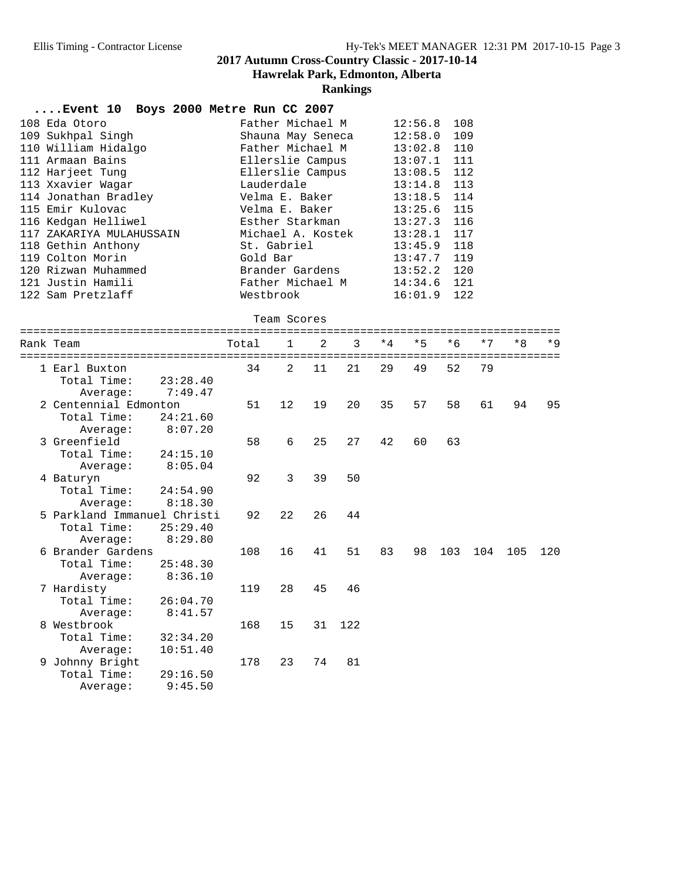#### **2017 Autumn Cross-Country Classic - 2017-10-14 Hawrelak Park, Edmonton, Alberta**

|                   |                          | Event 10 Boys 2000 Metre Run CC 2007 |               |     |
|-------------------|--------------------------|--------------------------------------|---------------|-----|
| 108 Eda Otoro     |                          | Father Michael M                     | 12:56.8       | 108 |
| 109 Sukhpal Singh |                          | Shauna May Seneca                    | $12:58.0$ 109 |     |
|                   | 110 William Hidalgo      | Father Michael M                     | $13:02.8$ 110 |     |
| 111 Armaan Bains  |                          | Ellerslie Campus                     | $13:07.1$ 111 |     |
| 112 Harjeet Tung  |                          | Ellerslie Campus                     | $13:08.5$ 112 |     |
| 113 Xxavier Wagar |                          | Lauderdale                           | $13:14.8$ 113 |     |
|                   | 114 Jonathan Bradley     | Velma E. Baker                       | $13:18.5$ 114 |     |
| 115 Emir Kulovac  |                          | Velma E. Baker                       | $13:25.6$ 115 |     |
|                   | 116 Kedgan Helliwel      | Esther Starkman                      | $13:27.3$ 116 |     |
|                   | 117 ZAKARIYA MULAHUSSAIN | Michael A. Kostek                    | $13:28.1$ 117 |     |
|                   | 118 Gethin Anthony       | St. Gabriel                          | $13:45.9$ 118 |     |
| 119 Colton Morin  |                          | Gold Bar                             | $13:47.7$ 119 |     |
|                   | 120 Rizwan Muhammed      | Brander Gardens                      | $13:52.2$ 120 |     |
| 121 Justin Hamili |                          | Father Michael M                     | $14:34.6$ 121 |     |
| 122 Sam Pretzlaff |                          | Westbrook                            | 16:01.9       | 122 |
|                   |                          |                                      |               |     |

|  | Team Scores |
|--|-------------|
|  |             |

| Rank Team                   | ----------------------------------- | Total | $\mathbf{1}$ | $\mathfrak{D}$ | 3   | $*4$ | $*5$ | $*6$ | $*7$ | $*8$<br>============================ | $*9$ |
|-----------------------------|-------------------------------------|-------|--------------|----------------|-----|------|------|------|------|--------------------------------------|------|
| 1 Earl Buxton               |                                     | 34    | 2            | 11             | 21  | 29   | 49   | 52   | 79   |                                      |      |
| Total Time:                 | 23:28.40                            |       |              |                |     |      |      |      |      |                                      |      |
| Average:                    | 7:49.47                             |       |              |                |     |      |      |      |      |                                      |      |
| 2 Centennial Edmonton       |                                     | 51    | 12           | 19             | 20  | 35   | 57   | 58   | 61   | 94                                   | 95   |
| Total Time:                 | 24:21.60                            |       |              |                |     |      |      |      |      |                                      |      |
| Average:                    | 8:07.20                             |       |              |                |     |      |      |      |      |                                      |      |
| 3 Greenfield                |                                     | 58    | 6            | 25             | 27  | 42   | 60   | 63   |      |                                      |      |
| Total Time:                 | 24:15.10                            |       |              |                |     |      |      |      |      |                                      |      |
| Average:                    | 8:05.04                             |       |              |                |     |      |      |      |      |                                      |      |
| 4 Baturyn                   |                                     | 92    | 3            | 39             | 50  |      |      |      |      |                                      |      |
| Total Time:                 | 24:54.90                            |       |              |                |     |      |      |      |      |                                      |      |
| Average:                    | 8:18.30                             |       |              |                |     |      |      |      |      |                                      |      |
| 5 Parkland Immanuel Christi |                                     | 92    | 22           | 26             | 44  |      |      |      |      |                                      |      |
| Total Time:                 | 25:29.40                            |       |              |                |     |      |      |      |      |                                      |      |
| Average:                    | 8:29.80                             |       |              |                |     |      |      |      |      |                                      |      |
| 6 Brander Gardens           |                                     | 108   | 16           | 41             | 51  | 83   | 98   | 103  | 104  | 105                                  | 120  |
| Total Time:                 | 25:48.30                            |       |              |                |     |      |      |      |      |                                      |      |
| Average:                    | 8:36.10                             |       |              |                |     |      |      |      |      |                                      |      |
| 7 Hardisty                  |                                     | 119   | 28           | 45             | 46  |      |      |      |      |                                      |      |
| Total Time:                 | 26:04.70                            |       |              |                |     |      |      |      |      |                                      |      |
| Average:                    | 8:41.57                             |       |              |                |     |      |      |      |      |                                      |      |
| 8 Westbrook                 |                                     | 168   | 15           | 31             | 122 |      |      |      |      |                                      |      |
| Total Time:                 | 32:34.20                            |       |              |                |     |      |      |      |      |                                      |      |
| Average:                    | 10:51.40                            |       |              |                |     |      |      |      |      |                                      |      |
| 9 Johnny Bright             |                                     | 178   | 23           | 74             | 81  |      |      |      |      |                                      |      |
| Total Time:                 | 29:16.50                            |       |              |                |     |      |      |      |      |                                      |      |
| Average:                    | 9:45.50                             |       |              |                |     |      |      |      |      |                                      |      |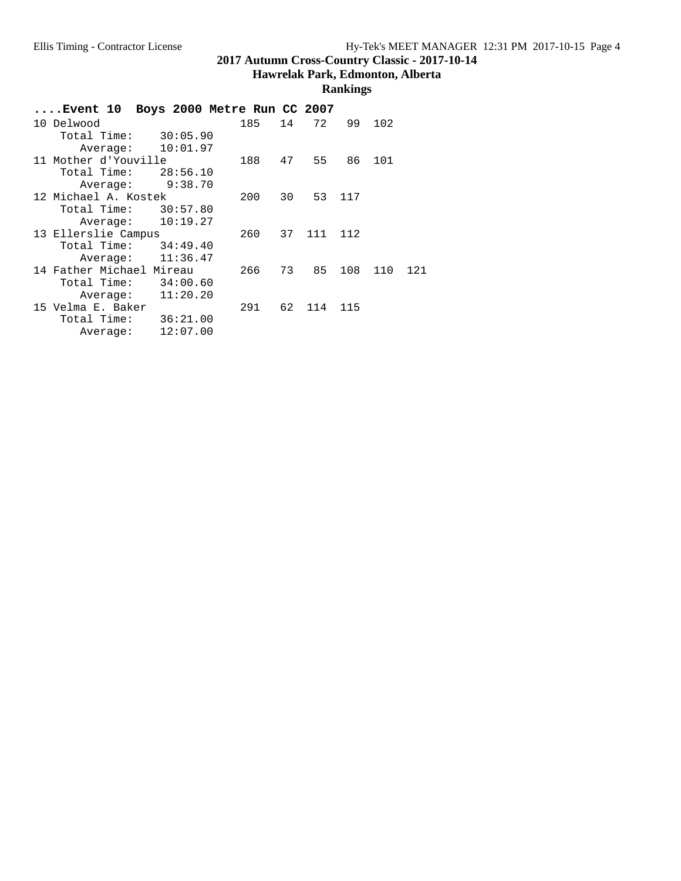#### **Hawrelak Park, Edmonton, Alberta**

| Event 10                 | Boys 2000 Metre Run CC 2007 |     |    |     |     |     |     |
|--------------------------|-----------------------------|-----|----|-----|-----|-----|-----|
| 10 Delwood               |                             | 185 | 14 | 72  | 99  | 102 |     |
| Total Time:              | 30:05.90                    |     |    |     |     |     |     |
| Average:                 | 10:01.97                    |     |    |     |     |     |     |
| 11 Mother d'Youville     |                             | 188 | 47 | 55  | 86  | 101 |     |
| Total Time:              | 28:56.10                    |     |    |     |     |     |     |
| Average:                 | 9:38.70                     |     |    |     |     |     |     |
| 12 Michael A. Kostek     |                             | 200 | 30 | 53  | 117 |     |     |
| Total Time:              | 30:57.80                    |     |    |     |     |     |     |
| Average:                 | 10:19.27                    |     |    |     |     |     |     |
| 13 Ellerslie Campus      |                             | 260 | 37 | 111 | 112 |     |     |
| Total Time:              | 34:49.40                    |     |    |     |     |     |     |
| Average:                 | 11:36.47                    |     |    |     |     |     |     |
| 14 Father Michael Mireau |                             | 266 | 73 | 85  | 108 | 110 | 121 |
| Total Time:              | 34:00.60                    |     |    |     |     |     |     |
| Average:                 | 11:20.20                    |     |    |     |     |     |     |
| 15 Velma E. Baker        |                             | 291 | 62 | 114 | 115 |     |     |
| Total Time:              | 36:21.00                    |     |    |     |     |     |     |
| Average:                 | 12:07.00                    |     |    |     |     |     |     |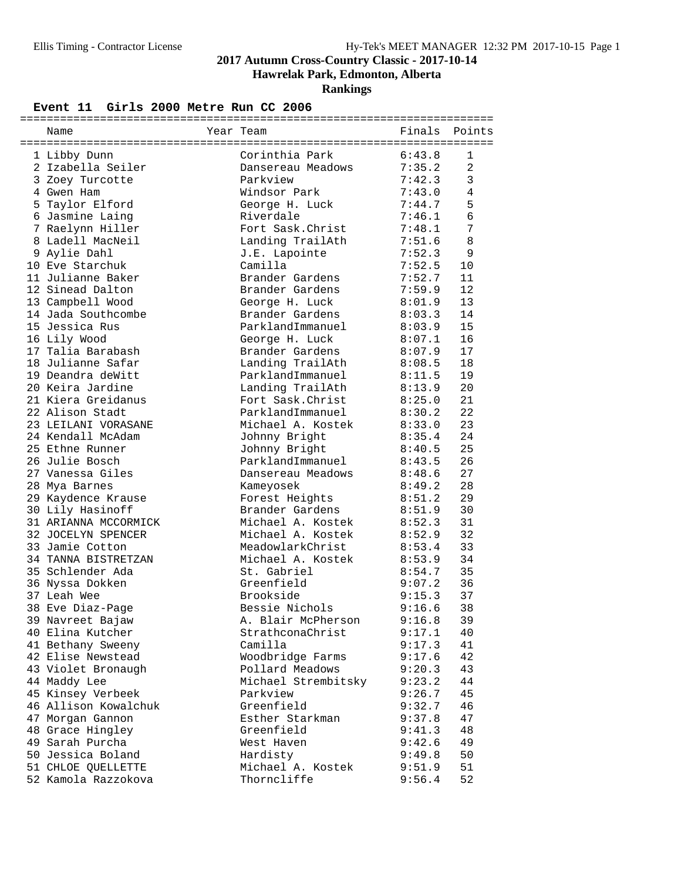**Hawrelak Park, Edmonton, Alberta**

### **Rankings**

#### **Event 11 Girls 2000 Metre Run CC 2006**

| Finals<br>Points<br>Year Team<br>Name<br>1 Libby Dunn<br>Corinthia Park<br>6:43.8<br>1<br>$\overline{a}$<br>7:35.2<br>2 Izabella Seiler<br>Dansereau Meadows<br>7:42.3<br>$\mathbf{3}$<br>3 Zoey Turcotte<br>Parkview<br>7:43.0<br>$\overline{4}$<br>4 Gwen Ham<br>Windsor Park<br>5<br>5 Taylor Elford<br>George H. Luck<br>7:44.7<br>$6\phantom{a}$<br>6 Jasmine Laing<br>Riverdale<br>7:46.1<br>7<br>Fort Sask. Christ<br>7 Raelynn Hiller<br>7:48.1<br>$\,8\,$<br>8 Ladell MacNeil<br>Landing TrailAth<br>7:51.6<br>9 Aylie Dahl<br>7:52.3<br>9<br>J.E. Lapointe<br>Camilla<br>10 Eve Starchuk<br>7:52.5<br>10<br>11 Julianne Baker<br>Brander Gardens<br>7:52.7<br>11<br>12<br>12 Sinead Dalton<br>Brander Gardens<br>7:59.9<br>13<br>13 Campbell Wood<br>George H. Luck<br>8:01.9<br>8:03.3<br>14<br>14 Jada Southcombe<br>Brander Gardens<br>8:03.9<br>15 Jessica Rus<br>ParklandImmanuel<br>15<br>George H. Luck<br>8:07.1<br>16<br>16 Lily Wood<br>17 Talia Barabash<br>Brander Gardens<br>17<br>8:07.9<br>18 Julianne Safar<br>Landing TrailAth<br>18<br>8:08.5<br>19<br>19 Deandra deWitt<br>ParklandImmanuel<br>8:11.5<br>20 Keira Jardine<br>20<br>Landing TrailAth<br>8:13.9<br>21 Kiera Greidanus<br>Fort Sask.Christ<br>21<br>8:25.0<br>22<br>22 Alison Stadt<br>ParklandImmanuel<br>8:30.2<br>23<br>23 LEILANI VORASANE<br>Michael A. Kostek<br>8:33.0<br>24<br>24 Kendall McAdam<br>Johnny Bright<br>8:35.4<br>25<br>25 Ethne Runner<br>Johnny Bright<br>8:40.5<br>26<br>26 Julie Bosch<br>ParklandImmanuel<br>8:43.5<br>27 Vanessa Giles<br>27<br>Dansereau Meadows<br>8:48.6<br>28<br>8:49.2<br>28 Mya Barnes<br>Kameyosek<br>29<br>29 Kaydence Krause<br>Forest Heights<br>8:51.2<br>30 Lily Hasinoff<br>Brander Gardens<br>30<br>8:51.9<br>Michael A. Kostek<br>31<br>31 ARIANNA MCCORMICK<br>8:52.3<br>32<br>32 JOCELYN SPENCER<br>Michael A. Kostek<br>8:52.9<br>MeadowlarkChrist<br>33<br>33 Jamie Cotton<br>8:53.4<br>Michael A. Kostek<br>34<br>34 TANNA BISTRETZAN<br>8:53.9<br>35 Schlender Ada<br>St. Gabriel<br>35<br>8:54.7<br>Greenfield<br>36<br>36 Nyssa Dokken<br>9:07.2<br>37 Leah Wee<br>Brookside<br>37<br>9:15.3<br>Bessie Nichols<br>9:16.6<br>38<br>38 Eve Diaz-Page<br>A. Blair McPherson<br>9:16.8<br>39 Navreet Bajaw<br>39<br>40 Elina Kutcher<br>StrathconaChrist<br>9:17.1<br>40<br>Camilla<br>41 Bethany Sweeny<br>9:17.3<br>41<br>42 Elise Newstead<br>Woodbridge Farms<br>9:17.6<br>42<br>43 Violet Bronaugh<br>Pollard Meadows<br>9:20.3<br>43<br>Michael Strembitsky<br>44<br>44 Maddy Lee<br>9:23.2<br>45 Kinsey Verbeek<br>Parkview<br>9:26.7<br>45<br>46 Allison Kowalchuk<br>Greenfield<br>9:32.7<br>46<br>Esther Starkman<br>9:37.8<br>47<br>47 Morgan Gannon<br>48 Grace Hingley<br>Greenfield<br>9:41.3<br>48<br>49 Sarah Purcha<br>West Haven<br>9:42.6<br>49<br>50 Jessica Boland<br>50<br>Hardisty<br>9:49.8 |                    |                   |        |    |
|-----------------------------------------------------------------------------------------------------------------------------------------------------------------------------------------------------------------------------------------------------------------------------------------------------------------------------------------------------------------------------------------------------------------------------------------------------------------------------------------------------------------------------------------------------------------------------------------------------------------------------------------------------------------------------------------------------------------------------------------------------------------------------------------------------------------------------------------------------------------------------------------------------------------------------------------------------------------------------------------------------------------------------------------------------------------------------------------------------------------------------------------------------------------------------------------------------------------------------------------------------------------------------------------------------------------------------------------------------------------------------------------------------------------------------------------------------------------------------------------------------------------------------------------------------------------------------------------------------------------------------------------------------------------------------------------------------------------------------------------------------------------------------------------------------------------------------------------------------------------------------------------------------------------------------------------------------------------------------------------------------------------------------------------------------------------------------------------------------------------------------------------------------------------------------------------------------------------------------------------------------------------------------------------------------------------------------------------------------------------------------------------------------------------------------------------------------------------------------------------------------------------------------------------------------------------------------------------------------------------------------------------------------------------------------------------------------------------------------------------------------------------------------------------------------------------------------------------------------------------------------|--------------------|-------------------|--------|----|
|                                                                                                                                                                                                                                                                                                                                                                                                                                                                                                                                                                                                                                                                                                                                                                                                                                                                                                                                                                                                                                                                                                                                                                                                                                                                                                                                                                                                                                                                                                                                                                                                                                                                                                                                                                                                                                                                                                                                                                                                                                                                                                                                                                                                                                                                                                                                                                                                                                                                                                                                                                                                                                                                                                                                                                                                                                                                             |                    |                   |        |    |
|                                                                                                                                                                                                                                                                                                                                                                                                                                                                                                                                                                                                                                                                                                                                                                                                                                                                                                                                                                                                                                                                                                                                                                                                                                                                                                                                                                                                                                                                                                                                                                                                                                                                                                                                                                                                                                                                                                                                                                                                                                                                                                                                                                                                                                                                                                                                                                                                                                                                                                                                                                                                                                                                                                                                                                                                                                                                             |                    |                   |        |    |
|                                                                                                                                                                                                                                                                                                                                                                                                                                                                                                                                                                                                                                                                                                                                                                                                                                                                                                                                                                                                                                                                                                                                                                                                                                                                                                                                                                                                                                                                                                                                                                                                                                                                                                                                                                                                                                                                                                                                                                                                                                                                                                                                                                                                                                                                                                                                                                                                                                                                                                                                                                                                                                                                                                                                                                                                                                                                             |                    |                   |        |    |
|                                                                                                                                                                                                                                                                                                                                                                                                                                                                                                                                                                                                                                                                                                                                                                                                                                                                                                                                                                                                                                                                                                                                                                                                                                                                                                                                                                                                                                                                                                                                                                                                                                                                                                                                                                                                                                                                                                                                                                                                                                                                                                                                                                                                                                                                                                                                                                                                                                                                                                                                                                                                                                                                                                                                                                                                                                                                             |                    |                   |        |    |
|                                                                                                                                                                                                                                                                                                                                                                                                                                                                                                                                                                                                                                                                                                                                                                                                                                                                                                                                                                                                                                                                                                                                                                                                                                                                                                                                                                                                                                                                                                                                                                                                                                                                                                                                                                                                                                                                                                                                                                                                                                                                                                                                                                                                                                                                                                                                                                                                                                                                                                                                                                                                                                                                                                                                                                                                                                                                             |                    |                   |        |    |
|                                                                                                                                                                                                                                                                                                                                                                                                                                                                                                                                                                                                                                                                                                                                                                                                                                                                                                                                                                                                                                                                                                                                                                                                                                                                                                                                                                                                                                                                                                                                                                                                                                                                                                                                                                                                                                                                                                                                                                                                                                                                                                                                                                                                                                                                                                                                                                                                                                                                                                                                                                                                                                                                                                                                                                                                                                                                             |                    |                   |        |    |
|                                                                                                                                                                                                                                                                                                                                                                                                                                                                                                                                                                                                                                                                                                                                                                                                                                                                                                                                                                                                                                                                                                                                                                                                                                                                                                                                                                                                                                                                                                                                                                                                                                                                                                                                                                                                                                                                                                                                                                                                                                                                                                                                                                                                                                                                                                                                                                                                                                                                                                                                                                                                                                                                                                                                                                                                                                                                             |                    |                   |        |    |
|                                                                                                                                                                                                                                                                                                                                                                                                                                                                                                                                                                                                                                                                                                                                                                                                                                                                                                                                                                                                                                                                                                                                                                                                                                                                                                                                                                                                                                                                                                                                                                                                                                                                                                                                                                                                                                                                                                                                                                                                                                                                                                                                                                                                                                                                                                                                                                                                                                                                                                                                                                                                                                                                                                                                                                                                                                                                             |                    |                   |        |    |
|                                                                                                                                                                                                                                                                                                                                                                                                                                                                                                                                                                                                                                                                                                                                                                                                                                                                                                                                                                                                                                                                                                                                                                                                                                                                                                                                                                                                                                                                                                                                                                                                                                                                                                                                                                                                                                                                                                                                                                                                                                                                                                                                                                                                                                                                                                                                                                                                                                                                                                                                                                                                                                                                                                                                                                                                                                                                             |                    |                   |        |    |
|                                                                                                                                                                                                                                                                                                                                                                                                                                                                                                                                                                                                                                                                                                                                                                                                                                                                                                                                                                                                                                                                                                                                                                                                                                                                                                                                                                                                                                                                                                                                                                                                                                                                                                                                                                                                                                                                                                                                                                                                                                                                                                                                                                                                                                                                                                                                                                                                                                                                                                                                                                                                                                                                                                                                                                                                                                                                             |                    |                   |        |    |
|                                                                                                                                                                                                                                                                                                                                                                                                                                                                                                                                                                                                                                                                                                                                                                                                                                                                                                                                                                                                                                                                                                                                                                                                                                                                                                                                                                                                                                                                                                                                                                                                                                                                                                                                                                                                                                                                                                                                                                                                                                                                                                                                                                                                                                                                                                                                                                                                                                                                                                                                                                                                                                                                                                                                                                                                                                                                             |                    |                   |        |    |
|                                                                                                                                                                                                                                                                                                                                                                                                                                                                                                                                                                                                                                                                                                                                                                                                                                                                                                                                                                                                                                                                                                                                                                                                                                                                                                                                                                                                                                                                                                                                                                                                                                                                                                                                                                                                                                                                                                                                                                                                                                                                                                                                                                                                                                                                                                                                                                                                                                                                                                                                                                                                                                                                                                                                                                                                                                                                             |                    |                   |        |    |
|                                                                                                                                                                                                                                                                                                                                                                                                                                                                                                                                                                                                                                                                                                                                                                                                                                                                                                                                                                                                                                                                                                                                                                                                                                                                                                                                                                                                                                                                                                                                                                                                                                                                                                                                                                                                                                                                                                                                                                                                                                                                                                                                                                                                                                                                                                                                                                                                                                                                                                                                                                                                                                                                                                                                                                                                                                                                             |                    |                   |        |    |
|                                                                                                                                                                                                                                                                                                                                                                                                                                                                                                                                                                                                                                                                                                                                                                                                                                                                                                                                                                                                                                                                                                                                                                                                                                                                                                                                                                                                                                                                                                                                                                                                                                                                                                                                                                                                                                                                                                                                                                                                                                                                                                                                                                                                                                                                                                                                                                                                                                                                                                                                                                                                                                                                                                                                                                                                                                                                             |                    |                   |        |    |
|                                                                                                                                                                                                                                                                                                                                                                                                                                                                                                                                                                                                                                                                                                                                                                                                                                                                                                                                                                                                                                                                                                                                                                                                                                                                                                                                                                                                                                                                                                                                                                                                                                                                                                                                                                                                                                                                                                                                                                                                                                                                                                                                                                                                                                                                                                                                                                                                                                                                                                                                                                                                                                                                                                                                                                                                                                                                             |                    |                   |        |    |
|                                                                                                                                                                                                                                                                                                                                                                                                                                                                                                                                                                                                                                                                                                                                                                                                                                                                                                                                                                                                                                                                                                                                                                                                                                                                                                                                                                                                                                                                                                                                                                                                                                                                                                                                                                                                                                                                                                                                                                                                                                                                                                                                                                                                                                                                                                                                                                                                                                                                                                                                                                                                                                                                                                                                                                                                                                                                             |                    |                   |        |    |
|                                                                                                                                                                                                                                                                                                                                                                                                                                                                                                                                                                                                                                                                                                                                                                                                                                                                                                                                                                                                                                                                                                                                                                                                                                                                                                                                                                                                                                                                                                                                                                                                                                                                                                                                                                                                                                                                                                                                                                                                                                                                                                                                                                                                                                                                                                                                                                                                                                                                                                                                                                                                                                                                                                                                                                                                                                                                             |                    |                   |        |    |
|                                                                                                                                                                                                                                                                                                                                                                                                                                                                                                                                                                                                                                                                                                                                                                                                                                                                                                                                                                                                                                                                                                                                                                                                                                                                                                                                                                                                                                                                                                                                                                                                                                                                                                                                                                                                                                                                                                                                                                                                                                                                                                                                                                                                                                                                                                                                                                                                                                                                                                                                                                                                                                                                                                                                                                                                                                                                             |                    |                   |        |    |
|                                                                                                                                                                                                                                                                                                                                                                                                                                                                                                                                                                                                                                                                                                                                                                                                                                                                                                                                                                                                                                                                                                                                                                                                                                                                                                                                                                                                                                                                                                                                                                                                                                                                                                                                                                                                                                                                                                                                                                                                                                                                                                                                                                                                                                                                                                                                                                                                                                                                                                                                                                                                                                                                                                                                                                                                                                                                             |                    |                   |        |    |
|                                                                                                                                                                                                                                                                                                                                                                                                                                                                                                                                                                                                                                                                                                                                                                                                                                                                                                                                                                                                                                                                                                                                                                                                                                                                                                                                                                                                                                                                                                                                                                                                                                                                                                                                                                                                                                                                                                                                                                                                                                                                                                                                                                                                                                                                                                                                                                                                                                                                                                                                                                                                                                                                                                                                                                                                                                                                             |                    |                   |        |    |
|                                                                                                                                                                                                                                                                                                                                                                                                                                                                                                                                                                                                                                                                                                                                                                                                                                                                                                                                                                                                                                                                                                                                                                                                                                                                                                                                                                                                                                                                                                                                                                                                                                                                                                                                                                                                                                                                                                                                                                                                                                                                                                                                                                                                                                                                                                                                                                                                                                                                                                                                                                                                                                                                                                                                                                                                                                                                             |                    |                   |        |    |
|                                                                                                                                                                                                                                                                                                                                                                                                                                                                                                                                                                                                                                                                                                                                                                                                                                                                                                                                                                                                                                                                                                                                                                                                                                                                                                                                                                                                                                                                                                                                                                                                                                                                                                                                                                                                                                                                                                                                                                                                                                                                                                                                                                                                                                                                                                                                                                                                                                                                                                                                                                                                                                                                                                                                                                                                                                                                             |                    |                   |        |    |
|                                                                                                                                                                                                                                                                                                                                                                                                                                                                                                                                                                                                                                                                                                                                                                                                                                                                                                                                                                                                                                                                                                                                                                                                                                                                                                                                                                                                                                                                                                                                                                                                                                                                                                                                                                                                                                                                                                                                                                                                                                                                                                                                                                                                                                                                                                                                                                                                                                                                                                                                                                                                                                                                                                                                                                                                                                                                             |                    |                   |        |    |
|                                                                                                                                                                                                                                                                                                                                                                                                                                                                                                                                                                                                                                                                                                                                                                                                                                                                                                                                                                                                                                                                                                                                                                                                                                                                                                                                                                                                                                                                                                                                                                                                                                                                                                                                                                                                                                                                                                                                                                                                                                                                                                                                                                                                                                                                                                                                                                                                                                                                                                                                                                                                                                                                                                                                                                                                                                                                             |                    |                   |        |    |
|                                                                                                                                                                                                                                                                                                                                                                                                                                                                                                                                                                                                                                                                                                                                                                                                                                                                                                                                                                                                                                                                                                                                                                                                                                                                                                                                                                                                                                                                                                                                                                                                                                                                                                                                                                                                                                                                                                                                                                                                                                                                                                                                                                                                                                                                                                                                                                                                                                                                                                                                                                                                                                                                                                                                                                                                                                                                             |                    |                   |        |    |
|                                                                                                                                                                                                                                                                                                                                                                                                                                                                                                                                                                                                                                                                                                                                                                                                                                                                                                                                                                                                                                                                                                                                                                                                                                                                                                                                                                                                                                                                                                                                                                                                                                                                                                                                                                                                                                                                                                                                                                                                                                                                                                                                                                                                                                                                                                                                                                                                                                                                                                                                                                                                                                                                                                                                                                                                                                                                             |                    |                   |        |    |
|                                                                                                                                                                                                                                                                                                                                                                                                                                                                                                                                                                                                                                                                                                                                                                                                                                                                                                                                                                                                                                                                                                                                                                                                                                                                                                                                                                                                                                                                                                                                                                                                                                                                                                                                                                                                                                                                                                                                                                                                                                                                                                                                                                                                                                                                                                                                                                                                                                                                                                                                                                                                                                                                                                                                                                                                                                                                             |                    |                   |        |    |
|                                                                                                                                                                                                                                                                                                                                                                                                                                                                                                                                                                                                                                                                                                                                                                                                                                                                                                                                                                                                                                                                                                                                                                                                                                                                                                                                                                                                                                                                                                                                                                                                                                                                                                                                                                                                                                                                                                                                                                                                                                                                                                                                                                                                                                                                                                                                                                                                                                                                                                                                                                                                                                                                                                                                                                                                                                                                             |                    |                   |        |    |
|                                                                                                                                                                                                                                                                                                                                                                                                                                                                                                                                                                                                                                                                                                                                                                                                                                                                                                                                                                                                                                                                                                                                                                                                                                                                                                                                                                                                                                                                                                                                                                                                                                                                                                                                                                                                                                                                                                                                                                                                                                                                                                                                                                                                                                                                                                                                                                                                                                                                                                                                                                                                                                                                                                                                                                                                                                                                             |                    |                   |        |    |
|                                                                                                                                                                                                                                                                                                                                                                                                                                                                                                                                                                                                                                                                                                                                                                                                                                                                                                                                                                                                                                                                                                                                                                                                                                                                                                                                                                                                                                                                                                                                                                                                                                                                                                                                                                                                                                                                                                                                                                                                                                                                                                                                                                                                                                                                                                                                                                                                                                                                                                                                                                                                                                                                                                                                                                                                                                                                             |                    |                   |        |    |
|                                                                                                                                                                                                                                                                                                                                                                                                                                                                                                                                                                                                                                                                                                                                                                                                                                                                                                                                                                                                                                                                                                                                                                                                                                                                                                                                                                                                                                                                                                                                                                                                                                                                                                                                                                                                                                                                                                                                                                                                                                                                                                                                                                                                                                                                                                                                                                                                                                                                                                                                                                                                                                                                                                                                                                                                                                                                             |                    |                   |        |    |
|                                                                                                                                                                                                                                                                                                                                                                                                                                                                                                                                                                                                                                                                                                                                                                                                                                                                                                                                                                                                                                                                                                                                                                                                                                                                                                                                                                                                                                                                                                                                                                                                                                                                                                                                                                                                                                                                                                                                                                                                                                                                                                                                                                                                                                                                                                                                                                                                                                                                                                                                                                                                                                                                                                                                                                                                                                                                             |                    |                   |        |    |
|                                                                                                                                                                                                                                                                                                                                                                                                                                                                                                                                                                                                                                                                                                                                                                                                                                                                                                                                                                                                                                                                                                                                                                                                                                                                                                                                                                                                                                                                                                                                                                                                                                                                                                                                                                                                                                                                                                                                                                                                                                                                                                                                                                                                                                                                                                                                                                                                                                                                                                                                                                                                                                                                                                                                                                                                                                                                             |                    |                   |        |    |
|                                                                                                                                                                                                                                                                                                                                                                                                                                                                                                                                                                                                                                                                                                                                                                                                                                                                                                                                                                                                                                                                                                                                                                                                                                                                                                                                                                                                                                                                                                                                                                                                                                                                                                                                                                                                                                                                                                                                                                                                                                                                                                                                                                                                                                                                                                                                                                                                                                                                                                                                                                                                                                                                                                                                                                                                                                                                             |                    |                   |        |    |
|                                                                                                                                                                                                                                                                                                                                                                                                                                                                                                                                                                                                                                                                                                                                                                                                                                                                                                                                                                                                                                                                                                                                                                                                                                                                                                                                                                                                                                                                                                                                                                                                                                                                                                                                                                                                                                                                                                                                                                                                                                                                                                                                                                                                                                                                                                                                                                                                                                                                                                                                                                                                                                                                                                                                                                                                                                                                             |                    |                   |        |    |
|                                                                                                                                                                                                                                                                                                                                                                                                                                                                                                                                                                                                                                                                                                                                                                                                                                                                                                                                                                                                                                                                                                                                                                                                                                                                                                                                                                                                                                                                                                                                                                                                                                                                                                                                                                                                                                                                                                                                                                                                                                                                                                                                                                                                                                                                                                                                                                                                                                                                                                                                                                                                                                                                                                                                                                                                                                                                             |                    |                   |        |    |
|                                                                                                                                                                                                                                                                                                                                                                                                                                                                                                                                                                                                                                                                                                                                                                                                                                                                                                                                                                                                                                                                                                                                                                                                                                                                                                                                                                                                                                                                                                                                                                                                                                                                                                                                                                                                                                                                                                                                                                                                                                                                                                                                                                                                                                                                                                                                                                                                                                                                                                                                                                                                                                                                                                                                                                                                                                                                             |                    |                   |        |    |
|                                                                                                                                                                                                                                                                                                                                                                                                                                                                                                                                                                                                                                                                                                                                                                                                                                                                                                                                                                                                                                                                                                                                                                                                                                                                                                                                                                                                                                                                                                                                                                                                                                                                                                                                                                                                                                                                                                                                                                                                                                                                                                                                                                                                                                                                                                                                                                                                                                                                                                                                                                                                                                                                                                                                                                                                                                                                             |                    |                   |        |    |
|                                                                                                                                                                                                                                                                                                                                                                                                                                                                                                                                                                                                                                                                                                                                                                                                                                                                                                                                                                                                                                                                                                                                                                                                                                                                                                                                                                                                                                                                                                                                                                                                                                                                                                                                                                                                                                                                                                                                                                                                                                                                                                                                                                                                                                                                                                                                                                                                                                                                                                                                                                                                                                                                                                                                                                                                                                                                             |                    |                   |        |    |
|                                                                                                                                                                                                                                                                                                                                                                                                                                                                                                                                                                                                                                                                                                                                                                                                                                                                                                                                                                                                                                                                                                                                                                                                                                                                                                                                                                                                                                                                                                                                                                                                                                                                                                                                                                                                                                                                                                                                                                                                                                                                                                                                                                                                                                                                                                                                                                                                                                                                                                                                                                                                                                                                                                                                                                                                                                                                             |                    |                   |        |    |
|                                                                                                                                                                                                                                                                                                                                                                                                                                                                                                                                                                                                                                                                                                                                                                                                                                                                                                                                                                                                                                                                                                                                                                                                                                                                                                                                                                                                                                                                                                                                                                                                                                                                                                                                                                                                                                                                                                                                                                                                                                                                                                                                                                                                                                                                                                                                                                                                                                                                                                                                                                                                                                                                                                                                                                                                                                                                             |                    |                   |        |    |
|                                                                                                                                                                                                                                                                                                                                                                                                                                                                                                                                                                                                                                                                                                                                                                                                                                                                                                                                                                                                                                                                                                                                                                                                                                                                                                                                                                                                                                                                                                                                                                                                                                                                                                                                                                                                                                                                                                                                                                                                                                                                                                                                                                                                                                                                                                                                                                                                                                                                                                                                                                                                                                                                                                                                                                                                                                                                             |                    |                   |        |    |
|                                                                                                                                                                                                                                                                                                                                                                                                                                                                                                                                                                                                                                                                                                                                                                                                                                                                                                                                                                                                                                                                                                                                                                                                                                                                                                                                                                                                                                                                                                                                                                                                                                                                                                                                                                                                                                                                                                                                                                                                                                                                                                                                                                                                                                                                                                                                                                                                                                                                                                                                                                                                                                                                                                                                                                                                                                                                             |                    |                   |        |    |
|                                                                                                                                                                                                                                                                                                                                                                                                                                                                                                                                                                                                                                                                                                                                                                                                                                                                                                                                                                                                                                                                                                                                                                                                                                                                                                                                                                                                                                                                                                                                                                                                                                                                                                                                                                                                                                                                                                                                                                                                                                                                                                                                                                                                                                                                                                                                                                                                                                                                                                                                                                                                                                                                                                                                                                                                                                                                             |                    |                   |        |    |
|                                                                                                                                                                                                                                                                                                                                                                                                                                                                                                                                                                                                                                                                                                                                                                                                                                                                                                                                                                                                                                                                                                                                                                                                                                                                                                                                                                                                                                                                                                                                                                                                                                                                                                                                                                                                                                                                                                                                                                                                                                                                                                                                                                                                                                                                                                                                                                                                                                                                                                                                                                                                                                                                                                                                                                                                                                                                             |                    |                   |        |    |
|                                                                                                                                                                                                                                                                                                                                                                                                                                                                                                                                                                                                                                                                                                                                                                                                                                                                                                                                                                                                                                                                                                                                                                                                                                                                                                                                                                                                                                                                                                                                                                                                                                                                                                                                                                                                                                                                                                                                                                                                                                                                                                                                                                                                                                                                                                                                                                                                                                                                                                                                                                                                                                                                                                                                                                                                                                                                             |                    |                   |        |    |
|                                                                                                                                                                                                                                                                                                                                                                                                                                                                                                                                                                                                                                                                                                                                                                                                                                                                                                                                                                                                                                                                                                                                                                                                                                                                                                                                                                                                                                                                                                                                                                                                                                                                                                                                                                                                                                                                                                                                                                                                                                                                                                                                                                                                                                                                                                                                                                                                                                                                                                                                                                                                                                                                                                                                                                                                                                                                             |                    |                   |        |    |
|                                                                                                                                                                                                                                                                                                                                                                                                                                                                                                                                                                                                                                                                                                                                                                                                                                                                                                                                                                                                                                                                                                                                                                                                                                                                                                                                                                                                                                                                                                                                                                                                                                                                                                                                                                                                                                                                                                                                                                                                                                                                                                                                                                                                                                                                                                                                                                                                                                                                                                                                                                                                                                                                                                                                                                                                                                                                             |                    |                   |        |    |
|                                                                                                                                                                                                                                                                                                                                                                                                                                                                                                                                                                                                                                                                                                                                                                                                                                                                                                                                                                                                                                                                                                                                                                                                                                                                                                                                                                                                                                                                                                                                                                                                                                                                                                                                                                                                                                                                                                                                                                                                                                                                                                                                                                                                                                                                                                                                                                                                                                                                                                                                                                                                                                                                                                                                                                                                                                                                             |                    |                   |        |    |
|                                                                                                                                                                                                                                                                                                                                                                                                                                                                                                                                                                                                                                                                                                                                                                                                                                                                                                                                                                                                                                                                                                                                                                                                                                                                                                                                                                                                                                                                                                                                                                                                                                                                                                                                                                                                                                                                                                                                                                                                                                                                                                                                                                                                                                                                                                                                                                                                                                                                                                                                                                                                                                                                                                                                                                                                                                                                             |                    |                   |        |    |
|                                                                                                                                                                                                                                                                                                                                                                                                                                                                                                                                                                                                                                                                                                                                                                                                                                                                                                                                                                                                                                                                                                                                                                                                                                                                                                                                                                                                                                                                                                                                                                                                                                                                                                                                                                                                                                                                                                                                                                                                                                                                                                                                                                                                                                                                                                                                                                                                                                                                                                                                                                                                                                                                                                                                                                                                                                                                             | 51 CHLOE QUELLETTE | Michael A. Kostek | 9:51.9 | 51 |
| 52<br>52 Kamola Razzokova<br>Thorncliffe<br>9:56.4                                                                                                                                                                                                                                                                                                                                                                                                                                                                                                                                                                                                                                                                                                                                                                                                                                                                                                                                                                                                                                                                                                                                                                                                                                                                                                                                                                                                                                                                                                                                                                                                                                                                                                                                                                                                                                                                                                                                                                                                                                                                                                                                                                                                                                                                                                                                                                                                                                                                                                                                                                                                                                                                                                                                                                                                                          |                    |                   |        |    |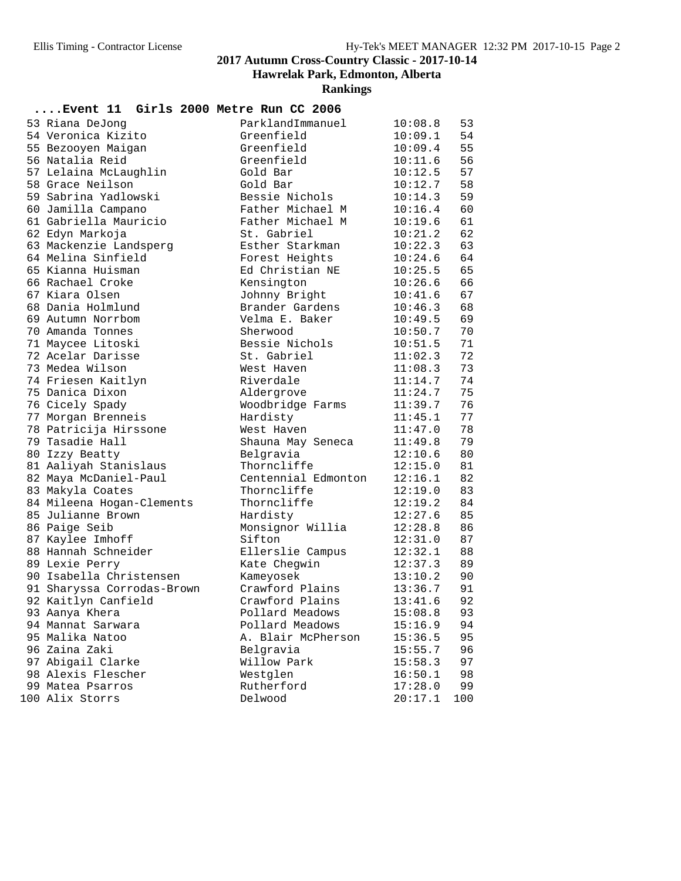### **2017 Autumn Cross-Country Classic - 2017-10-14 Hawrelak Park, Edmonton, Alberta**

### **Rankings**

### **....Event 11 Girls 2000 Metre Run CC 2006**

| 53 Riana DeJong            | ParklandImmanuel    | 10:08.8 | 53  |
|----------------------------|---------------------|---------|-----|
| 54 Veronica Kizito         | Greenfield          | 10:09.1 | 54  |
| 55 Bezooyen Maigan         | Greenfield          | 10:09.4 | 55  |
| 56 Natalia Reid            | Greenfield          | 10:11.6 | 56  |
| 57 Lelaina McLaughlin      | Gold Bar            | 10:12.5 | 57  |
| 58 Grace Neilson           | Gold Bar            | 10:12.7 | 58  |
| 59 Sabrina Yadlowski       | Bessie Nichols      | 10:14.3 | 59  |
| 60 Jamilla Campano         | Father Michael M    | 10:16.4 | 60  |
| 61 Gabriella Mauricio      | Father Michael M    | 10:19.6 | 61  |
| 62 Edyn Markoja            | St. Gabriel         | 10:21.2 | 62  |
| 63 Mackenzie Landsperg     | Esther Starkman     | 10:22.3 | 63  |
| 64 Melina Sinfield         | Forest Heights      | 10:24.6 | 64  |
| 65 Kianna Huisman          | Ed Christian NE     | 10:25.5 | 65  |
| 66 Rachael Croke           | Kensington          | 10:26.6 | 66  |
| 67 Kiara Olsen             | Johnny Bright       | 10:41.6 | 67  |
| 68 Dania Holmlund          | Brander Gardens     | 10:46.3 | 68  |
| 69 Autumn Norrbom          | Velma E. Baker      | 10:49.5 | 69  |
| 70 Amanda Tonnes           | Sherwood            | 10:50.7 | 70  |
| 71 Maycee Litoski          | Bessie Nichols      | 10:51.5 | 71  |
| 72 Acelar Darisse          | St. Gabriel         | 11:02.3 | 72  |
| 73 Medea Wilson            | West Haven          | 11:08.3 | 73  |
| 74 Friesen Kaitlyn         | Riverdale           | 11:14.7 | 74  |
| 75 Danica Dixon            | Aldergrove          | 11:24.7 | 75  |
| 76 Cicely Spady            | Woodbridge Farms    | 11:39.7 | 76  |
| 77 Morgan Brenneis         | Hardisty            | 11:45.1 | 77  |
|                            | West Haven          |         | 78  |
| 78 Patricija Hirssone      |                     | 11:47.0 |     |
| 79 Tasadie Hall            | Shauna May Seneca   | 11:49.8 | 79  |
| 80 Izzy Beatty             | Belgravia           | 12:10.6 | 80  |
| 81 Aaliyah Stanislaus      | Thorncliffe         | 12:15.0 | 81  |
| 82 Maya McDaniel-Paul      | Centennial Edmonton | 12:16.1 | 82  |
| 83 Makyla Coates           | Thorncliffe         | 12:19.0 | 83  |
| 84 Mileena Hogan-Clements  | Thorncliffe         | 12:19.2 | 84  |
| 85 Julianne Brown          | Hardisty            | 12:27.6 | 85  |
| 86 Paige Seib              | Monsignor Willia    | 12:28.8 | 86  |
| 87 Kaylee Imhoff           | Sifton              | 12:31.0 | 87  |
| 88 Hannah Schneider        | Ellerslie Campus    | 12:32.1 | 88  |
| 89 Lexie Perry             | Kate Chegwin        | 12:37.3 | 89  |
| 90 Isabella Christensen    | Kameyosek           | 13:10.2 | 90  |
| 91 Sharyssa Corrodas-Brown | Crawford Plains     | 13:36.7 | 91  |
| 92 Kaitlyn Canfield        | Crawford Plains     | 13:41.6 | 92  |
| 93 Aanya Khera             | Pollard Meadows     | 15:08.8 | 93  |
| 94 Mannat Sarwara          | Pollard Meadows     | 15:16.9 | 94  |
| 95 Malika Natoo            | A. Blair McPherson  | 15:36.5 | 95  |
| 96 Zaina Zaki              | Belgravia           | 15:55.7 | 96  |
| 97 Abigail Clarke          | Willow Park         | 15:58.3 | 97  |
| 98 Alexis Flescher         | Westglen            | 16:50.1 | 98  |
| 99 Matea Psarros           | Rutherford          | 17:28.0 | 99  |
| 100 Alix Storrs            | Delwood             | 20:17.1 | 100 |
|                            |                     |         |     |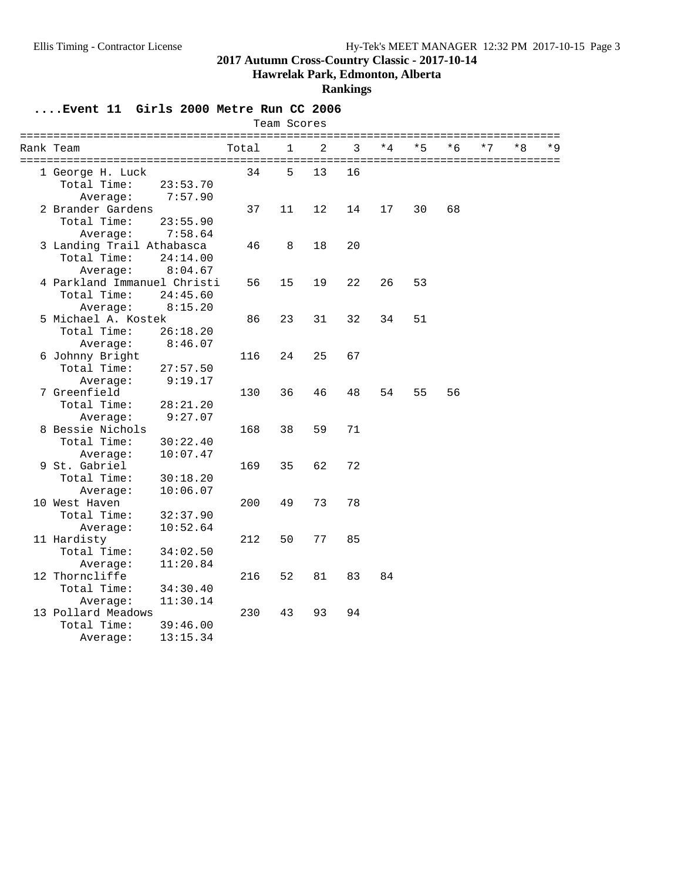**Hawrelak Park, Edmonton, Alberta**

### **Rankings**

**....Event 11 Girls 2000 Metre Run CC 2006**

|                             |          |       | Team Scores<br>=============== |    |    |      |      |      |      |    |      |
|-----------------------------|----------|-------|--------------------------------|----|----|------|------|------|------|----|------|
| Rank Team                   |          | Total | 1                              | 2  | 3  | $*4$ | $*5$ | $*6$ | $*7$ | *8 | $*9$ |
| 1 George H. Luck            |          | 34    | 5                              | 13 | 16 |      |      |      |      |    |      |
| Total Time:                 | 23:53.70 |       |                                |    |    |      |      |      |      |    |      |
| Average:                    | 7:57.90  |       |                                |    |    |      |      |      |      |    |      |
| 2 Brander Gardens           |          | 37    | 11                             | 12 | 14 | 17   | 30   | 68   |      |    |      |
| Total Time:                 | 23:55.90 |       |                                |    |    |      |      |      |      |    |      |
| Average:                    | 7:58.64  |       |                                |    |    |      |      |      |      |    |      |
| 3 Landing Trail Athabasca   |          | 46    | 8                              | 18 | 20 |      |      |      |      |    |      |
| Total Time:                 | 24:14.00 |       |                                |    |    |      |      |      |      |    |      |
| Average:                    | 8:04.67  |       |                                |    |    |      |      |      |      |    |      |
| 4 Parkland Immanuel Christi |          | 56    | 15                             | 19 | 22 | 26   | 53   |      |      |    |      |
| Total Time:                 | 24:45.60 |       |                                |    |    |      |      |      |      |    |      |
| Average:                    | 8:15.20  |       |                                |    |    |      |      |      |      |    |      |
| 5 Michael A. Kostek         |          | 86    | 23                             | 31 | 32 | 34   | 51   |      |      |    |      |
| Total Time:                 | 26:18.20 |       |                                |    |    |      |      |      |      |    |      |
| Average:                    | 8:46.07  |       |                                |    |    |      |      |      |      |    |      |
| 6 Johnny Bright             |          | 116   | 24                             | 25 | 67 |      |      |      |      |    |      |
| Total Time:                 | 27:57.50 |       |                                |    |    |      |      |      |      |    |      |
| Average:                    | 9:19.17  |       |                                |    |    |      |      |      |      |    |      |
| 7 Greenfield                |          | 130   | 36                             | 46 | 48 | 54   | 55   | 56   |      |    |      |
| Total Time:                 | 28:21.20 |       |                                |    |    |      |      |      |      |    |      |
| Average:                    | 9:27.07  |       |                                |    |    |      |      |      |      |    |      |
| 8 Bessie Nichols            |          | 168   | 38                             | 59 | 71 |      |      |      |      |    |      |
| Total Time:                 | 30:22.40 |       |                                |    |    |      |      |      |      |    |      |
| Average:                    | 10:07.47 |       |                                |    |    |      |      |      |      |    |      |
| 9 St. Gabriel               |          | 169   | 35                             | 62 | 72 |      |      |      |      |    |      |
| Total Time:                 | 30:18.20 |       |                                |    |    |      |      |      |      |    |      |
| Average:                    | 10:06.07 |       |                                |    |    |      |      |      |      |    |      |
| 10 West Haven               |          | 200   | 49                             | 73 | 78 |      |      |      |      |    |      |
| Total Time:                 | 32:37.90 |       |                                |    |    |      |      |      |      |    |      |
| Average:                    | 10:52.64 |       |                                |    |    |      |      |      |      |    |      |
| 11 Hardisty                 |          | 212   | 50                             | 77 | 85 |      |      |      |      |    |      |
| Total Time:                 | 34:02.50 |       |                                |    |    |      |      |      |      |    |      |
| Average:                    | 11:20.84 |       |                                |    |    |      |      |      |      |    |      |
| 12 Thorncliffe              |          | 216   | 52                             | 81 | 83 | 84   |      |      |      |    |      |
| Total Time:                 | 34:30.40 |       |                                |    |    |      |      |      |      |    |      |
| Average:                    | 11:30.14 |       |                                |    |    |      |      |      |      |    |      |
| 13 Pollard Meadows          |          | 230   | 43                             | 93 | 94 |      |      |      |      |    |      |
| Total Time:                 | 39:46.00 |       |                                |    |    |      |      |      |      |    |      |
| Average:                    | 13:15.34 |       |                                |    |    |      |      |      |      |    |      |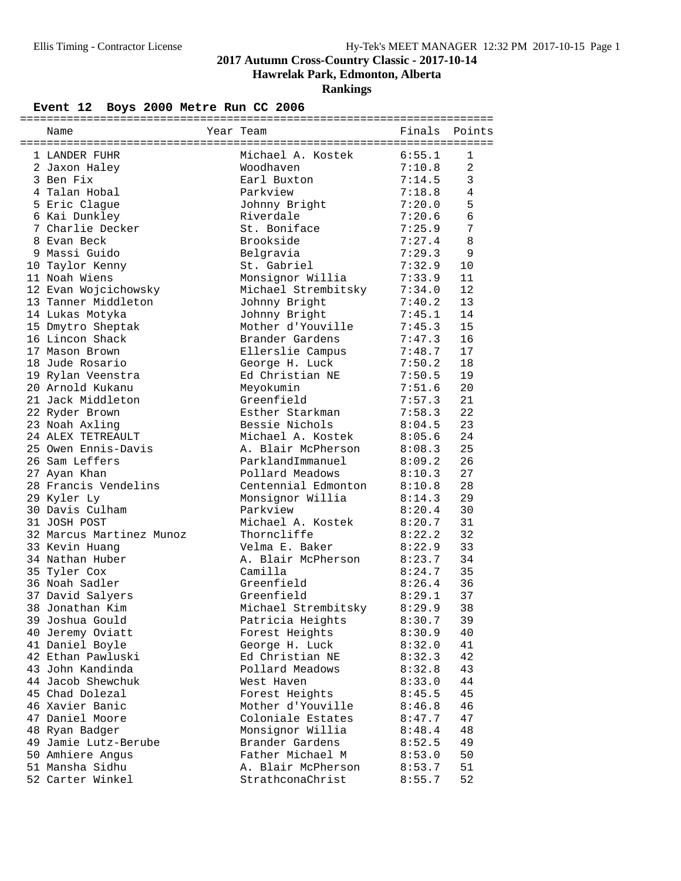**Hawrelak Park, Edmonton, Alberta**

### **Rankings**

### **Event 12 Boys 2000 Metre Run CC 2006**

| Name                     | Year Team           | Finals | Points       |
|--------------------------|---------------------|--------|--------------|
|                          |                     |        |              |
| 1 LANDER FUHR            | Michael A. Kostek   | 6:55.1 | $\mathbf{1}$ |
| 2 Jaxon Haley            | Woodhaven           | 7:10.8 | 2            |
| 3 Ben Fix                | Earl Buxton         | 7:14.5 | 3            |
| 4 Talan Hobal            | Parkview            | 7:18.8 | 4            |
| 5 Eric Clague            | Johnny Bright       | 7:20.0 | 5            |
| 6 Kai Dunkley            | Riverdale           | 7:20.6 | 6            |
| 7 Charlie Decker         | St. Boniface        | 7:25.9 | 7            |
| 8 Evan Beck              | Brookside           | 7:27.4 | 8            |
| 9 Massi Guido            | Belgravia           | 7:29.3 | 9            |
| 10 Taylor Kenny          | St. Gabriel         | 7:32.9 | 10           |
| 11 Noah Wiens            | Monsignor Willia    | 7:33.9 | 11           |
| 12 Evan Wojcichowsky     | Michael Strembitsky | 7:34.0 | 12           |
| 13 Tanner Middleton      | Johnny Bright       | 7:40.2 | 13           |
| 14 Lukas Motyka          | Johnny Bright       | 7:45.1 | 14           |
| 15 Dmytro Sheptak        | Mother d'Youville   | 7:45.3 | 15           |
| 16 Lincon Shack          | Brander Gardens     | 7:47.3 | 16           |
| 17 Mason Brown           | Ellerslie Campus    | 7:48.7 | 17           |
| 18 Jude Rosario          | George H. Luck      | 7:50.2 | 18           |
| 19 Rylan Veenstra        | Ed Christian NE     | 7:50.5 | 19           |
| 20 Arnold Kukanu         | Meyokumin           | 7:51.6 | 20           |
| 21 Jack Middleton        | Greenfield          | 7:57.3 | 21           |
| 22 Ryder Brown           | Esther Starkman     | 7:58.3 | 22           |
| 23 Noah Axling           | Bessie Nichols      | 8:04.5 | 23           |
| 24 ALEX TETREAULT        | Michael A. Kostek   | 8:05.6 | 24           |
| 25 Owen Ennis-Davis      | A. Blair McPherson  | 8:08.3 | 25           |
| 26 Sam Leffers           | ParklandImmanuel    | 8:09.2 | 26           |
| 27 Ayan Khan             | Pollard Meadows     | 8:10.3 | 27           |
| 28 Francis Vendelins     | Centennial Edmonton | 8:10.8 | 28           |
| 29 Kyler Ly              | Monsignor Willia    | 8:14.3 | 29           |
| 30 Davis Culham          | Parkview            | 8:20.4 | 30           |
| 31 JOSH POST             | Michael A. Kostek   | 8:20.7 | 31           |
| 32 Marcus Martinez Munoz | Thorncliffe         | 8:22.2 | 32           |
| 33 Kevin Huang           | Velma E. Baker      | 8:22.9 | 33           |
| 34 Nathan Huber          | A. Blair McPherson  | 8:23.7 | 34           |
| 35 Tyler Cox             | Camilla             | 8:24.7 | 35           |
| 36 Noah Sadler           | Greenfield          | 8:26.4 | 36           |
| 37 David Salyers         | Greenfield          | 8:29.1 | 37           |
| 38 Jonathan Kim          | Michael Strembitsky | 8:29.9 | 38           |
| 39 Joshua Gould          | Patricia Heights    | 8:30.7 | 39           |
| 40 Jeremy Oviatt         | Forest Heights      | 8:30.9 | 40           |
| 41 Daniel Boyle          | George H. Luck      | 8:32.0 | 41           |
| 42 Ethan Pawluski        | Ed Christian NE     | 8:32.3 | 42           |
| 43 John Kandinda         | Pollard Meadows     | 8:32.8 | 43           |
| 44 Jacob Shewchuk        | West Haven          | 8:33.0 | 44           |
| 45 Chad Dolezal          | Forest Heights      | 8:45.5 | 45           |
| 46 Xavier Banic          | Mother d'Youville   | 8:46.8 | 46           |
| 47 Daniel Moore          | Coloniale Estates   | 8:47.7 | 47           |
| 48 Ryan Badger           | Monsignor Willia    | 8:48.4 | 48           |
| 49 Jamie Lutz-Berube     | Brander Gardens     | 8:52.5 | 49           |
| 50 Amhiere Angus         | Father Michael M    | 8:53.0 | 50           |
| 51 Mansha Sidhu          | A. Blair McPherson  | 8:53.7 | 51           |
| 52 Carter Winkel         | StrathconaChrist    | 8:55.7 | 52           |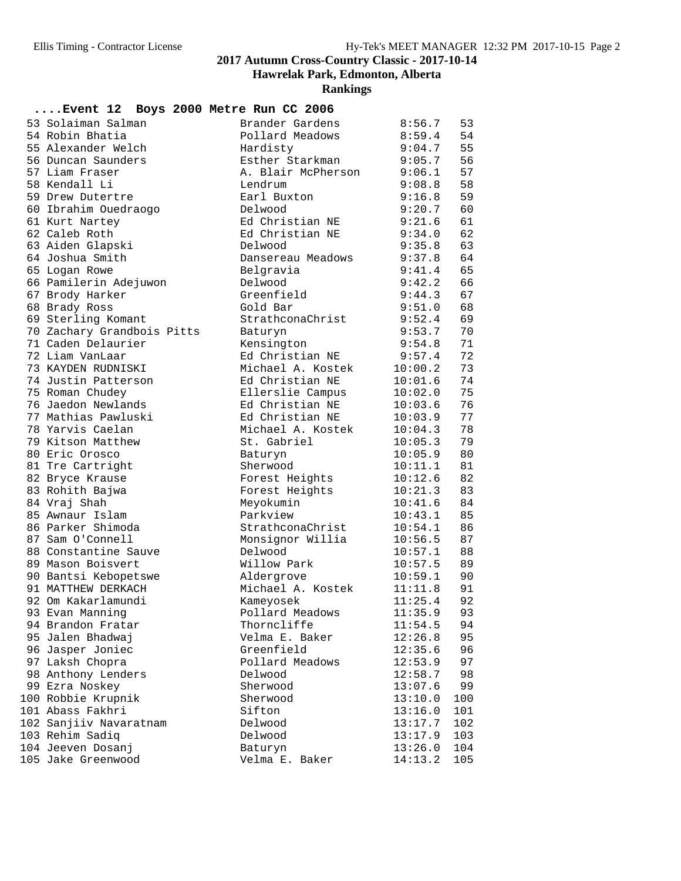**Hawrelak Park, Edmonton, Alberta**

**Rankings**

### **....Event 12 Boys 2000 Metre Run CC 2006**

| 53 Solaiman Salman         | Brander Gardens    | 8:56.7  | 53  |
|----------------------------|--------------------|---------|-----|
| 54 Robin Bhatia            | Pollard Meadows    | 8:59.4  | 54  |
| 55 Alexander Welch         | Hardisty           | 9:04.7  | 55  |
| 56 Duncan Saunders         | Esther Starkman    | 9:05.7  | 56  |
| 57 Liam Fraser             | A. Blair McPherson | 9:06.1  | 57  |
| 58 Kendall Li              | Lendrum            | 9:08.8  | 58  |
| 59 Drew Dutertre           | Earl Buxton        | 9:16.8  | 59  |
| 60 Ibrahim Ouedraogo       | Delwood            | 9:20.7  | 60  |
| 61 Kurt Nartey             | Ed Christian NE    | 9:21.6  | 61  |
| 62 Caleb Roth              | Ed Christian NE    | 9:34.0  | 62  |
| 63 Aiden Glapski           | Delwood            | 9:35.8  | 63  |
| 64 Joshua Smith            | Dansereau Meadows  | 9:37.8  | 64  |
| 65 Logan Rowe              | Belgravia          | 9:41.4  | 65  |
| 66 Pamilerin Adejuwon      | Delwood            | 9:42.2  | 66  |
| 67 Brody Harker            | Greenfield         | 9:44.3  | 67  |
| 68 Brady Ross              | Gold Bar           | 9:51.0  | 68  |
| 69 Sterling Komant         | StrathconaChrist   | 9:52.4  | 69  |
| 70 Zachary Grandbois Pitts | Baturyn            | 9:53.7  | 70  |
| 71 Caden Delaurier         | Kensington         | 9:54.8  | 71  |
| 72 Liam VanLaar            | Ed Christian NE    | 9:57.4  | 72  |
| 73 KAYDEN RUDNISKI         | Michael A. Kostek  | 10:00.2 | 73  |
| 74 Justin Patterson        | Ed Christian NE    | 10:01.6 | 74  |
| 75 Roman Chudey            | Ellerslie Campus   | 10:02.0 | 75  |
| 76 Jaedon Newlands         | Ed Christian NE    | 10:03.6 | 76  |
| 77 Mathias Pawluski        | Ed Christian NE    | 10:03.9 | 77  |
| 78 Yarvis Caelan           | Michael A. Kostek  | 10:04.3 | 78  |
| 79 Kitson Matthew          | St. Gabriel        | 10:05.3 | 79  |
| 80 Eric Orosco             | Baturyn            | 10:05.9 | 80  |
| 81 Tre Cartright           | Sherwood           | 10:11.1 | 81  |
| 82 Bryce Krause            | Forest Heights     | 10:12.6 | 82  |
| 83 Rohith Bajwa            | Forest Heights     | 10:21.3 | 83  |
| 84 Vraj Shah               | Meyokumin          | 10:41.6 | 84  |
| 85 Awnaur Islam            | Parkview           | 10:43.1 | 85  |
| 86 Parker Shimoda          | StrathconaChrist   | 10:54.1 | 86  |
| 87 Sam O'Connell           | Monsignor Willia   | 10:56.5 | 87  |
| 88 Constantine Sauve       | Delwood            | 10:57.1 | 88  |
| 89 Mason Boisvert          | Willow Park        | 10:57.5 | 89  |
| 90 Bantsi Kebopetswe       | Aldergrove         | 10:59.1 | 90  |
| 91 MATTHEW DERKACH         | Michael A. Kostek  | 11:11.8 | 91  |
| 92 Om Kakarlamundi         | Kameyosek          | 11:25.4 | 92  |
| 93 Evan Manning            | Pollard Meadows    | 11:35.9 | 93  |
| 94 Brandon Fratar          | Thorncliffe        | 11:54.5 | 94  |
| 95 Jalen Bhadwaj           | Velma E. Baker     | 12:26.8 | 95  |
| 96 Jasper Joniec           | Greenfield         | 12:35.6 | 96  |
| 97 Laksh Chopra            | Pollard Meadows    | 12:53.9 | 97  |
| 98 Anthony Lenders         | Delwood            | 12:58.7 | 98  |
| 99 Ezra Noskey             | Sherwood           | 13:07.6 | 99  |
| 100 Robbie Krupnik         | Sherwood           | 13:10.0 | 100 |
| 101 Abass Fakhri           | Sifton             | 13:16.0 | 101 |
| 102 Sanjiiv Navaratnam     | Delwood            | 13:17.7 | 102 |
| 103 Rehim Sadiq            | Delwood            | 13:17.9 | 103 |
| 104 Jeeven Dosanj          | Baturyn            | 13:26.0 | 104 |
| 105 Jake Greenwood         | Velma E. Baker     | 14:13.2 | 105 |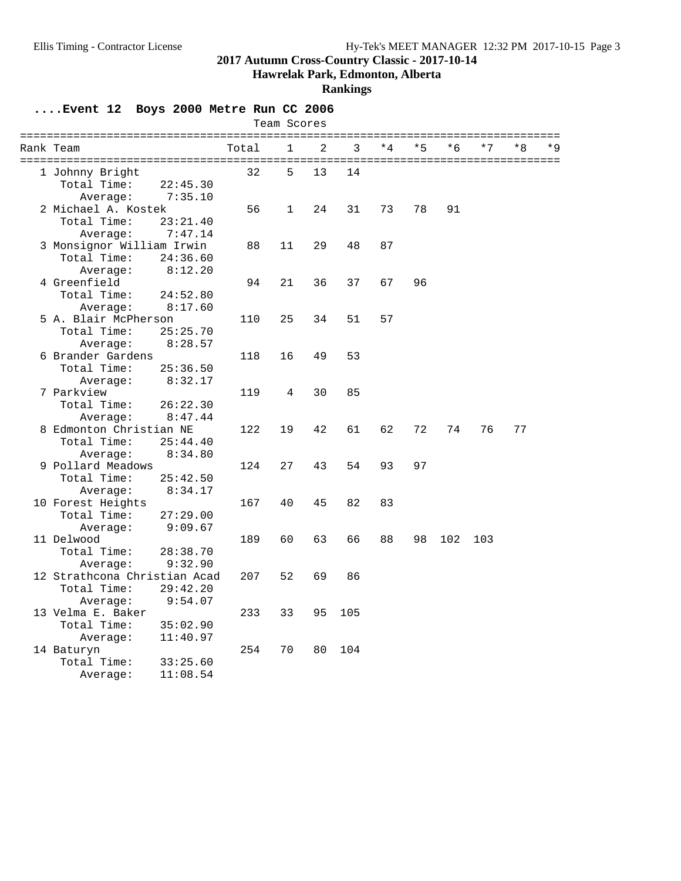**Hawrelak Park, Edmonton, Alberta**

### **Rankings**

**....Event 12 Boys 2000 Metre Run CC 2006**

|                              |          |       | Team Scores  |                |     |      |      |      |      |    |       |
|------------------------------|----------|-------|--------------|----------------|-----|------|------|------|------|----|-------|
| Rank Team                    |          | Total | $\mathbf{1}$ | $\overline{2}$ | 3   | $*4$ | $*5$ | $*6$ | $*7$ | *8 | $*$ 9 |
| 1 Johnny Bright              |          | 32    | 5            | 13             | 14  |      |      |      |      |    |       |
| Total Time:                  | 22:45.30 |       |              |                |     |      |      |      |      |    |       |
| Average:                     | 7:35.10  |       |              |                |     |      |      |      |      |    |       |
| 2 Michael A. Kostek          |          | 56    | $\mathbf{1}$ | 24             | 31  | 73   | 78   | 91   |      |    |       |
| Total Time:                  | 23:21.40 |       |              |                |     |      |      |      |      |    |       |
| Average:                     | 7:47.14  |       |              |                |     |      |      |      |      |    |       |
| 3 Monsignor William Irwin    |          | 88    | 11           | 29             | 48  | 87   |      |      |      |    |       |
| Total Time:                  | 24:36.60 |       |              |                |     |      |      |      |      |    |       |
| Average:                     | 8:12.20  |       |              |                |     |      |      |      |      |    |       |
| 4 Greenfield                 |          | 94    | 21           | 36             | 37  | 67   | 96   |      |      |    |       |
| Total Time:                  | 24:52.80 |       |              |                |     |      |      |      |      |    |       |
| Average:                     | 8:17.60  |       |              |                |     |      |      |      |      |    |       |
| 5 A. Blair McPherson         |          | 110   | 25           | 34             | 51  | 57   |      |      |      |    |       |
| Total Time:                  | 25:25.70 |       |              |                |     |      |      |      |      |    |       |
| Average:                     | 8:28.57  |       |              |                |     |      |      |      |      |    |       |
| 6 Brander Gardens            |          | 118   | 16           | 49             | 53  |      |      |      |      |    |       |
| Total Time:                  | 25:36.50 |       |              |                |     |      |      |      |      |    |       |
| Average:                     | 8:32.17  |       |              |                |     |      |      |      |      |    |       |
| 7 Parkview                   |          | 119   | 4            | 30             | 85  |      |      |      |      |    |       |
| Total Time:                  | 26:22.30 |       |              |                |     |      |      |      |      |    |       |
| Average:                     | 8:47.44  |       |              |                |     |      |      |      |      |    |       |
| 8 Edmonton Christian NE      |          | 122   | 19           | 42             | 61  | 62   | 72   | 74   | 76   | 77 |       |
| Total Time:                  | 25:44.40 |       |              |                |     |      |      |      |      |    |       |
| Average:                     | 8:34.80  |       |              |                |     |      |      |      |      |    |       |
| 9 Pollard Meadows            |          | 124   | 27           | 43             | 54  | 93   | 97   |      |      |    |       |
| Total Time:                  | 25:42.50 |       |              |                |     |      |      |      |      |    |       |
| Average:                     | 8:34.17  |       |              |                |     |      |      |      |      |    |       |
| 10 Forest Heights            |          | 167   | 40           | 45             | 82  | 83   |      |      |      |    |       |
| Total Time:                  | 27:29.00 |       |              |                |     |      |      |      |      |    |       |
| Average:                     | 9:09.67  |       |              |                |     |      |      |      |      |    |       |
| 11 Delwood                   |          | 189   | 60           | 63             | 66  | 88   | 98   | 102  | 103  |    |       |
| Total Time:                  | 28:38.70 |       |              |                |     |      |      |      |      |    |       |
| Average:                     | 9:32.90  |       |              |                |     |      |      |      |      |    |       |
| 12 Strathcona Christian Acad |          | 207   | 52           | 69             | 86  |      |      |      |      |    |       |
| Total Time:                  | 29:42.20 |       |              |                |     |      |      |      |      |    |       |
| Average:                     | 9:54.07  |       |              |                |     |      |      |      |      |    |       |
| 13 Velma E. Baker            |          | 233   | 33           | 95             | 105 |      |      |      |      |    |       |
| Total Time:                  | 35:02.90 |       |              |                |     |      |      |      |      |    |       |
| Average:                     | 11:40.97 |       |              |                |     |      |      |      |      |    |       |
| 14 Baturyn                   |          | 254   | 70           | 80             | 104 |      |      |      |      |    |       |
| Total Time:                  | 33:25.60 |       |              |                |     |      |      |      |      |    |       |
| Average:                     | 11:08.54 |       |              |                |     |      |      |      |      |    |       |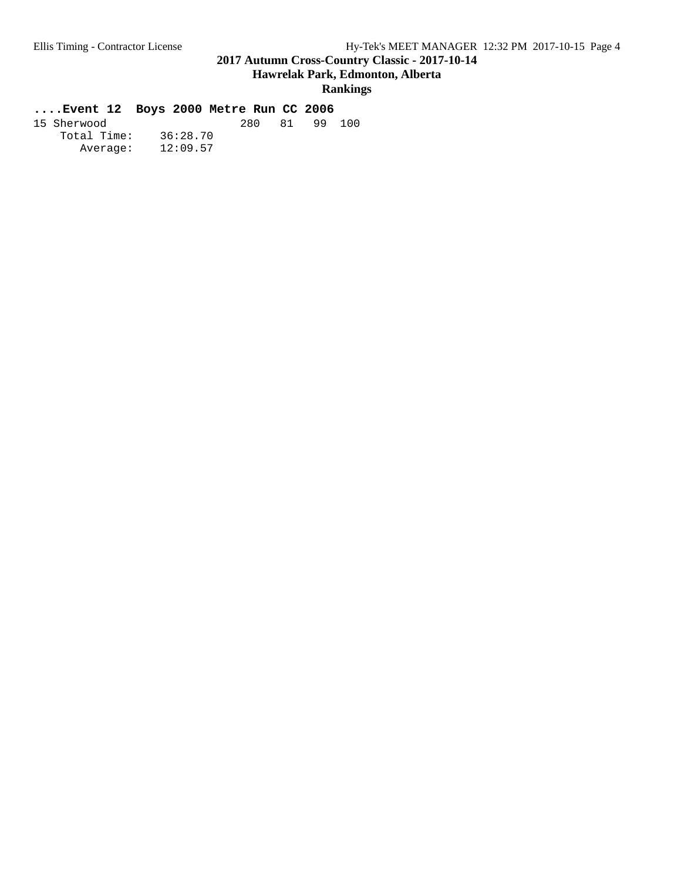## **Hawrelak Park, Edmonton, Alberta**

### **Rankings**

### **....Event 12 Boys 2000 Metre Run CC 2006**

| 15 Sherwood |          | 280 | -81 | 99 | 100 |
|-------------|----------|-----|-----|----|-----|
| Total Time: | 36:28.70 |     |     |    |     |
| Average:    | 12:09.57 |     |     |    |     |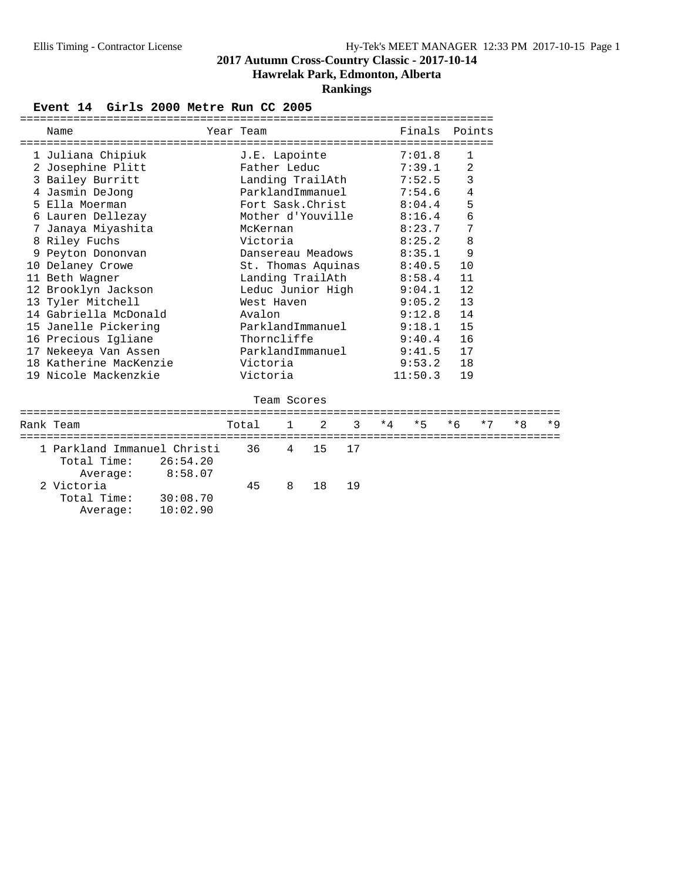## **Hawrelak Park, Edmonton, Alberta**

### **Rankings**

#### **Event 14 Girls 2000 Metre Run CC 2005**

| Name |                                                                                                                                                                                                                                                                                                                                                                                                                                                                                                       |                                                                            |                                                                                    |                                                                           |                                                                              |                                                                                                                                                                                                                            |      |                                                                                                                               |                                                                                      |                |      |
|------|-------------------------------------------------------------------------------------------------------------------------------------------------------------------------------------------------------------------------------------------------------------------------------------------------------------------------------------------------------------------------------------------------------------------------------------------------------------------------------------------------------|----------------------------------------------------------------------------|------------------------------------------------------------------------------------|---------------------------------------------------------------------------|------------------------------------------------------------------------------|----------------------------------------------------------------------------------------------------------------------------------------------------------------------------------------------------------------------------|------|-------------------------------------------------------------------------------------------------------------------------------|--------------------------------------------------------------------------------------|----------------|------|
|      |                                                                                                                                                                                                                                                                                                                                                                                                                                                                                                       |                                                                            |                                                                                    |                                                                           |                                                                              |                                                                                                                                                                                                                            |      |                                                                                                                               |                                                                                      |                |      |
|      |                                                                                                                                                                                                                                                                                                                                                                                                                                                                                                       |                                                                            |                                                                                    |                                                                           |                                                                              |                                                                                                                                                                                                                            |      | 1                                                                                                                             |                                                                                      |                |      |
|      |                                                                                                                                                                                                                                                                                                                                                                                                                                                                                                       |                                                                            |                                                                                    |                                                                           |                                                                              |                                                                                                                                                                                                                            |      | 2                                                                                                                             |                                                                                      |                |      |
|      |                                                                                                                                                                                                                                                                                                                                                                                                                                                                                                       |                                                                            |                                                                                    |                                                                           |                                                                              |                                                                                                                                                                                                                            |      | 3                                                                                                                             |                                                                                      |                |      |
|      |                                                                                                                                                                                                                                                                                                                                                                                                                                                                                                       |                                                                            |                                                                                    |                                                                           |                                                                              |                                                                                                                                                                                                                            |      | 4                                                                                                                             |                                                                                      |                |      |
|      |                                                                                                                                                                                                                                                                                                                                                                                                                                                                                                       |                                                                            |                                                                                    |                                                                           |                                                                              |                                                                                                                                                                                                                            |      | 5                                                                                                                             |                                                                                      |                |      |
|      |                                                                                                                                                                                                                                                                                                                                                                                                                                                                                                       |                                                                            |                                                                                    |                                                                           |                                                                              |                                                                                                                                                                                                                            |      | 6                                                                                                                             |                                                                                      |                |      |
|      |                                                                                                                                                                                                                                                                                                                                                                                                                                                                                                       |                                                                            |                                                                                    |                                                                           |                                                                              |                                                                                                                                                                                                                            |      | 7                                                                                                                             |                                                                                      |                |      |
|      |                                                                                                                                                                                                                                                                                                                                                                                                                                                                                                       |                                                                            |                                                                                    |                                                                           |                                                                              |                                                                                                                                                                                                                            |      | 8                                                                                                                             |                                                                                      |                |      |
|      |                                                                                                                                                                                                                                                                                                                                                                                                                                                                                                       |                                                                            |                                                                                    |                                                                           |                                                                              |                                                                                                                                                                                                                            |      | 9                                                                                                                             |                                                                                      |                |      |
|      |                                                                                                                                                                                                                                                                                                                                                                                                                                                                                                       |                                                                            |                                                                                    |                                                                           |                                                                              |                                                                                                                                                                                                                            |      | 10                                                                                                                            |                                                                                      |                |      |
|      |                                                                                                                                                                                                                                                                                                                                                                                                                                                                                                       |                                                                            |                                                                                    |                                                                           |                                                                              |                                                                                                                                                                                                                            |      | 11                                                                                                                            |                                                                                      |                |      |
|      |                                                                                                                                                                                                                                                                                                                                                                                                                                                                                                       |                                                                            |                                                                                    |                                                                           |                                                                              |                                                                                                                                                                                                                            |      | 12                                                                                                                            |                                                                                      |                |      |
|      |                                                                                                                                                                                                                                                                                                                                                                                                                                                                                                       |                                                                            |                                                                                    |                                                                           |                                                                              |                                                                                                                                                                                                                            |      | 13                                                                                                                            |                                                                                      |                |      |
|      |                                                                                                                                                                                                                                                                                                                                                                                                                                                                                                       |                                                                            |                                                                                    |                                                                           |                                                                              |                                                                                                                                                                                                                            |      | 14                                                                                                                            |                                                                                      |                |      |
|      |                                                                                                                                                                                                                                                                                                                                                                                                                                                                                                       |                                                                            |                                                                                    |                                                                           |                                                                              |                                                                                                                                                                                                                            |      | 15                                                                                                                            |                                                                                      |                |      |
|      |                                                                                                                                                                                                                                                                                                                                                                                                                                                                                                       |                                                                            |                                                                                    |                                                                           |                                                                              |                                                                                                                                                                                                                            |      | 16                                                                                                                            |                                                                                      |                |      |
|      |                                                                                                                                                                                                                                                                                                                                                                                                                                                                                                       |                                                                            |                                                                                    |                                                                           |                                                                              |                                                                                                                                                                                                                            |      | 17                                                                                                                            |                                                                                      |                |      |
|      |                                                                                                                                                                                                                                                                                                                                                                                                                                                                                                       |                                                                            |                                                                                    |                                                                           |                                                                              |                                                                                                                                                                                                                            |      | 18                                                                                                                            |                                                                                      |                |      |
|      |                                                                                                                                                                                                                                                                                                                                                                                                                                                                                                       |                                                                            |                                                                                    |                                                                           |                                                                              |                                                                                                                                                                                                                            |      | 19                                                                                                                            |                                                                                      |                |      |
|      |                                                                                                                                                                                                                                                                                                                                                                                                                                                                                                       |                                                                            |                                                                                    |                                                                           |                                                                              |                                                                                                                                                                                                                            |      |                                                                                                                               |                                                                                      |                |      |
|      |                                                                                                                                                                                                                                                                                                                                                                                                                                                                                                       |                                                                            |                                                                                    |                                                                           |                                                                              |                                                                                                                                                                                                                            |      |                                                                                                                               |                                                                                      |                |      |
|      |                                                                                                                                                                                                                                                                                                                                                                                                                                                                                                       |                                                                            |                                                                                    |                                                                           |                                                                              |                                                                                                                                                                                                                            |      |                                                                                                                               |                                                                                      |                |      |
|      |                                                                                                                                                                                                                                                                                                                                                                                                                                                                                                       |                                                                            |                                                                                    |                                                                           |                                                                              |                                                                                                                                                                                                                            |      |                                                                                                                               |                                                                                      |                | $*9$ |
|      |                                                                                                                                                                                                                                                                                                                                                                                                                                                                                                       |                                                                            |                                                                                    |                                                                           |                                                                              |                                                                                                                                                                                                                            |      |                                                                                                                               |                                                                                      |                |      |
|      |                                                                                                                                                                                                                                                                                                                                                                                                                                                                                                       |                                                                            |                                                                                    |                                                                           |                                                                              |                                                                                                                                                                                                                            |      |                                                                                                                               |                                                                                      |                |      |
|      |                                                                                                                                                                                                                                                                                                                                                                                                                                                                                                       |                                                                            |                                                                                    |                                                                           |                                                                              |                                                                                                                                                                                                                            |      |                                                                                                                               |                                                                                      |                |      |
|      |                                                                                                                                                                                                                                                                                                                                                                                                                                                                                                       |                                                                            |                                                                                    |                                                                           |                                                                              |                                                                                                                                                                                                                            |      |                                                                                                                               |                                                                                      |                |      |
|      |                                                                                                                                                                                                                                                                                                                                                                                                                                                                                                       |                                                                            |                                                                                    |                                                                           |                                                                              |                                                                                                                                                                                                                            |      |                                                                                                                               |                                                                                      |                |      |
|      |                                                                                                                                                                                                                                                                                                                                                                                                                                                                                                       |                                                                            |                                                                                    |                                                                           |                                                                              |                                                                                                                                                                                                                            |      |                                                                                                                               |                                                                                      |                |      |
|      |                                                                                                                                                                                                                                                                                                                                                                                                                                                                                                       |                                                                            |                                                                                    |                                                                           |                                                                              |                                                                                                                                                                                                                            |      |                                                                                                                               |                                                                                      |                |      |
|      | 1 Juliana Chipiuk<br>2 Josephine Plitt<br>3 Bailey Burritt<br>4 Jasmin DeJong<br>5 Ella Moerman<br>6 Lauren Dellezay<br>7 Janaya Miyashita<br>8 Riley Fuchs<br>9 Peyton Dononvan<br>10 Delaney Crowe<br>11 Beth Wagner<br>12 Brooklyn Jackson<br>13 Tyler Mitchell<br>14 Gabriella McDonald<br>15 Janelle Pickering<br>16 Precious Igliane<br>17 Nekeeya Van Assen<br>18 Katherine MacKenzie<br>19 Nicole Mackenzkie<br>Rank Team<br>Total Time:<br>Average:<br>2 Victoria<br>Total Time:<br>Average: | 1 Parkland Immanuel Christi<br>26:54.20<br>8:58.07<br>30:08.70<br>10:02.90 | Year Team<br>Avalon<br>Total<br>--------------------------------------<br>36<br>45 | McKernan<br>Victoria<br>West Haven<br>Victoria<br>Victoria<br>1<br>4<br>8 | J.E. Lapointe<br>Father Leduc<br>Thorncliffe<br>Team Scores<br>2<br>15<br>18 | Landing TrailAth<br>ParklandImmanuel<br>Fort Sask.Christ<br>Mother d'Youville<br>Dansereau Meadows<br>St. Thomas Aquinas<br>Landing TrailAth<br>Leduc Junior High<br>ParklandImmanuel<br>ParklandImmanuel<br>3<br>17<br>19 | $*4$ | Finals<br>7:01.8<br>7:39.1<br>7:52.5<br>7:54.6<br>8:04.4<br>8:16.4<br>8:23.7<br>8:25.2<br>8:35.1<br>8:40.5<br>11:50.3<br>$*5$ | 8:58.4<br>9:04.1<br>9:05.2<br>9:12.8<br>9:18.1<br>9:40.4<br>9:41.5<br>9:53.2<br>$*6$ | Points<br>$*7$ | $*8$ |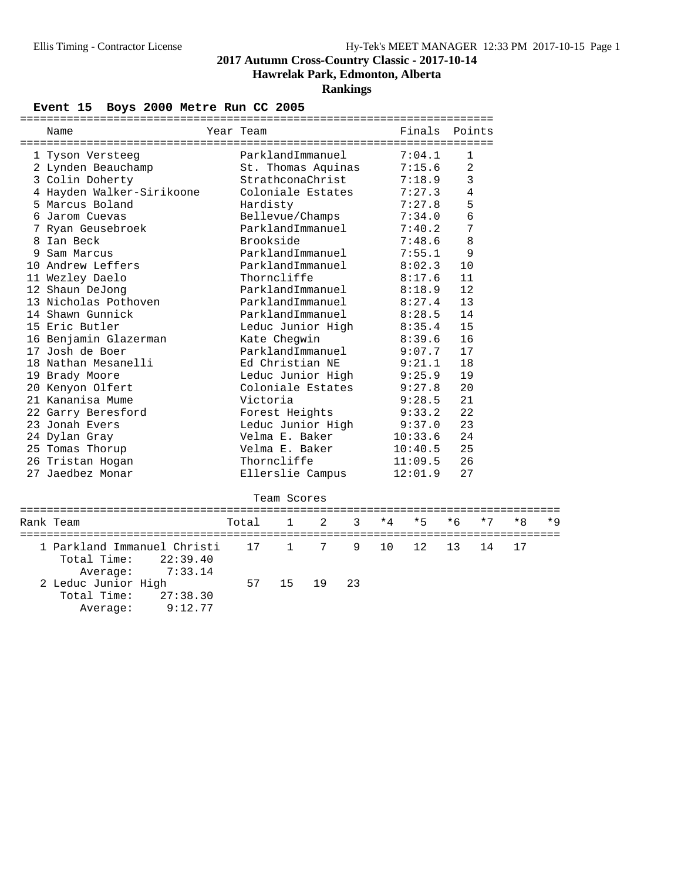**Hawrelak Park, Edmonton, Alberta**

**Rankings**

#### Event 15 Boys 2000 Metre Run CC 2005

|   | ======================<br>Name                         | Year Team      |             | ==============================<br>=============================== |   |      | Finals  | Points |      |      |      |
|---|--------------------------------------------------------|----------------|-------------|-------------------------------------------------------------------|---|------|---------|--------|------|------|------|
|   | 1 Tyson Versteeg                                       |                |             | ParklandImmanuel                                                  |   |      | 7:04.1  | 1      |      |      |      |
|   | 2 Lynden Beauchamp                                     |                |             | St. Thomas Aquinas                                                |   |      | 7:15.6  | 2      |      |      |      |
|   | 3 Colin Doherty                                        |                |             | StrathconaChrist                                                  |   |      | 7:18.9  | 3      |      |      |      |
|   | 4 Hayden Walker-Sirikoone                              |                |             | Coloniale Estates                                                 |   |      | 7:27.3  | 4      |      |      |      |
|   | 5 Marcus Boland                                        | Hardisty       |             |                                                                   |   |      | 7:27.8  | 5      |      |      |      |
|   | 6 Jarom Cuevas                                         |                |             | Bellevue/Champs                                                   |   |      | 7:34.0  | 6      |      |      |      |
|   | 7 Ryan Geusebroek                                      |                |             | ParklandImmanuel                                                  |   |      | 7:40.2  | 7      |      |      |      |
| 8 | Ian Beck                                               | Brookside      |             |                                                                   |   |      | 7:48.6  | 8      |      |      |      |
| 9 | Sam Marcus                                             |                |             | ParklandImmanuel                                                  |   |      | 7:55.1  | 9      |      |      |      |
|   | 10 Andrew Leffers                                      |                |             | ParklandImmanuel                                                  |   |      | 8:02.3  | 10     |      |      |      |
|   | 11 Wezley Daelo                                        | Thorncliffe    |             |                                                                   |   |      | 8:17.6  | 11     |      |      |      |
|   | 12 Shaun DeJong                                        |                |             | ParklandImmanuel                                                  |   |      | 8:18.9  | 12     |      |      |      |
|   | 13 Nicholas Pothoven                                   |                |             | ParklandImmanuel                                                  |   |      | 8:27.4  | 13     |      |      |      |
|   | 14 Shawn Gunnick                                       |                |             | ParklandImmanuel                                                  |   |      | 8:28.5  | 14     |      |      |      |
|   | 15 Eric Butler                                         |                |             | Leduc Junior High                                                 |   |      | 8:35.4  | 15     |      |      |      |
|   | 16 Benjamin Glazerman                                  | Kate Cheqwin   |             |                                                                   |   |      | 8:39.6  | 16     |      |      |      |
|   | 17 Josh de Boer                                        |                |             | ParklandImmanuel                                                  |   |      | 9:07.7  | 17     |      |      |      |
|   | 18 Nathan Mesanelli                                    |                |             | Ed Christian NE                                                   |   |      | 9:21.1  | 18     |      |      |      |
|   | 19 Brady Moore                                         |                |             | Leduc Junior High                                                 |   |      | 9:25.9  | 19     |      |      |      |
|   | 20 Kenyon Olfert                                       |                |             | Coloniale Estates                                                 |   |      | 9:27.8  | 20     |      |      |      |
|   | 21 Kananisa Mume                                       | Victoria       |             |                                                                   |   |      | 9:28.5  | 21     |      |      |      |
|   | 22 Garry Beresford                                     | Forest Heights |             |                                                                   |   |      | 9:33.2  | 22     |      |      |      |
|   | 23 Jonah Evers                                         |                |             | Leduc Junior High                                                 |   |      | 9:37.0  | 23     |      |      |      |
|   | 24 Dylan Gray                                          | Velma E. Baker |             |                                                                   |   |      | 10:33.6 | 24     |      |      |      |
|   | 25 Tomas Thorup                                        | Velma E. Baker |             |                                                                   |   |      | 10:40.5 | 25     |      |      |      |
|   | 26 Tristan Hogan                                       | Thorncliffe    |             |                                                                   |   |      | 11:09.5 | 26     |      |      |      |
|   | 27 Jaedbez Monar                                       |                |             | Ellerslie Campus                                                  |   |      | 12:01.9 | 27     |      |      |      |
|   |                                                        |                |             |                                                                   |   |      |         |        |      |      |      |
|   |                                                        |                | Team Scores |                                                                   |   |      |         |        |      |      |      |
|   | Rank Team                                              | Total          | 1           | 2                                                                 | 3 | $*4$ | * 5     | * 6    | $*7$ | $*8$ | $*9$ |
|   | 1 Parkland Immanuel Christi<br>Total Time:<br>22:39.40 | 17             | $\mathbf 1$ | 7                                                                 | 9 | 10   | 12      | 13     | 14   | 17   |      |

| Average: 7:33.14       |         |    |       |     |
|------------------------|---------|----|-------|-----|
| 2 Leduc Junior High    |         | 57 | 15 19 | -23 |
| Total Time: $27:38.30$ |         |    |       |     |
| Average:               | 9:12.77 |    |       |     |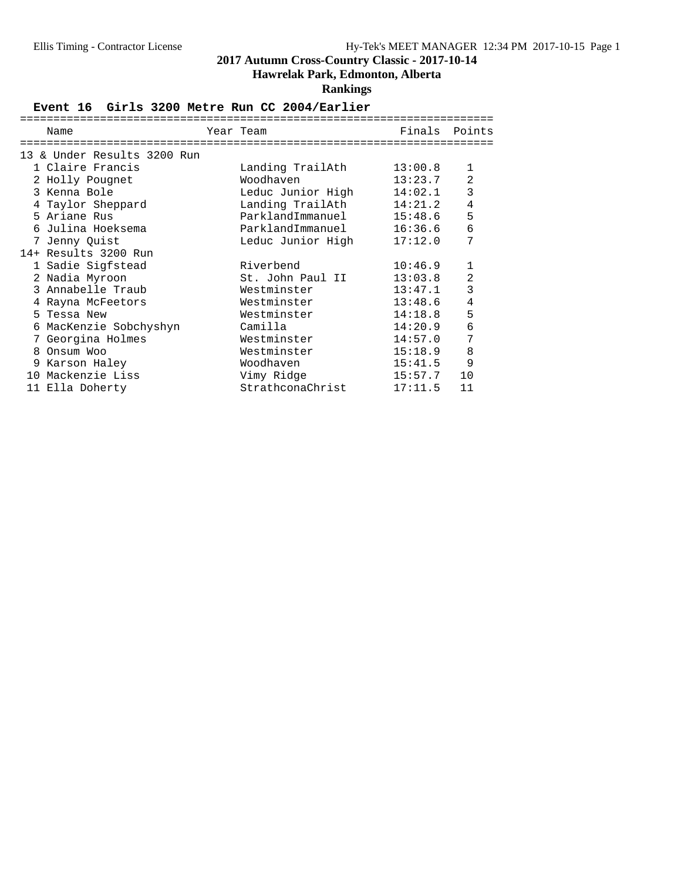## **Hawrelak Park, Edmonton, Alberta**

### **Rankings**

#### Event 16 Girls 3200 Metre Run CC 2004/Earlier

|    | Name                     | Year Team         | Finals Points |                |
|----|--------------------------|-------------------|---------------|----------------|
|    |                          |                   |               |                |
| 13 | & Under Results 3200 Run |                   |               |                |
|    | 1 Claire Francis         | Landing TrailAth  | 13:00.8       | $\mathbf{1}$   |
|    | 2 Holly Pougnet          | Woodhaven         | 13:23.7       | $\overline{2}$ |
|    | 3 Kenna Bole             | Leduc Junior High | 14:02.1       | 3              |
|    | 4 Taylor Sheppard        | Landing TrailAth  | 14:21.2       | 4              |
|    | 5 Ariane Rus             | ParklandImmanuel  | 15:48.6       | 5              |
|    | 6 Julina Hoeksema        | ParklandImmanuel  | 16:36.6       | 6              |
|    | 7 Jenny Quist            | Leduc Junior High | 17:12.0       | 7              |
|    | 14+ Results 3200 Run     |                   |               |                |
|    | 1 Sadie Sigfstead        | Riverbend         | 10:46.9       | 1              |
|    | 2 Nadia Myroon           | St. John Paul II  | 13:03.8       | $\overline{2}$ |
| २  | Annabelle Traub          | Westminster       | 13:47.1       | 3              |
|    | 4 Rayna McFeetors        | Westminster       | 13:48.6       | 4              |
|    | 5 Tessa New              | Westminster       | 14:18.8       | 5              |
| 6  | MacKenzie Sobchyshyn     | Camilla           | 14:20.9       | 6              |
|    | Georgina Holmes          | Westminster       | 14:57.0       | 7              |
| 8  | Onsum Woo                | Westminster       | 15:18.9       | 8              |
| 9  | Karson Haley             | Woodhaven         | 15:41.5       | 9              |
|    | 10 Mackenzie Liss        | Vimy Ridge        | 15:57.7       | 10             |
|    | 11 Ella Doherty          | StrathconaChrist  | 17:11.5       | 11             |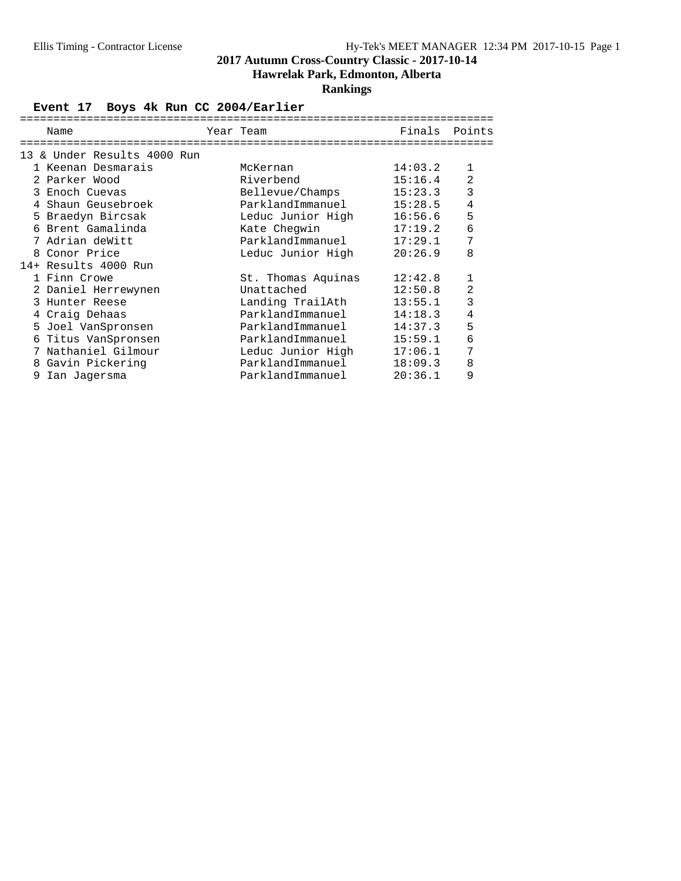## **Hawrelak Park, Edmonton, Alberta**

## **Rankings**

### **Event 17 Boys 4k Run CC 2004/Earlier**

|    | Name                             | Year Team          | Finals Points |                |
|----|----------------------------------|--------------------|---------------|----------------|
|    | -------------------------------- |                    |               |                |
| 13 | & Under Results 4000 Run         |                    |               |                |
|    | 1 Keenan Desmarais               | McKernan           | 14:03.2       | $\mathbf{1}$   |
|    | 2 Parker Wood                    | Riverbend          | 15:16.4       | $\overline{2}$ |
|    | 3 Enoch Cuevas                   | Bellevue/Champs    | 15:23.3       | 3              |
|    | 4 Shaun Geusebroek               | ParklandImmanuel   | 15:28.5       | $\overline{4}$ |
|    | 5 Braedyn Bircsak                | Leduc Junior High  | 16:56.6       | 5              |
|    | 6 Brent Gamalinda                | Kate Cheqwin       | 17:19.2       | 6              |
|    | 7 Adrian deWitt                  | ParklandImmanuel   | 17:29.1       | 7              |
|    | 8 Conor Price                    | Leduc Junior High  | 20:26.9       | 8              |
|    | 14+ Results 4000 Run             |                    |               |                |
|    | 1 Finn Crowe                     | St. Thomas Aquinas | 12:42.8       |                |
|    | 2 Daniel Herrewynen              | Unattached         | 12:50.8       | $\overline{2}$ |
|    | 3 Hunter Reese                   | Landing TrailAth   | 13:55.1       | 3              |
|    | 4 Craig Dehaas                   | ParklandImmanuel   | 14:18.3       | 4              |
|    | 5 Joel VanSpronsen               | ParklandImmanuel   | 14:37.3       | 5              |
|    | 6 Titus VanSpronsen              | ParklandImmanuel   | 15:59.1       | 6              |
|    | 7 Nathaniel Gilmour              | Leduc Junior High  | 17:06.1       | 7              |
| 8  | Gavin Pickering                  | ParklandImmanuel   | 18:09.3       | 8              |
| 9  | Ian Jagersma                     | ParklandImmanuel   | 20:36.1       | 9              |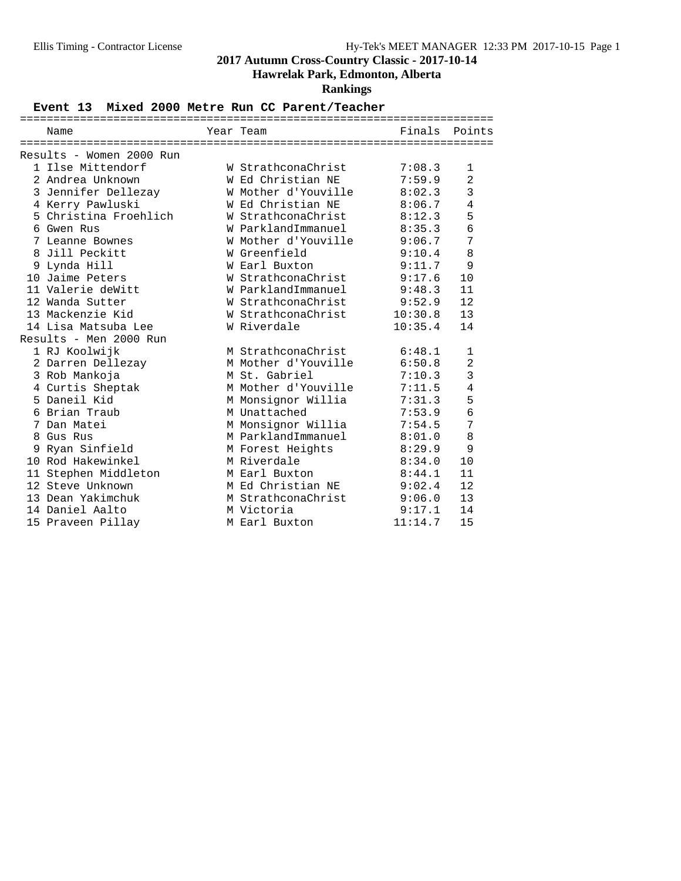### **2017 Autumn Cross-Country Classic - 2017-10-14 Hawrelak Park, Edmonton, Alberta**

### **Rankings**

#### Event 13 Mixed 2000 Metre Run CC Parent/Teacher

|   | Name                     | Year Team           |         | Finals Points  |
|---|--------------------------|---------------------|---------|----------------|
|   |                          |                     |         |                |
|   | Results - Women 2000 Run |                     |         |                |
|   | 1 Ilse Mittendorf        | W StrathconaChrist  | 7:08.3  | 1              |
|   | 2 Andrea Unknown         | W Ed Christian NE   | 7:59.9  | 2              |
|   | 3 Jennifer Dellezay      | W Mother d'Youville | 8:02.3  | 3              |
|   | 4 Kerry Pawluski         | W Ed Christian NE   | 8:06.7  | $\overline{4}$ |
|   | 5 Christina Froehlich    | W StrathconaChrist  | 8:12.3  | 5              |
|   | 6 Gwen Rus               | W ParklandImmanuel  | 8:35.3  | 6              |
|   | 7 Leanne Bownes          | W Mother d'Youville | 9:06.7  | 7              |
|   | 8 Jill Peckitt           | W Greenfield        | 9:10.4  | 8              |
|   | 9 Lynda Hill             | W Earl Buxton       | 9:11.7  | 9              |
|   | 10 Jaime Peters          | W StrathconaChrist  | 9:17.6  | 10             |
|   | 11 Valerie deWitt        | W ParklandImmanuel  | 9:48.3  | 11             |
|   | 12 Wanda Sutter          | W StrathconaChrist  | 9:52.9  | 12             |
|   | 13 Mackenzie Kid         | W StrathconaChrist  | 10:30.8 | 13             |
|   | 14 Lisa Matsuba Lee      | W Riverdale         | 10:35.4 | 14             |
|   | Results - Men 2000 Run   |                     |         |                |
|   | 1 RJ Koolwijk            | M StrathconaChrist  | 6:48.1  | 1              |
|   | 2 Darren Dellezay        | M Mother d'Youville | 6:50.8  | $\overline{a}$ |
|   | 3 Rob Mankoja            | M St. Gabriel       | 7:10.3  | 3              |
|   | 4 Curtis Sheptak         | M Mother d'Youville | 7:11.5  | $\overline{4}$ |
|   | 5 Daneil Kid             | M Monsignor Willia  | 7:31.3  | 5              |
|   | 6 Brian Traub            | M Unattached        | 7:53.9  | 6              |
|   | 7 Dan Matei              | M Monsignor Willia  | 7:54.5  | 7              |
| 8 | Gus Rus                  | M ParklandImmanuel  | 8:01.0  | 8              |
|   | 9 Ryan Sinfield          | M Forest Heights    | 8:29.9  | 9              |
|   | 10 Rod Hakewinkel        | M Riverdale         | 8:34.0  | 10             |
|   | 11 Stephen Middleton     | M Earl Buxton       | 8:44.1  | 11             |
|   | 12 Steve Unknown         | M Ed Christian NE   | 9:02.4  | 12             |
|   | 13 Dean Yakimchuk        | M StrathconaChrist  | 9:06.0  | 13             |
|   | 14 Daniel Aalto          | M Victoria          | 9:17.1  | 14             |
|   | 15 Praveen Pillay        | M Earl Buxton       | 11:14.7 | 15             |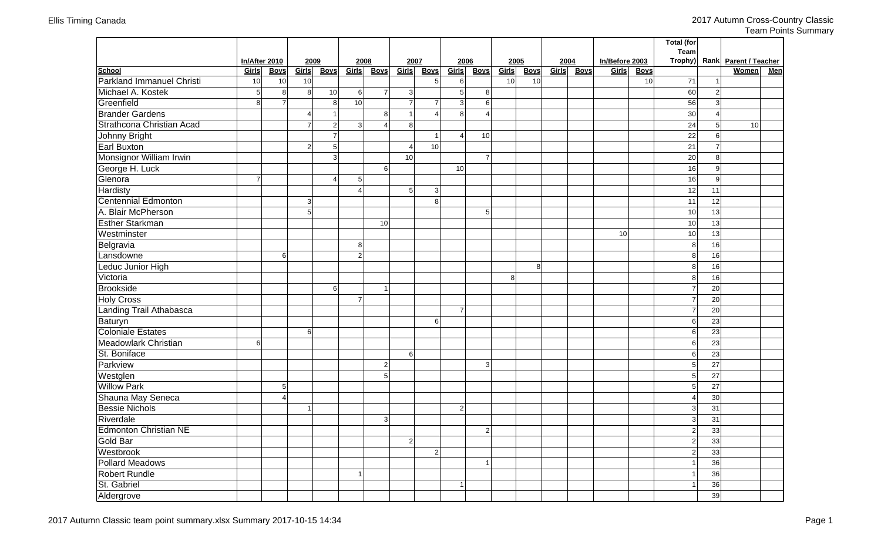|                             |                |                              |                |                     |                |                |                 |             |                       |                  |       |             |               |             |                | <b>Total (for</b> |                 |                |                       |            |
|-----------------------------|----------------|------------------------------|----------------|---------------------|----------------|----------------|-----------------|-------------|-----------------------|------------------|-------|-------------|---------------|-------------|----------------|-------------------|-----------------|----------------|-----------------------|------------|
|                             |                |                              |                |                     |                |                | 2007            |             | 2006<br>2005          |                  |       |             |               |             | In/Before 2003 |                   | Team<br>Trophy) |                | Rank Parent / Teacher |            |
| <b>School</b>               | Girls          | In/After 2010<br><b>Boys</b> | Girls          | 2009<br><b>Boys</b> | 2008<br>Girls  | <b>Boys</b>    | Girls           | <b>Boys</b> | Girls                 | <b>Boys</b>      | Girls | <b>Boys</b> | 2004<br>Girls | <b>Boys</b> | Girls          | <b>Boys</b>       |                 |                | <b>Women</b>          | <u>Men</u> |
| Parkland Immanuel Christi   | $10\,$         | 10                           | 10             |                     |                |                |                 | 5           | 6                     |                  | 10    | 10          |               |             |                | 10                | 71              | 1              |                       |            |
| Michael A. Kostek           | $\mathbf 5$    | $8\phantom{.}$               | $\bf8$         | 10                  | 6              | $\overline{7}$ | $\mathsf 3$     |             | $\sqrt{5}$            | 8                |       |             |               |             |                |                   | 60              | 2              |                       |            |
| Greenfield                  | 8              | $\overline{7}$               |                | 8                   | 10             |                | $\overline{7}$  |             | 3                     | $6 \overline{6}$ |       |             |               |             |                |                   | 56              | 3              |                       |            |
| <b>Brander Gardens</b>      |                |                              |                |                     |                | 8              |                 |             | 8                     | 4                |       |             |               |             |                |                   | 30              |                |                       |            |
| Strathcona Christian Acad   |                |                              | $\overline{7}$ | $\overline{2}$      | 3              |                | 8               |             |                       |                  |       |             |               |             |                |                   | 24              | 5              | 10                    |            |
| Johnny Bright               |                |                              |                |                     |                |                |                 |             | $\boldsymbol{\Delta}$ | 10               |       |             |               |             |                |                   | 22              | 6              |                       |            |
| <b>Earl Buxton</b>          |                |                              | $\overline{2}$ | 5                   |                |                |                 | 10          |                       |                  |       |             |               |             |                |                   | 21              | $\overline{7}$ |                       |            |
| Monsignor William Irwin     |                |                              |                | 3                   |                |                | 10              |             |                       | $\overline{7}$   |       |             |               |             |                |                   | 20              | 8              |                       |            |
| George H. Luck              |                |                              |                |                     |                | 6              |                 |             | 10                    |                  |       |             |               |             |                |                   | 16              | 9              |                       |            |
| Glenora                     | $\overline{7}$ |                              |                | 4                   | 5              |                |                 |             |                       |                  |       |             |               |             |                |                   | 16              | 9              |                       |            |
| Hardisty                    |                |                              |                |                     |                |                | 5               | 3           |                       |                  |       |             |               |             |                |                   | 12              | 11             |                       |            |
| Centennial Edmonton         |                |                              | 3              |                     |                |                |                 | 8           |                       |                  |       |             |               |             |                |                   | 11              | 12             |                       |            |
| A. Blair McPherson          |                |                              | 5              |                     |                |                |                 |             |                       | 5                |       |             |               |             |                |                   | 10              | 13             |                       |            |
| <b>Esther Starkman</b>      |                |                              |                |                     |                | 10             |                 |             |                       |                  |       |             |               |             |                |                   | 10              | 13             |                       |            |
| Westminster                 |                |                              |                |                     |                |                |                 |             |                       |                  |       |             |               |             | 10             |                   | 10              | 13             |                       |            |
| Belgravia                   |                |                              |                |                     | 8              |                |                 |             |                       |                  |       |             |               |             |                |                   | 8               | 16             |                       |            |
| Lansdowne                   |                | 6                            |                |                     | $\overline{2}$ |                |                 |             |                       |                  |       |             |               |             |                |                   | 8               | 16             |                       |            |
| Leduc Junior High           |                |                              |                |                     |                |                |                 |             |                       |                  |       | 8           |               |             |                |                   | 8               | 16             |                       |            |
| Victoria                    |                |                              |                |                     |                |                |                 |             |                       |                  | 8     |             |               |             |                |                   | 8               | 16             |                       |            |
| <b>Brookside</b>            |                |                              |                | 6                   |                |                |                 |             |                       |                  |       |             |               |             |                |                   | $\overline{7}$  | 20             |                       |            |
| <b>Holy Cross</b>           |                |                              |                |                     | $\overline{7}$ |                |                 |             |                       |                  |       |             |               |             |                |                   | $\overline{7}$  | 20             |                       |            |
| Landing Trail Athabasca     |                |                              |                |                     |                |                |                 |             | $\overline{7}$        |                  |       |             |               |             |                |                   | $\overline{7}$  | 20             |                       |            |
| Baturyn                     |                |                              |                |                     |                |                |                 | 6           |                       |                  |       |             |               |             |                |                   | 6               | 23             |                       |            |
| <b>Coloniale Estates</b>    |                |                              | 6              |                     |                |                |                 |             |                       |                  |       |             |               |             |                |                   | 6               | 23             |                       |            |
| <b>Meadowlark Christian</b> | 6              |                              |                |                     |                |                |                 |             |                       |                  |       |             |               |             |                |                   | 6               | 23             |                       |            |
| St. Boniface                |                |                              |                |                     |                |                | $6\phantom{1}6$ |             |                       |                  |       |             |               |             |                |                   | 6               | 23             |                       |            |
| Parkview                    |                |                              |                |                     |                | $\overline{2}$ |                 |             |                       | 3                |       |             |               |             |                |                   | 5               | 27             |                       |            |
| Westglen                    |                |                              |                |                     |                | 5              |                 |             |                       |                  |       |             |               |             |                |                   | 5               | 27             |                       |            |
| <b>Willow Park</b>          |                | 5 <sup>1</sup>               |                |                     |                |                |                 |             |                       |                  |       |             |               |             |                |                   | 5               | 27             |                       |            |
| Shauna May Seneca           |                | 4                            |                |                     |                |                |                 |             |                       |                  |       |             |               |             |                |                   | 4               | 30             |                       |            |
| <b>Bessie Nichols</b>       |                |                              |                |                     |                |                |                 |             | 2                     |                  |       |             |               |             |                |                   | 3               | 31             |                       |            |
| Riverdale                   |                |                              |                |                     |                | 3              |                 |             |                       |                  |       |             |               |             |                |                   | 3               | 31             |                       |            |
| Edmonton Christian NE       |                |                              |                |                     |                |                |                 |             |                       | $2\vert$         |       |             |               |             |                |                   | $\mathbf{2}$    | $33\,$         |                       |            |
| Gold Bar                    |                |                              |                |                     |                |                | $\overline{c}$  |             |                       |                  |       |             |               |             |                |                   | $2\vert$        | 33             |                       |            |
| Westbrook                   |                |                              |                |                     |                |                |                 | 2           |                       |                  |       |             |               |             |                |                   | $\overline{2}$  | 33             |                       |            |
| <b>Pollard Meadows</b>      |                |                              |                |                     |                |                |                 |             |                       |                  |       |             |               |             |                |                   |                 | 36             |                       |            |
| <b>Robert Rundle</b>        |                |                              |                |                     | -1             |                |                 |             |                       |                  |       |             |               |             |                |                   | $\mathbf 1$     | 36             |                       |            |
| St. Gabriel                 |                |                              |                |                     |                |                |                 |             | $\mathbf{1}$          |                  |       |             |               |             |                |                   | $\overline{1}$  | 36             |                       |            |
| Aldergrove                  |                |                              |                |                     |                |                |                 |             |                       |                  |       |             |               |             |                |                   |                 | 39             |                       |            |